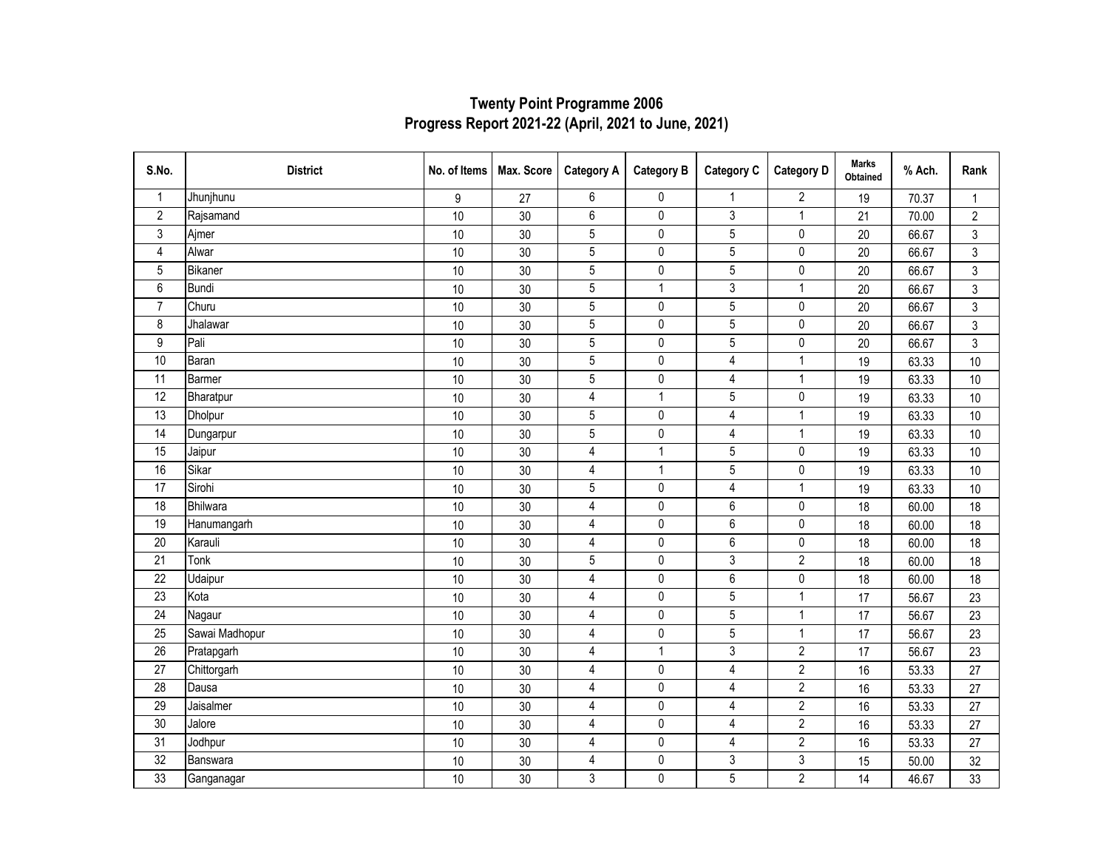| S.No.            | <b>District</b> | No. of Items | Max. Score      | <b>Category A</b>       | <b>Category B</b> | <b>Category C</b> | <b>Category D</b> | <b>Marks</b><br><b>Obtained</b> | % Ach. | Rank           |
|------------------|-----------------|--------------|-----------------|-------------------------|-------------------|-------------------|-------------------|---------------------------------|--------|----------------|
| $\mathbf{1}$     | Jhunjhunu       | 9            | 27              | 6                       | $\pmb{0}$         | $\mathbf{1}$      | $\overline{2}$    | 19                              | 70.37  | $\mathbf{1}$   |
| $\sqrt{2}$       | Rajsamand       | 10           | 30 <sup>°</sup> | 6                       | $\pmb{0}$         | $\sqrt{3}$        | $\mathbf{1}$      | 21                              | 70.00  | $\overline{2}$ |
| 3                | Ajmer           | 10           | 30              | 5                       | $\pmb{0}$         | $\mathbf 5$       | 0                 | 20                              | 66.67  | 3              |
| $\overline{4}$   | Alwar           | 10           | 30              | $\overline{5}$          | $\pmb{0}$         | $\overline{5}$    | $\pmb{0}$         | 20                              | 66.67  | $\mathfrak{Z}$ |
| 5                | Bikaner         | 10           | 30              | $\overline{5}$          | $\pmb{0}$         | 5                 | $\pmb{0}$         | 20                              | 66.67  | $\mathfrak{Z}$ |
| 6                | Bundi           | 10           | 30              | 5                       | $\mathbf{1}$      | 3                 | $\overline{1}$    | 20                              | 66.67  | $\mathfrak{Z}$ |
| $\overline{7}$   | Churu           | 10           | 30              | $\sqrt{5}$              | 0                 | 5                 | 0                 | 20                              | 66.67  | 3              |
| $\bf 8$          | Jhalawar        | $10$         | 30              | $\overline{5}$          | $\pmb{0}$         | $\overline{5}$    | $\pmb{0}$         | 20                              | 66.67  | $\mathfrak{S}$ |
| $\boldsymbol{9}$ | Pali            | $10$         | $30\,$          | $\sqrt{5}$              | $\pmb{0}$         | $\mathbf 5$       | $\pmb{0}$         | 20                              | 66.67  | 3              |
| 10               | Baran           | $10$         | 30              | 5                       | $\pmb{0}$         | 4                 | $\mathbf{1}$      | 19                              | 63.33  | $10$           |
| $\overline{11}$  | Barmer          | $10$         | 30              | $\overline{5}$          | 0                 | $\overline{4}$    | $\overline{1}$    | 19                              | 63.33  | $10$           |
| 12               | Bharatpur       | 10           | 30              | $\pmb{4}$               | $\mathbf{1}$      | 5                 | $\pmb{0}$         | 19                              | 63.33  | $10$           |
| $\overline{13}$  | Dholpur         | 10           | 30              | $\overline{5}$          | $\mathbf 0$       | $\overline{4}$    | $\overline{1}$    | 19                              | 63.33  | 10             |
| 14               | Dungarpur       | 10           | 30              | $\sqrt{5}$              | $\pmb{0}$         | $\overline{4}$    | $\mathbf{1}$      | 19                              | 63.33  | 10             |
| 15               | Jaipur          | 10           | 30              | $\overline{\mathbf{4}}$ | $\mathbf{1}$      | $\mathbf 5$       | $\pmb{0}$         | 19                              | 63.33  | $10$           |
| 16               | Sikar           | 10           | 30 <sup>°</sup> | $\overline{4}$          | $\mathbf{1}$      | $5\,$             | $\pmb{0}$         | 19                              | 63.33  | $10$           |
| $\overline{17}$  | Sirohi          | 10           | 30              | $\sqrt{5}$              | $\pmb{0}$         | $\overline{4}$    | $\mathbf{1}$      | 19                              | 63.33  | $10$           |
| $\overline{18}$  | Bhilwara        | $10$         | 30              | $\pmb{4}$               | $\pmb{0}$         | $\,6\,$           | $\pmb{0}$         | 18                              | 60.00  | 18             |
| 19               | Hanumangarh     | 10           | 30              | 4                       | 0                 | 6                 | 0                 | 18                              | 60.00  | 18             |
| 20               | Karauli         | 10           | 30              | 4                       | $\mathbf 0$       | $6\,$             | $\pmb{0}$         | 18                              | 60.00  | 18             |
| 21               | Tonk            | 10           | 30              | $\sqrt{5}$              | $\pmb{0}$         | $\sqrt{3}$        | $\overline{2}$    | 18                              | 60.00  | 18             |
| 22               | Udaipur         | 10           | 30              | $\overline{4}$          | $\pmb{0}$         | $\,6\,$           | $\pmb{0}$         | 18                              | 60.00  | 18             |
| 23               | Kota            | 10           | 30 <sup>°</sup> | 4                       | $\pmb{0}$         | $\mathbf 5$       | $\mathbf{1}$      | 17                              | 56.67  | 23             |
| $\overline{24}$  | Nagaur          | $10$         | 30              | $\overline{\mathbf{4}}$ | $\pmb{0}$         | $\overline{5}$    | $\overline{1}$    | 17                              | 56.67  | 23             |
| 25               | Sawai Madhopur  | $10$         | 30              | $\overline{\mathbf{4}}$ | $\pmb{0}$         | $\mathbf 5$       | $\mathbf{1}$      | 17                              | 56.67  | 23             |
| 26               | Pratapgarh      | 10           | 30              | $\overline{4}$          | $\mathbf{1}$      | 3                 | $\overline{2}$    | 17                              | 56.67  | 23             |
| $\overline{27}$  | Chittorgarh     | 10           | 30              | 4                       | $\pmb{0}$         | $\overline{4}$    | $\overline{2}$    | 16                              | 53.33  | 27             |
| 28               | Dausa           | 10           | 30              | $\overline{4}$          | $\pmb{0}$         | $\overline{4}$    | $\overline{2}$    | 16                              | 53.33  | 27             |
| 29               | Jaisalmer       | 10           | 30              | 4                       | $\pmb{0}$         | $\overline{4}$    | $\overline{2}$    | 16                              | 53.33  | 27             |
| 30               | Jalore          | 10           | 30              | 4                       | $\pmb{0}$         | $\pmb{4}$         | $\overline{2}$    | 16                              | 53.33  | 27             |
| 31               | Jodhpur         | $10$         | 30 <sup>°</sup> | $\overline{4}$          | $\pmb{0}$         | 4                 | $\overline{2}$    | 16                              | 53.33  | 27             |
| 32               | Banswara        | $10$         | $30\,$          | 4                       | $\pmb{0}$         | 3                 | 3                 | 15                              | 50.00  | 32             |
| 33               | Ganganagar      | 10           | 30              | $\overline{3}$          | $\mathbf 0$       | $\overline{5}$    | $\overline{2}$    | 14                              | 46.67  | 33             |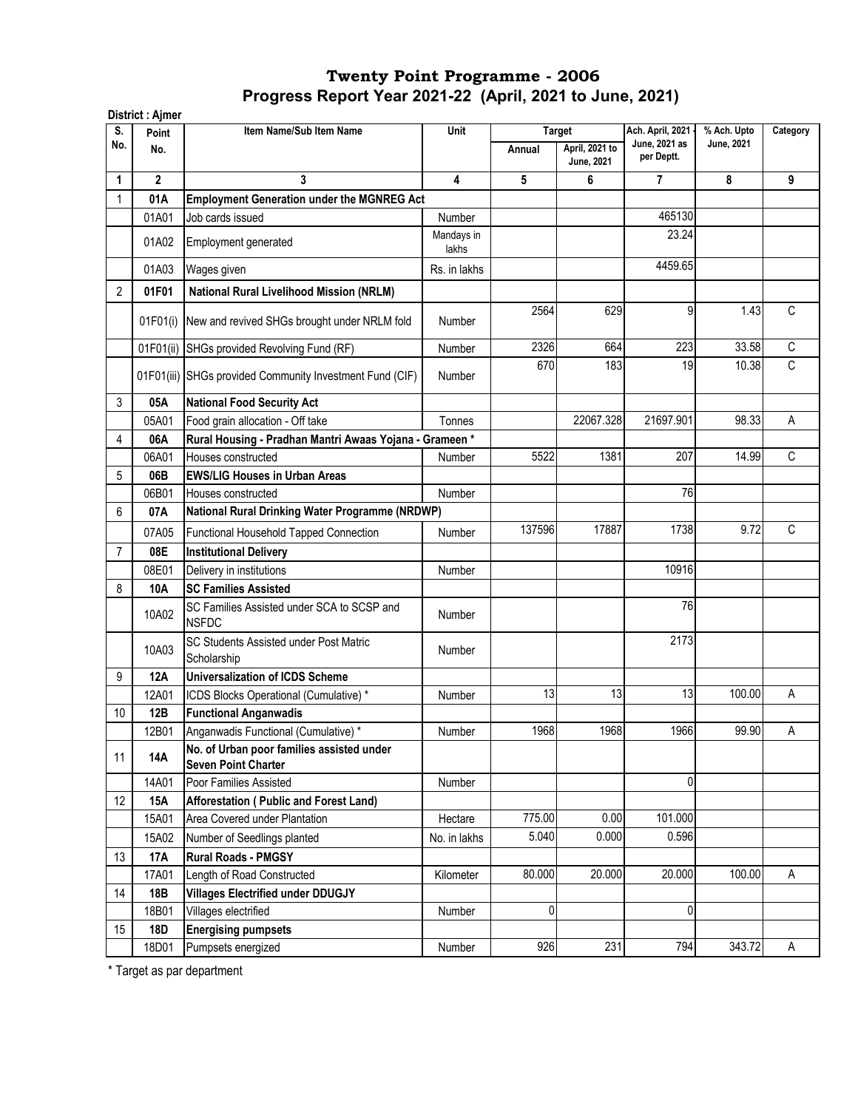| S.  | Point          | Item Name/Sub Item Name                                                 | Unit                |        | <b>Target</b>                | Ach. April, 2021            | % Ach. Upto                                                                    | Category    |
|-----|----------------|-------------------------------------------------------------------------|---------------------|--------|------------------------------|-----------------------------|--------------------------------------------------------------------------------|-------------|
| No. | No.            |                                                                         |                     | Annual | April, 2021 to<br>June, 2021 | June, 2021 as<br>per Deptt. | <b>June, 2021</b>                                                              |             |
| 1   | $\overline{2}$ | 3                                                                       | 4                   | 5      | 6                            | $\overline{7}$              | 8                                                                              | 9           |
|     | 01A            | <b>Employment Generation under the MGNREG Act</b>                       |                     |        |                              |                             | 9<br>1.43<br>33.58<br>10.38<br>98.33<br>14.99<br>9.72<br>100.00<br>$\mathbf 0$ |             |
|     | 01A01          | Job cards issued                                                        | Number              |        |                              | 465130                      |                                                                                |             |
|     | 01A02          | Employment generated                                                    | Mandays in<br>lakhs |        |                              | 23.24                       |                                                                                |             |
|     | 01A03          | Wages given                                                             | Rs. in lakhs        |        |                              | 4459.65                     |                                                                                |             |
| 2   | 01F01          | <b>National Rural Livelihood Mission (NRLM)</b>                         |                     |        |                              |                             |                                                                                |             |
|     |                |                                                                         |                     | 2564   | 629                          |                             |                                                                                | C           |
|     |                | 01F01(i) New and revived SHGs brought under NRLM fold                   | <b>Number</b>       |        |                              |                             |                                                                                |             |
|     |                | 01F01(ii) SHGs provided Revolving Fund (RF)                             | Number              | 2326   | 664                          | 223                         |                                                                                | $\mathsf C$ |
|     |                | 01F01(iii) SHGs provided Community Investment Fund (CIF)                | Number              | 670    | 183                          | 19                          |                                                                                | C           |
| 3   | 05A            | <b>National Food Security Act</b>                                       |                     |        |                              |                             |                                                                                |             |
|     | 05A01          | Food grain allocation - Off take                                        | Tonnes              |        | 22067.328                    | 21697.901                   |                                                                                | A           |
| 4   | 06A            | Rural Housing - Pradhan Mantri Awaas Yojana - Grameen*                  |                     |        |                              |                             |                                                                                |             |
|     | 06A01          | Houses constructed                                                      | Number              | 5522   | 1381                         | 207                         |                                                                                | C           |
| 5   | 06B            | <b>EWS/LIG Houses in Urban Areas</b>                                    |                     |        |                              |                             |                                                                                |             |
|     | 06B01          | Houses constructed                                                      | Number              |        |                              | 76                          |                                                                                |             |
| 6   | 07A            | National Rural Drinking Water Programme (NRDWP)                         |                     |        |                              |                             |                                                                                |             |
|     | 07A05          | Functional Household Tapped Connection                                  | Number              | 137596 | 17887                        | 1738                        |                                                                                | C           |
| 7   | 08E            | <b>Institutional Delivery</b>                                           |                     |        |                              |                             |                                                                                |             |
|     | 08E01          | Delivery in institutions                                                | Number              |        |                              | 10916                       |                                                                                |             |
| 8   | <b>10A</b>     | <b>SC Families Assisted</b>                                             |                     |        |                              |                             |                                                                                |             |
|     | 10A02          | SC Families Assisted under SCA to SCSP and<br><b>NSFDC</b>              | Number              |        |                              | 76                          |                                                                                |             |
|     | 10A03          | SC Students Assisted under Post Matric<br>Scholarship                   | Number              |        |                              | 2173                        |                                                                                |             |
| 9   | 12A            | <b>Universalization of ICDS Scheme</b>                                  |                     |        |                              |                             |                                                                                |             |
|     | 12A01          | ICDS Blocks Operational (Cumulative) *                                  | Number              | 13     | 13                           | 13                          |                                                                                | А           |
| 10  | 12B            | <b>Functional Anganwadis</b>                                            |                     |        |                              |                             |                                                                                |             |
|     | 12B01          | Anganwadis Functional (Cumulative) *                                    | Number              | 1968   | 1968                         | 1966                        | 99.90                                                                          | Α           |
| 11  | 14A            | No. of Urban poor families assisted under<br><b>Seven Point Charter</b> |                     |        |                              |                             |                                                                                |             |
|     | 14A01          | Poor Families Assisted                                                  | Number              |        |                              |                             |                                                                                |             |
| 12  | 15A            | Afforestation (Public and Forest Land)                                  |                     |        |                              |                             |                                                                                |             |
|     | 15A01          | Area Covered under Plantation                                           | Hectare             | 775.00 | 0.00                         | 101.000                     |                                                                                |             |
|     | 15A02          | Number of Seedlings planted                                             | No. in lakhs        | 5.040  | 0.000                        | 0.596                       |                                                                                |             |
| 13  | <b>17A</b>     | <b>Rural Roads - PMGSY</b>                                              |                     |        |                              |                             |                                                                                |             |
|     | 17A01          | Length of Road Constructed                                              | Kilometer           | 80.000 | 20.000                       | 20.000                      | 100.00                                                                         | A           |
| 14  | 18B            | <b>Villages Electrified under DDUGJY</b>                                |                     |        |                              |                             |                                                                                |             |
|     | 18B01          | Villages electrified                                                    | Number              | 0      |                              | 0                           |                                                                                |             |
| 15  | 18D            | <b>Energising pumpsets</b>                                              |                     |        |                              |                             |                                                                                |             |
|     | 18D01          | Pumpsets energized                                                      | Number              | 926    | 231                          | 794                         | 343.72                                                                         | A           |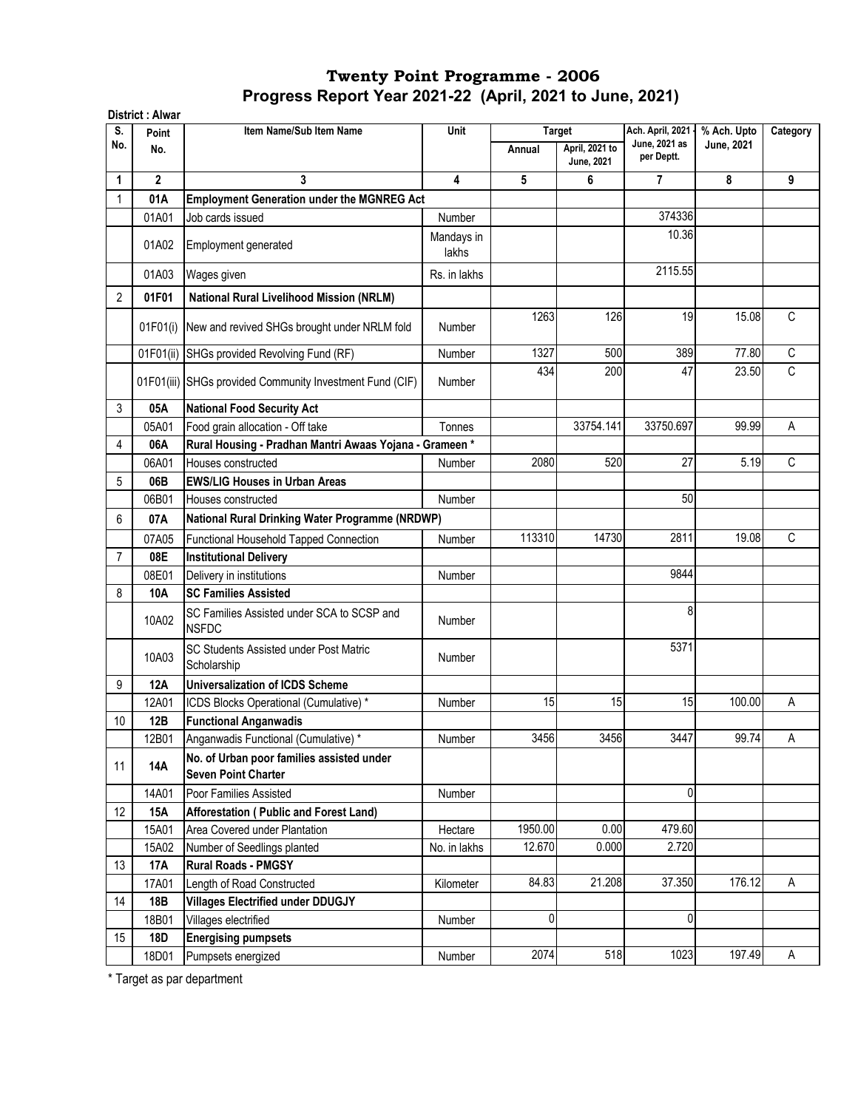| S.             | Point       | Item Name/Sub Item Name                                                 | Unit                |         | <b>Target</b>                       | Ach. April, 2021            | % Ach. Upto | Category    |
|----------------|-------------|-------------------------------------------------------------------------|---------------------|---------|-------------------------------------|-----------------------------|-------------|-------------|
| No.            | No.         |                                                                         |                     | Annual  | April, 2021 to<br><b>June, 2021</b> | June, 2021 as<br>per Deptt. | June, 2021  |             |
| 1              | $\mathbf 2$ | 3                                                                       | 4                   | 5       | 6                                   | $\overline{7}$              | 8           | 9           |
|                | 01A         | <b>Employment Generation under the MGNREG Act</b>                       |                     |         |                                     |                             |             |             |
|                | 01A01       | Job cards issued                                                        | Number              |         |                                     | 374336                      |             |             |
|                | 01A02       | Employment generated                                                    | Mandays in<br>lakhs |         |                                     | 10.36                       |             |             |
|                | 01A03       | Wages given                                                             | Rs. in lakhs        |         |                                     | 2115.55                     |             |             |
| $\overline{2}$ | 01F01       | <b>National Rural Livelihood Mission (NRLM)</b>                         |                     |         |                                     |                             |             |             |
|                | 01F01(i)    | New and revived SHGs brought under NRLM fold                            | Number              | 1263    | 126                                 | 19                          | 15.08       | C           |
|                |             | 01F01(ii) SHGs provided Revolving Fund (RF)                             | Number              | 1327    | 500                                 | 389                         | 77.80       | $\mathsf C$ |
|                |             | 01F01(iii) SHGs provided Community Investment Fund (CIF)                | Number              | 434     | 200                                 | 47                          | 23.50       | C           |
| 3              | 05A         | <b>National Food Security Act</b>                                       |                     |         |                                     |                             |             |             |
|                | 05A01       | Food grain allocation - Off take                                        | Tonnes              |         | 33754.141                           | 33750.697                   | 99.99       | A           |
| 4              | 06A         | Rural Housing - Pradhan Mantri Awaas Yojana - Grameen*                  |                     |         |                                     |                             |             |             |
|                | 06A01       | Houses constructed                                                      | Number              | 2080    | 520                                 | 27                          | 5.19        | C           |
| 5              | 06B         | <b>EWS/LIG Houses in Urban Areas</b>                                    |                     |         |                                     |                             |             |             |
|                | 06B01       | Houses constructed                                                      | <b>Number</b>       |         |                                     | 50                          |             |             |
| 6              | 07A         | National Rural Drinking Water Programme (NRDWP)                         |                     |         |                                     |                             |             |             |
|                | 07A05       | Functional Household Tapped Connection                                  | Number              | 113310  | 14730                               | 2811                        | 19.08       | $\mathsf C$ |
| $\overline{7}$ | 08E         | <b>Institutional Delivery</b>                                           |                     |         |                                     |                             |             |             |
|                | 08E01       | Delivery in institutions                                                | Number              |         |                                     | 9844                        |             |             |
| 8              | 10A         | <b>SC Families Assisted</b>                                             |                     |         |                                     |                             |             |             |
|                | 10A02       | SC Families Assisted under SCA to SCSP and<br><b>NSFDC</b>              | <b>Number</b>       |         |                                     | 8                           |             |             |
|                | 10A03       | SC Students Assisted under Post Matric<br>Scholarship                   | <b>Number</b>       |         |                                     | 5371                        |             |             |
| 9              | <b>12A</b>  | <b>Universalization of ICDS Scheme</b>                                  |                     |         |                                     |                             |             |             |
|                | 12A01       | ICDS Blocks Operational (Cumulative) *                                  | Number              | 15      | 15                                  | 15                          | 100.00      | A           |
| 10             | 12B         | <b>Functional Anganwadis</b>                                            |                     |         |                                     |                             |             |             |
|                | 12B01       | Anganwadis Functional (Cumulative) *                                    | Number              | 3456    | 3456                                | 3447                        | 99.74       | Α           |
| 11             | <b>14A</b>  | No. of Urban poor families assisted under<br><b>Seven Point Charter</b> |                     |         |                                     |                             |             |             |
|                | 14A01       | Poor Families Assisted                                                  | Number              |         |                                     | 0                           |             |             |
| 12             | 15A         | Afforestation (Public and Forest Land)                                  |                     |         |                                     |                             |             |             |
|                | 15A01       | Area Covered under Plantation                                           | Hectare             | 1950.00 | 0.00                                | 479.60                      |             |             |
|                | 15A02       | Number of Seedlings planted                                             | No. in lakhs        | 12.670  | 0.000                               | 2.720                       |             |             |
| 13             | 17A         | <b>Rural Roads - PMGSY</b>                                              |                     |         |                                     |                             |             |             |
|                | 17A01       | Length of Road Constructed                                              | Kilometer           | 84.83   | 21.208                              | 37.350                      | 176.12      | A           |
| 14             | 18B         | <b>Villages Electrified under DDUGJY</b>                                |                     |         |                                     |                             |             |             |
|                | 18B01       | Villages electrified                                                    | Number              | 0       |                                     | 0                           |             |             |
| 15             | 18D         | <b>Energising pumpsets</b>                                              |                     |         |                                     |                             |             |             |
|                | 18D01       | Pumpsets energized                                                      | Number              | 2074    | 518                                 | 1023                        | 197.49      | Α           |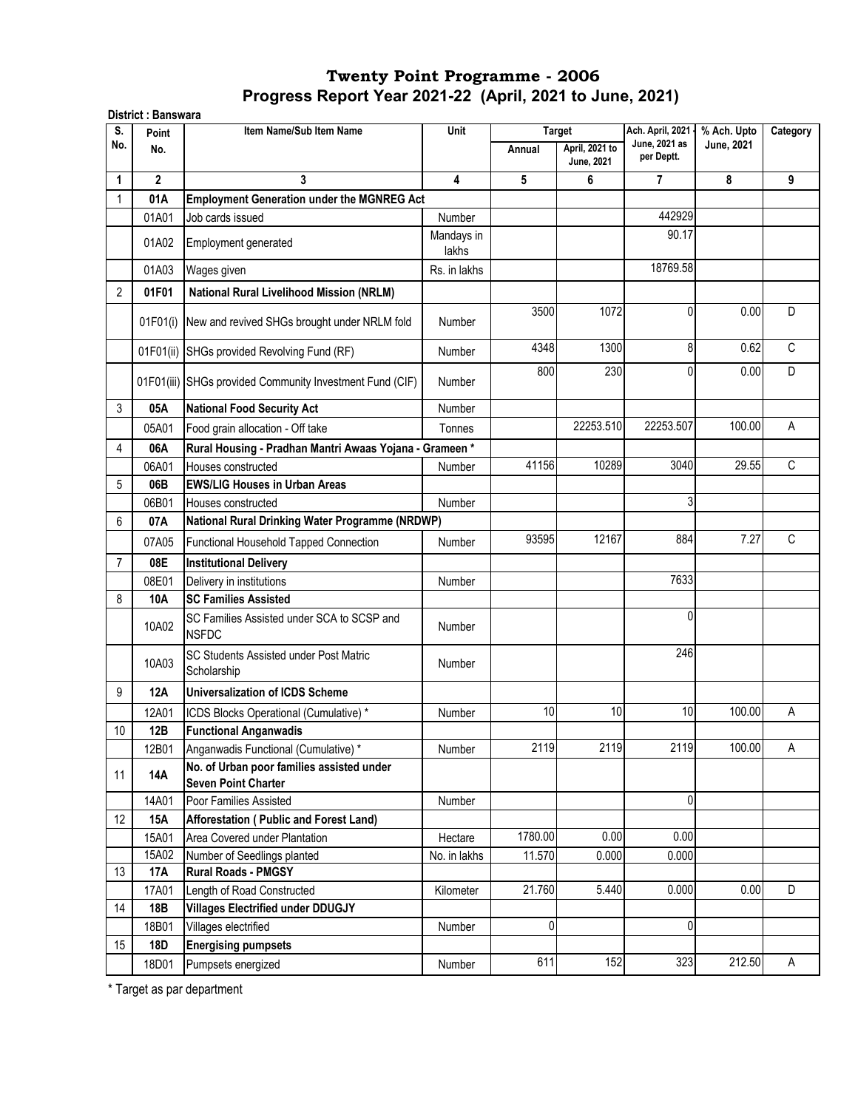| S.             | Point        | Item Name/Sub Item Name                                                 | Unit           |         | <b>Target</b>                | Ach. April, 2021 -          | % Ach. Upto | Category     |
|----------------|--------------|-------------------------------------------------------------------------|----------------|---------|------------------------------|-----------------------------|-------------|--------------|
| No.            | No.          |                                                                         |                | Annual  | April, 2021 to<br>June, 2021 | June, 2021 as<br>per Deptt. | June, 2021  |              |
| 1              | $\mathbf{2}$ | 3                                                                       | $\overline{4}$ | 5       | 6                            | $\overline{7}$              | 8           | 9            |
| 1              | 01A          | <b>Employment Generation under the MGNREG Act</b>                       |                |         |                              |                             |             |              |
|                | 01A01        | Job cards issued                                                        | Number         |         |                              | 442929                      |             |              |
|                |              |                                                                         | Mandays in     |         |                              | 90.17                       |             |              |
|                | 01A02        | Employment generated                                                    | lakhs          |         |                              |                             |             |              |
|                | 01A03        | Wages given                                                             | Rs. in lakhs   |         |                              | 18769.58                    |             |              |
| 2              | 01F01        | <b>National Rural Livelihood Mission (NRLM)</b>                         |                |         |                              |                             |             |              |
|                |              |                                                                         |                | 3500    | 1072                         | 0                           | 0.00        | D            |
|                |              | 01F01(i) New and revived SHGs brought under NRLM fold                   | Number         |         |                              |                             |             |              |
|                |              | 01F01(ii) SHGs provided Revolving Fund (RF)                             | Number         | 4348    | 1300                         | 8                           | 0.62        | $\mathsf{C}$ |
|                |              |                                                                         |                |         |                              | 0                           |             | D            |
|                |              | 01F01(iii) SHGs provided Community Investment Fund (CIF)                | <b>Number</b>  | 800     | 230                          |                             | 0.00        |              |
| 3              | 05A          | <b>National Food Security Act</b>                                       | <b>Number</b>  |         |                              |                             |             |              |
|                | 05A01        | Food grain allocation - Off take                                        | Tonnes         |         | 22253.510                    | 22253.507                   | 100.00      | A            |
| 4              | 06A          | Rural Housing - Pradhan Mantri Awaas Yojana - Grameen*                  |                |         |                              |                             |             |              |
|                | 06A01        | Houses constructed                                                      | Number         | 41156   | 10289                        | 3040                        | 29.55       | C            |
| 5              | 06B          | <b>EWS/LIG Houses in Urban Areas</b>                                    |                |         |                              |                             |             |              |
|                | 06B01        | Houses constructed                                                      | Number         |         |                              | 3                           |             |              |
| 6              | 07A          | National Rural Drinking Water Programme (NRDWP)                         |                |         |                              |                             |             |              |
|                |              |                                                                         |                | 93595   | 12167                        | 884                         | 7.27        | C            |
|                | 07A05        | Functional Household Tapped Connection                                  | <b>Number</b>  |         |                              |                             |             |              |
| $\overline{7}$ | 08E          | <b>Institutional Delivery</b>                                           |                |         |                              |                             |             |              |
|                | 08E01        | Delivery in institutions                                                | Number         |         |                              | 7633                        |             |              |
| 8              | 10A          | <b>SC Families Assisted</b>                                             |                |         |                              |                             |             |              |
|                | 10A02        | SC Families Assisted under SCA to SCSP and<br><b>NSFDC</b>              | <b>Number</b>  |         |                              | 0                           |             |              |
|                |              | SC Students Assisted under Post Matric                                  |                |         |                              | 246                         |             |              |
|                | 10A03        | Scholarship                                                             | Number         |         |                              |                             |             |              |
| 9              | <b>12A</b>   | Universalization of ICDS Scheme                                         |                |         |                              |                             |             |              |
|                | 12A01        | ICDS Blocks Operational (Cumulative) *                                  | Number         | 10      | 10                           | 10                          | 100.00      | Α            |
| $10$           | 12B          | <b>Functional Anganwadis</b>                                            |                |         |                              |                             |             |              |
|                | 12B01        | Anganwadis Functional (Cumulative) *                                    | Number         | 2119    | 2119                         | 2119                        | 100.00      | A            |
| 11             | 14A          | No. of Urban poor families assisted under<br><b>Seven Point Charter</b> |                |         |                              |                             |             |              |
|                | 14A01        | Poor Families Assisted                                                  | Number         |         |                              | 0                           |             |              |
| 12             | 15A          | Afforestation (Public and Forest Land)                                  |                |         |                              |                             |             |              |
|                | 15A01        | Area Covered under Plantation                                           | Hectare        | 1780.00 | 0.00                         | 0.00                        |             |              |
|                | 15A02        | Number of Seedlings planted                                             | No. in lakhs   | 11.570  | 0.000                        | 0.000                       |             |              |
| 13             | <b>17A</b>   | <b>Rural Roads - PMGSY</b>                                              |                |         |                              |                             |             |              |
|                | 17A01        | Length of Road Constructed                                              | Kilometer      | 21.760  | 5.440                        | 0.000                       | 0.00        | D            |
| 14             | 18B          | <b>Villages Electrified under DDUGJY</b>                                |                |         |                              |                             |             |              |
|                | 18B01        | Villages electrified                                                    | Number         | 0       |                              | 0                           |             |              |
| 15             | 18D          | <b>Energising pumpsets</b>                                              |                |         |                              |                             |             |              |
|                |              |                                                                         |                | 611     | 152                          | 323                         | 212.50      |              |
|                | 18D01        | Pumpsets energized                                                      | Number         |         |                              |                             |             | Α            |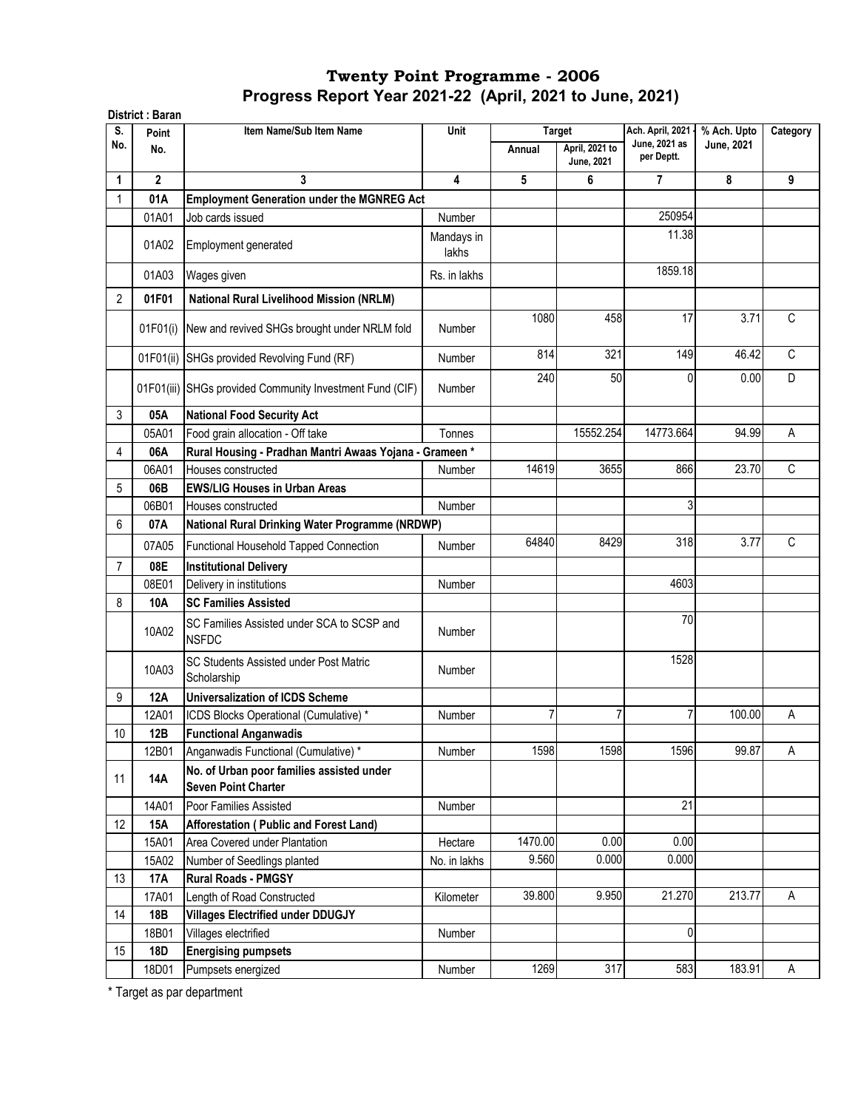|                | District: Baran |                                                                         |                     |         |                                     |                             |                   |              |
|----------------|-----------------|-------------------------------------------------------------------------|---------------------|---------|-------------------------------------|-----------------------------|-------------------|--------------|
| S.             | Point           | Item Name/Sub Item Name                                                 | Unit                |         | <b>Target</b>                       | Ach. April, 2021            | % Ach. Upto       | Category     |
| No.            | No.             |                                                                         |                     | Annual  | April, 2021 to<br><b>June, 2021</b> | June, 2021 as<br>per Deptt. | <b>June, 2021</b> |              |
| 1              | $\mathbf{2}$    | 3                                                                       | 4                   | 5       | 6                                   | 7                           | 8                 | 9            |
|                | 01A             | <b>Employment Generation under the MGNREG Act</b>                       |                     |         |                                     |                             |                   |              |
|                | 01A01           | Job cards issued                                                        | <b>Number</b>       |         |                                     | 250954                      |                   |              |
|                | 01A02           | Employment generated                                                    | Mandays in<br>lakhs |         |                                     | 11.38                       |                   |              |
|                | 01A03           | Wages given                                                             | Rs. in lakhs        |         |                                     | 1859.18                     |                   |              |
| $\overline{2}$ | 01F01           | National Rural Livelihood Mission (NRLM)                                |                     |         |                                     |                             |                   |              |
|                | 01F01(i)        | New and revived SHGs brought under NRLM fold                            | Number              | 1080    | 458                                 | 17                          | 3.71              | C            |
|                | 01F01(ii)       | SHGs provided Revolving Fund (RF)                                       | Number              | 814     | 321                                 | 149                         | 46.42             | C            |
|                |                 | 01F01(iii) SHGs provided Community Investment Fund (CIF)                | <b>Number</b>       | 240     | 50                                  | 0                           | 0.00              | D            |
| 3              | 05A             | <b>National Food Security Act</b>                                       |                     |         |                                     |                             |                   |              |
|                | 05A01           | Food grain allocation - Off take                                        | Tonnes              |         | 15552.254                           | 14773.664                   | 94.99             | A            |
| 4              | 06A             | Rural Housing - Pradhan Mantri Awaas Yojana - Grameen*                  |                     |         |                                     |                             |                   |              |
|                | 06A01           | Houses constructed                                                      | Number              | 14619   | 3655                                | 866                         | 23.70             | $\mathsf{C}$ |
| 5              | 06B             | <b>EWS/LIG Houses in Urban Areas</b>                                    |                     |         |                                     |                             |                   |              |
|                | 06B01           | Houses constructed                                                      | Number              |         |                                     | 3                           |                   |              |
| 6              | 07A             | National Rural Drinking Water Programme (NRDWP)                         |                     |         |                                     |                             |                   |              |
|                | 07A05           | Functional Household Tapped Connection                                  | Number              | 64840   | 8429                                | 318                         | 3.77              | $\mathsf{C}$ |
| $\overline{7}$ | 08E             | <b>Institutional Delivery</b>                                           |                     |         |                                     |                             |                   |              |
|                | 08E01           | Delivery in institutions                                                | Number              |         |                                     | 4603                        |                   |              |
| 8              | 10A             | <b>SC Families Assisted</b>                                             |                     |         |                                     |                             |                   |              |
|                |                 |                                                                         |                     |         |                                     | 70                          |                   |              |
|                | 10A02           | SC Families Assisted under SCA to SCSP and<br><b>NSFDC</b>              | <b>Number</b>       |         |                                     |                             |                   |              |
|                | 10A03           | SC Students Assisted under Post Matric<br>Scholarship                   | <b>Number</b>       |         |                                     | 1528                        |                   |              |
| 9              | 12A             | <b>Universalization of ICDS Scheme</b>                                  |                     |         |                                     |                             |                   |              |
|                | 12A01           | ICDS Blocks Operational (Cumulative) *                                  | Number              | 7       | 7                                   | 7                           | 100.00            | Α            |
| $10\,$         | 12B             | <b>Functional Anganwadis</b>                                            |                     |         |                                     |                             |                   |              |
|                | 12B01           | Anganwadis Functional (Cumulative) *                                    | Number              | 1598    | 1598                                | 1596                        | 99.87             | Α            |
| 11             | 14A             | No. of Urban poor families assisted under<br><b>Seven Point Charter</b> |                     |         |                                     |                             |                   |              |
|                | 14A01           | Poor Families Assisted                                                  | Number              |         |                                     | 21                          |                   |              |
| 12             | <b>15A</b>      | Afforestation (Public and Forest Land)                                  |                     |         |                                     |                             |                   |              |
|                | 15A01           | Area Covered under Plantation                                           | Hectare             | 1470.00 | 0.00                                | 0.00                        |                   |              |
|                | 15A02           | Number of Seedlings planted                                             | No. in lakhs        | 9.560   | 0.000                               | 0.000                       |                   |              |
| 13             | <b>17A</b>      | <b>Rural Roads - PMGSY</b>                                              |                     |         |                                     |                             |                   |              |
|                | 17A01           | Length of Road Constructed                                              | Kilometer           | 39.800  | 9.950                               | 21.270                      | 213.77            | Α            |
| 14             | 18B             | <b>Villages Electrified under DDUGJY</b>                                |                     |         |                                     |                             |                   |              |
|                | 18B01           | Villages electrified                                                    | Number              |         |                                     | 0                           |                   |              |
| 15             | <b>18D</b>      | <b>Energising pumpsets</b>                                              |                     |         |                                     |                             |                   |              |
|                | 18D01           | Pumpsets energized                                                      | Number              | 1269    | 317                                 | 583                         | 183.91            | A            |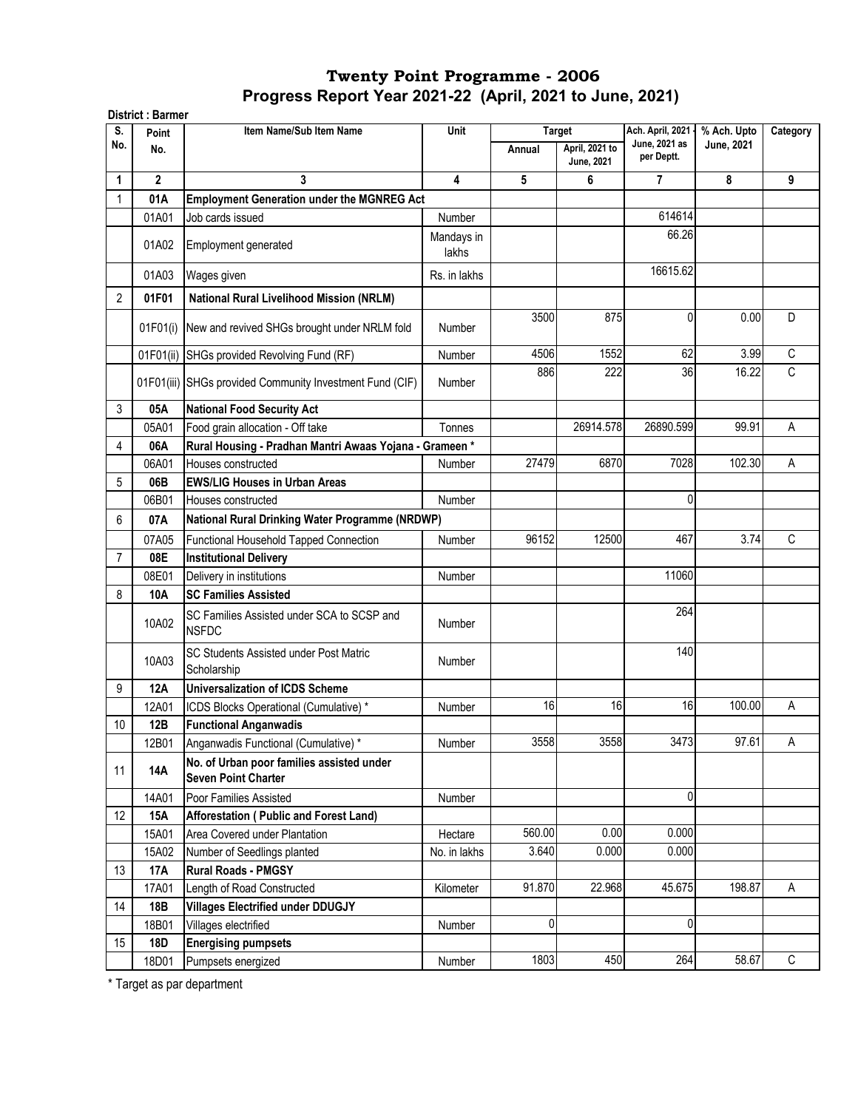| S.             | Point        | Item Name/Sub Item Name                                                 | Unit                |        | <b>Target</b>                | Ach. April, 2021 -          | % Ach. Upto | Category    |
|----------------|--------------|-------------------------------------------------------------------------|---------------------|--------|------------------------------|-----------------------------|-------------|-------------|
| No.            | No.          |                                                                         |                     | Annual | April, 2021 to<br>June, 2021 | June, 2021 as<br>per Deptt. | June, 2021  |             |
| 1              | $\mathbf{2}$ | 3                                                                       | $\overline{4}$      | 5      | 6                            | $\overline{7}$              | 8           | 9           |
| 1              | 01A          | <b>Employment Generation under the MGNREG Act</b>                       |                     |        |                              |                             |             |             |
|                | 01A01        | Job cards issued                                                        | Number              |        |                              | 614614                      |             |             |
|                | 01A02        | Employment generated                                                    | Mandays in<br>lakhs |        |                              | 66.26                       |             |             |
|                | 01A03        | Wages given                                                             | Rs. in lakhs        |        |                              | 16615.62                    |             |             |
| $\overline{2}$ | 01F01        | <b>National Rural Livelihood Mission (NRLM)</b>                         |                     |        |                              |                             |             |             |
|                | 01F01(i)     | New and revived SHGs brought under NRLM fold                            | Number              | 3500   | 875                          | 0                           | 0.00        | D           |
|                | 01F01(ii)    | SHGs provided Revolving Fund (RF)                                       | Number              | 4506   | 1552                         | 62                          | 3.99        | C           |
|                |              | 01F01(iii) SHGs provided Community Investment Fund (CIF)                | Number              | 886    | 222                          | 36                          | 16.22       | C           |
| 3              | 05A          | <b>National Food Security Act</b>                                       |                     |        |                              |                             |             |             |
|                | 05A01        | Food grain allocation - Off take                                        | Tonnes              |        | 26914.578                    | 26890.599                   | 99.91       | Α           |
| $\overline{4}$ | 06A          | Rural Housing - Pradhan Mantri Awaas Yojana - Grameen*                  |                     |        |                              |                             |             |             |
|                | 06A01        | Houses constructed                                                      | Number              | 27479  | 6870                         | 7028                        | 102.30      | A           |
| 5              | 06B          | <b>EWS/LIG Houses in Urban Areas</b>                                    |                     |        |                              |                             |             |             |
|                | 06B01        | Houses constructed                                                      | <b>Number</b>       |        |                              | 0                           |             |             |
| 6              | 07A          | National Rural Drinking Water Programme (NRDWP)                         |                     |        |                              |                             |             |             |
|                | 07A05        | Functional Household Tapped Connection                                  | Number              | 96152  | 12500                        | 467                         | 3.74        | C           |
| $\overline{7}$ | 08E          | <b>Institutional Delivery</b>                                           |                     |        |                              |                             |             |             |
|                | 08E01        | Delivery in institutions                                                | <b>Number</b>       |        |                              | 11060                       |             |             |
| 8              | 10A          | <b>SC Families Assisted</b>                                             |                     |        |                              |                             |             |             |
|                | 10A02        | SC Families Assisted under SCA to SCSP and<br><b>NSFDC</b>              | <b>Number</b>       |        |                              | 264                         |             |             |
|                | 10A03        | SC Students Assisted under Post Matric<br>Scholarship                   | Number              |        |                              | 140                         |             |             |
| 9              | <b>12A</b>   | <b>Universalization of ICDS Scheme</b>                                  |                     |        |                              |                             |             |             |
|                | 12A01        | ICDS Blocks Operational (Cumulative) *                                  | Number              | 16     | 16                           | 16                          | 100.00      | Α           |
| 10             | 12B          | <b>Functional Anganwadis</b>                                            |                     |        |                              |                             |             |             |
|                | 12B01        | Anganwadis Functional (Cumulative) *                                    | Number              | 3558   | 3558                         | 3473                        | 97.61       | A           |
| 11             | 14A          | No. of Urban poor families assisted under<br><b>Seven Point Charter</b> |                     |        |                              |                             |             |             |
|                | 14A01        | Poor Families Assisted                                                  | Number              |        |                              | 0                           |             |             |
| 12             | 15A          | Afforestation (Public and Forest Land)                                  |                     |        |                              |                             |             |             |
|                | 15A01        | Area Covered under Plantation                                           | Hectare             | 560.00 | 0.00                         | 0.000                       |             |             |
|                | 15A02        | Number of Seedlings planted                                             | No. in lakhs        | 3.640  | 0.000                        | 0.000                       |             |             |
| 13             | 17A          | <b>Rural Roads - PMGSY</b>                                              |                     |        |                              |                             |             |             |
|                | 17A01        | Length of Road Constructed                                              | Kilometer           | 91.870 | 22.968                       | 45.675                      | 198.87      | Α           |
| 14             | 18B          | <b>Villages Electrified under DDUGJY</b>                                |                     |        |                              |                             |             |             |
|                | 18B01        | Villages electrified                                                    | Number              | 0      |                              | 0                           |             |             |
| 15             | 18D          | <b>Energising pumpsets</b>                                              |                     |        |                              |                             |             |             |
|                | 18D01        | Pumpsets energized                                                      | Number              | 1803   | 450                          | 264                         | 58.67       | $\mathsf C$ |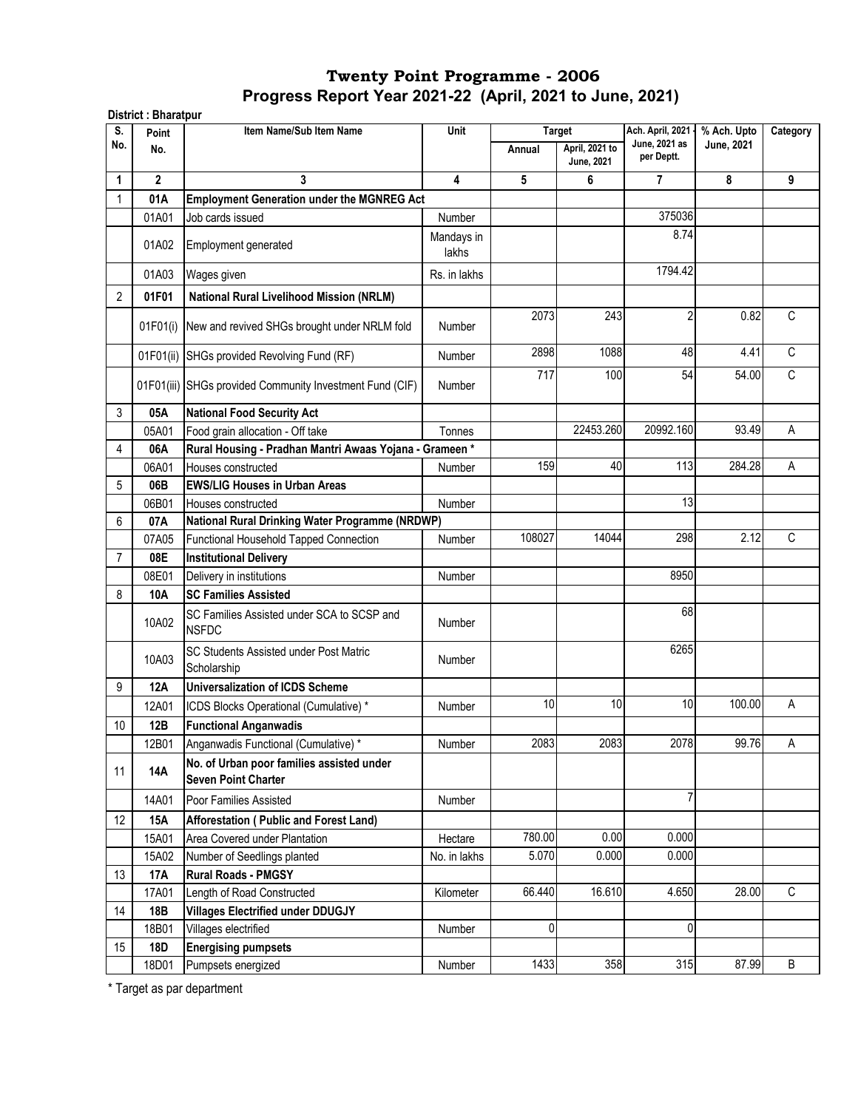| S.             | Point        | Item Name/Sub Item Name                                                 | Unit                    |        | <b>Target</b>                       | Ach. April, 2021 -          | % Ach. Upto | Category     |
|----------------|--------------|-------------------------------------------------------------------------|-------------------------|--------|-------------------------------------|-----------------------------|-------------|--------------|
| No.            | No.          |                                                                         |                         | Annual | April, 2021 to<br><b>June, 2021</b> | June, 2021 as<br>per Deptt. | June, 2021  |              |
| 1              | $\mathbf{2}$ | 3                                                                       | $\overline{\mathbf{4}}$ | 5      | 6                                   | $\overline{7}$              | 8           | 9            |
| 1              | 01A          | <b>Employment Generation under the MGNREG Act</b>                       |                         |        |                                     |                             |             |              |
|                | 01A01        | Job cards issued                                                        | Number                  |        |                                     | 375036                      |             |              |
|                | 01A02        | Employment generated                                                    | Mandays in<br>lakhs     |        |                                     | 8.74                        |             |              |
|                | 01A03        | Wages given                                                             | Rs. in lakhs            |        |                                     | 1794.42                     |             |              |
| 2              | 01F01        | <b>National Rural Livelihood Mission (NRLM)</b>                         |                         |        |                                     |                             |             |              |
|                | 01F01(i)     | New and revived SHGs brought under NRLM fold                            | <b>Number</b>           | 2073   | 243                                 | 2                           | 0.82        | C            |
|                | 01F01(ii)    | SHGs provided Revolving Fund (RF)                                       | <b>Number</b>           | 2898   | 1088                                | 48                          | 4.41        | $\mathsf{C}$ |
|                |              | 01F01(iii) SHGs provided Community Investment Fund (CIF)                | <b>Number</b>           | 717    | 100                                 | 54                          | 54.00       | $\mathsf C$  |
| 3              | 05A          | <b>National Food Security Act</b>                                       |                         |        |                                     |                             |             |              |
|                | 05A01        | Food grain allocation - Off take                                        | Tonnes                  |        | 22453.260                           | 20992.160                   | 93.49       | A            |
| 4              | 06A          | Rural Housing - Pradhan Mantri Awaas Yojana - Grameen *                 |                         |        |                                     |                             |             |              |
|                | 06A01        | Houses constructed                                                      | Number                  | 159    | 40                                  | 113                         | 284.28      | Α            |
| 5              | 06B          | <b>EWS/LIG Houses in Urban Areas</b>                                    |                         |        |                                     |                             |             |              |
|                | 06B01        | Houses constructed                                                      | Number                  |        |                                     | 13                          |             |              |
| 6              | 07A          | National Rural Drinking Water Programme (NRDWP)                         |                         |        |                                     |                             |             |              |
|                | 07A05        | Functional Household Tapped Connection                                  | Number                  | 108027 | 14044                               | 298                         | 2.12        | C            |
| $\overline{7}$ | 08E          | <b>Institutional Delivery</b>                                           |                         |        |                                     |                             |             |              |
|                | 08E01        | Delivery in institutions                                                | Number                  |        |                                     | 8950                        |             |              |
| 8              | 10A          | <b>SC Families Assisted</b>                                             |                         |        |                                     |                             |             |              |
|                | 10A02        | SC Families Assisted under SCA to SCSP and<br><b>NSFDC</b>              | Number                  |        |                                     | 68                          |             |              |
|                | 10A03        | <b>SC Students Assisted under Post Matric</b><br>Scholarship            | Number                  |        |                                     | 6265                        |             |              |
| 9              | <b>12A</b>   | <b>Universalization of ICDS Scheme</b>                                  |                         |        |                                     |                             |             |              |
|                | 12A01        | ICDS Blocks Operational (Cumulative) *                                  | Number                  | 10     | 10                                  | 10                          | 100.00      | Α            |
| 10             | 12B          | <b>Functional Anganwadis</b>                                            |                         |        |                                     |                             |             |              |
|                | 12B01        | Anganwadis Functional (Cumulative) *                                    | Number                  | 2083   | 2083                                | 2078                        | 99.76       | A            |
| 11             | 14A          | No. of Urban poor families assisted under<br><b>Seven Point Charter</b> |                         |        |                                     |                             |             |              |
|                | 14A01        | Poor Families Assisted                                                  | Number                  |        |                                     | $\overline{7}$              |             |              |
| 12             | 15A          | Afforestation (Public and Forest Land)                                  |                         |        |                                     |                             |             |              |
|                | 15A01        | Area Covered under Plantation                                           | Hectare                 | 780.00 | 0.00                                | 0.000                       |             |              |
|                | 15A02        | Number of Seedlings planted                                             | No. in lakhs            | 5.070  | 0.000                               | 0.000                       |             |              |
| 13             | 17A          | <b>Rural Roads - PMGSY</b>                                              |                         |        |                                     |                             |             |              |
|                | 17A01        | Length of Road Constructed                                              | Kilometer               | 66.440 | 16.610                              | 4.650                       | 28.00       | C            |
| 14             | 18B          | <b>Villages Electrified under DDUGJY</b>                                |                         |        |                                     |                             |             |              |
|                | 18B01        | Villages electrified                                                    | Number                  | 0      |                                     | 0                           |             |              |
| 15             | 18D          | <b>Energising pumpsets</b>                                              |                         |        |                                     |                             |             |              |
|                | 18D01        | Pumpsets energized                                                      | Number                  | 1433   | 358                                 | 315                         | 87.99       | $\sf B$      |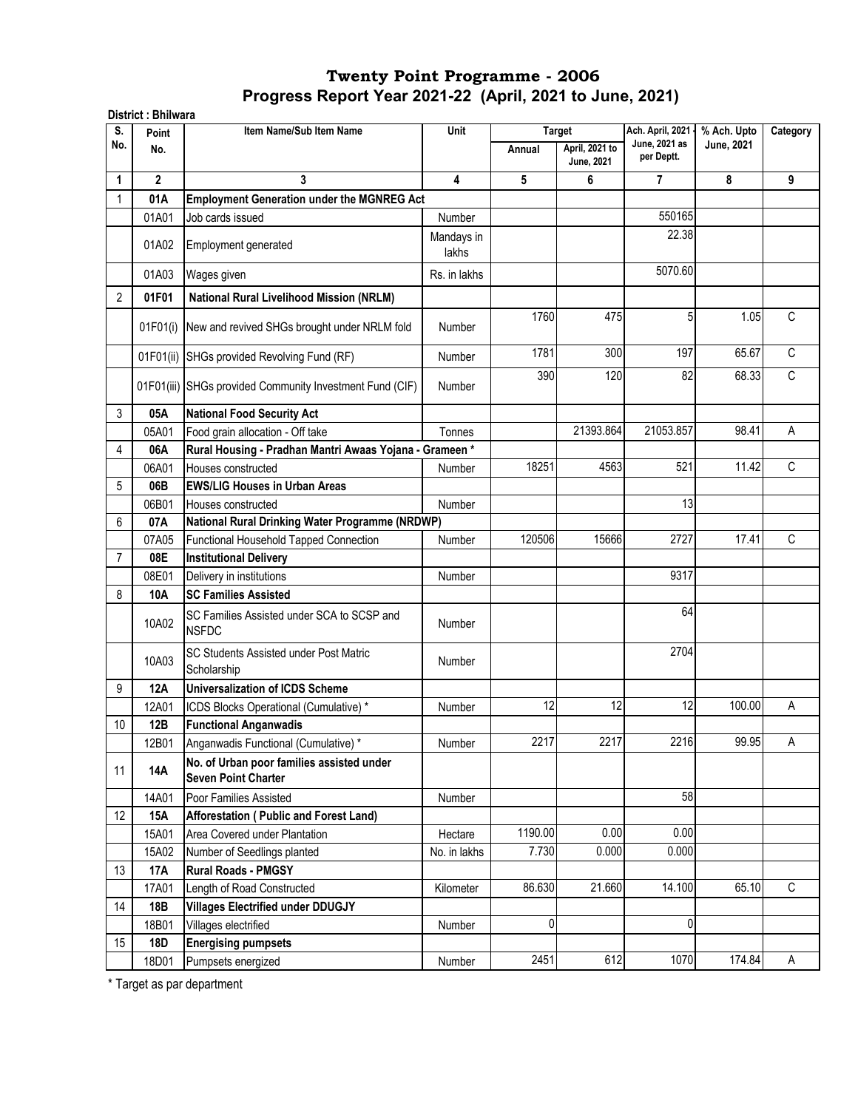| S.             | Point        | Item Name/Sub Item Name                                                 | Unit                | <b>Target</b> |                              | Ach. April, 2021 -          | % Ach. Upto | Category |
|----------------|--------------|-------------------------------------------------------------------------|---------------------|---------------|------------------------------|-----------------------------|-------------|----------|
| No.            | No.          |                                                                         |                     | Annual        | April, 2021 to<br>June, 2021 | June, 2021 as<br>per Deptt. | June, 2021  |          |
| 1              | $\mathbf{2}$ | 3                                                                       | $\overline{4}$      | 5             | 6                            | 7                           | 8           | 9        |
| 1              | 01A          | <b>Employment Generation under the MGNREG Act</b>                       |                     |               |                              |                             |             |          |
|                | 01A01        | Job cards issued                                                        | Number              |               |                              | 550165                      |             |          |
|                | 01A02        | Employment generated                                                    | Mandays in<br>lakhs |               |                              | 22.38                       |             |          |
|                | 01A03        | Wages given                                                             | Rs. in lakhs        |               |                              | 5070.60                     |             |          |
| $\overline{2}$ | 01F01        | <b>National Rural Livelihood Mission (NRLM)</b>                         |                     |               |                              |                             |             |          |
|                | 01F01(i)     | New and revived SHGs brought under NRLM fold                            | Number              | 1760          | 475                          | 5                           | 1.05        | C        |
|                | 01F01(ii)    | SHGs provided Revolving Fund (RF)                                       | Number              | 1781          | $\overline{300}$             | 197                         | 65.67       | C        |
|                |              | 01F01(iii) SHGs provided Community Investment Fund (CIF)                | <b>Number</b>       | 390           | 120                          | 82                          | 68.33       | C        |
| 3              | 05A          | <b>National Food Security Act</b>                                       |                     |               |                              |                             |             |          |
|                | 05A01        | Food grain allocation - Off take                                        | Tonnes              |               | 21393.864                    | 21053.857                   | 98.41       | A        |
| 4              | 06A          | Rural Housing - Pradhan Mantri Awaas Yojana - Grameen*                  |                     |               |                              |                             |             |          |
|                | 06A01        | Houses constructed                                                      | Number              | 18251         | 4563                         | 521                         | 11.42       | C        |
| 5              | 06B          | <b>EWS/LIG Houses in Urban Areas</b>                                    |                     |               |                              |                             |             |          |
|                | 06B01        | Houses constructed                                                      | Number              |               |                              | 13                          |             |          |
| 6              | 07A          | National Rural Drinking Water Programme (NRDWP)                         |                     |               |                              |                             |             |          |
|                | 07A05        | Functional Household Tapped Connection                                  | Number              | 120506        | 15666                        | 2727                        | 17.41       | C        |
| $\overline{7}$ | 08E          | <b>Institutional Delivery</b>                                           |                     |               |                              |                             |             |          |
|                | 08E01        | Delivery in institutions                                                | <b>Number</b>       |               |                              | 9317                        |             |          |
| 8              | 10A          | <b>SC Families Assisted</b>                                             |                     |               |                              |                             |             |          |
|                | 10A02        | SC Families Assisted under SCA to SCSP and<br><b>NSFDC</b>              | <b>Number</b>       |               |                              | 64                          |             |          |
|                | 10A03        | SC Students Assisted under Post Matric<br>Scholarship                   | Number              |               |                              | 2704                        |             |          |
| 9              | <b>12A</b>   | <b>Universalization of ICDS Scheme</b>                                  |                     |               |                              |                             |             |          |
|                | 12A01        | ICDS Blocks Operational (Cumulative) *                                  | Number              | 12            | 12                           | 12                          | 100.00      | Α        |
| 10             | 12B          | <b>Functional Anganwadis</b>                                            |                     |               |                              |                             |             |          |
|                | 12B01        | Anganwadis Functional (Cumulative) *                                    | Number              | 2217          | 2217                         | 2216                        | 99.95       | Α        |
| 11             | 14A          | No. of Urban poor families assisted under<br><b>Seven Point Charter</b> |                     |               |                              |                             |             |          |
|                | 14A01        | Poor Families Assisted                                                  | Number              |               |                              | 58                          |             |          |
| 12             | 15A          | Afforestation (Public and Forest Land)                                  |                     |               |                              |                             |             |          |
|                | 15A01        | Area Covered under Plantation                                           | Hectare             | 1190.00       | 0.00                         | 0.00                        |             |          |
|                | 15A02        | Number of Seedlings planted                                             | No. in lakhs        | 7.730         | 0.000                        | 0.000                       |             |          |
| 13             | 17A          | <b>Rural Roads - PMGSY</b>                                              |                     |               |                              |                             |             |          |
|                | 17A01        | Length of Road Constructed                                              | Kilometer           | 86.630        | 21.660                       | 14.100                      | 65.10       | C        |
| 14             | 18B          | <b>Villages Electrified under DDUGJY</b>                                |                     |               |                              |                             |             |          |
|                | 18B01        | Villages electrified                                                    | Number              | 0             |                              | 0                           |             |          |
| 15             | 18D          | <b>Energising pumpsets</b>                                              |                     |               |                              |                             |             |          |
|                | 18D01        | Pumpsets energized                                                      | Number              | 2451          | 612                          | 1070                        | 174.84      | A        |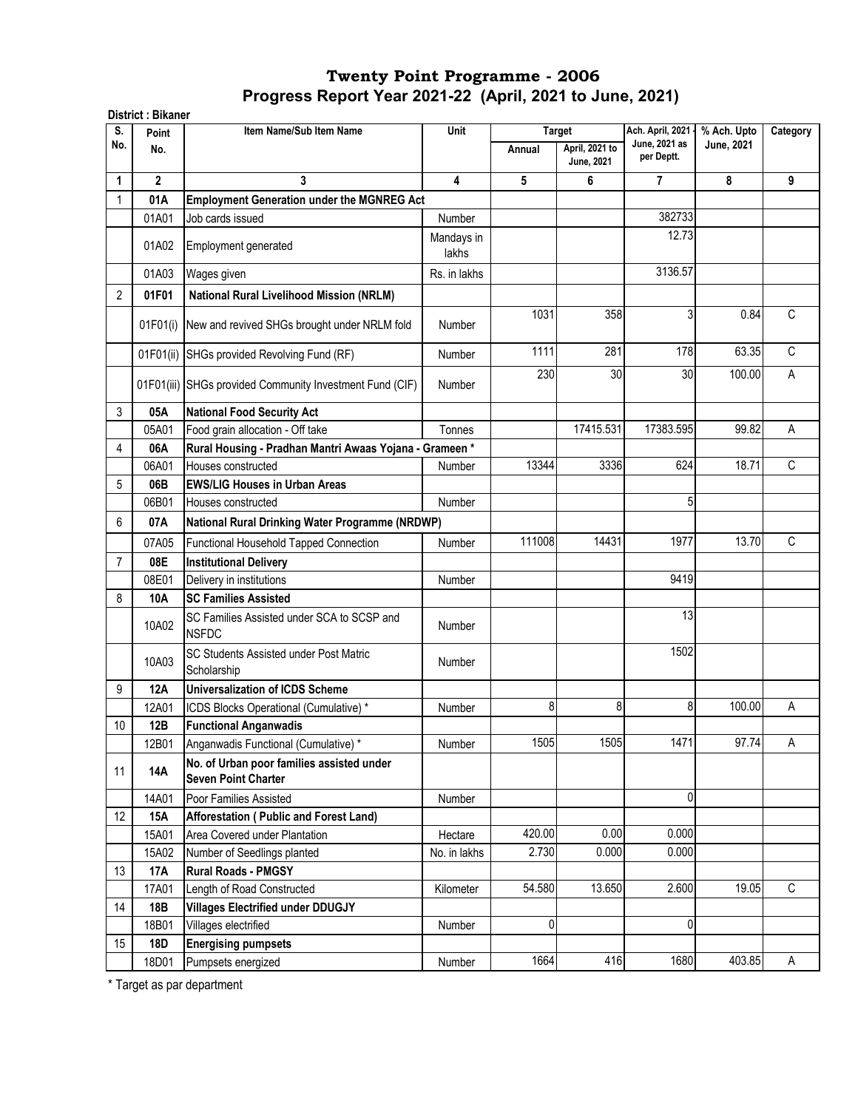| S.             | Point        | Item Name/Sub Item Name                                                 | Unit                |             | <b>Target</b>                | Ach. April, 2021 -          | % Ach. Upto | Category |
|----------------|--------------|-------------------------------------------------------------------------|---------------------|-------------|------------------------------|-----------------------------|-------------|----------|
| No.            | No.          |                                                                         |                     | Annual      | April, 2021 to<br>June, 2021 | June, 2021 as<br>per Deptt. | June, 2021  |          |
| 1              | $\mathbf{2}$ | 3                                                                       | 4                   | 5           | 6                            | 7                           | 8           | 9        |
| 1              | 01A          | <b>Employment Generation under the MGNREG Act</b>                       |                     |             |                              |                             |             |          |
|                | 01A01        | Job cards issued                                                        | Number              |             |                              | 382733                      |             |          |
|                | 01A02        | Employment generated                                                    | Mandays in<br>lakhs |             |                              | 12.73                       |             |          |
|                | 01A03        | Wages given                                                             | Rs. in lakhs        |             |                              | 3136.57                     |             |          |
| $\overline{2}$ | 01F01        | <b>National Rural Livelihood Mission (NRLM)</b>                         |                     |             |                              |                             |             |          |
|                | 01F01(i)     | New and revived SHGs brought under NRLM fold                            | Number              | 1031        | 358                          | 3                           | 0.84        | C        |
|                | 01F01(ii)    | SHGs provided Revolving Fund (RF)                                       | Number              | 1111        | 281                          | 178                         | 63.35       | C        |
|                |              | 01F01(iii) SHGs provided Community Investment Fund (CIF)                | Number              | 230         | 30                           | 30                          | 100.00      | Α        |
| 3              | 05A          | <b>National Food Security Act</b>                                       |                     |             |                              |                             |             |          |
|                | 05A01        | Food grain allocation - Off take                                        | Tonnes              |             | 17415.531                    | 17383.595                   | 99.82       | A        |
| 4              | 06A          | Rural Housing - Pradhan Mantri Awaas Yojana - Grameen*                  |                     |             |                              |                             |             |          |
|                | 06A01        | Houses constructed                                                      | Number              | 13344       | 3336                         | 624                         | 18.71       | C        |
| 5              | 06B          | <b>EWS/LIG Houses in Urban Areas</b>                                    |                     |             |                              |                             |             |          |
|                | 06B01        | Houses constructed                                                      | Number              |             |                              | 5                           |             |          |
| 6              | 07A          | National Rural Drinking Water Programme (NRDWP)                         |                     |             |                              |                             |             |          |
|                | 07A05        | Functional Household Tapped Connection                                  | <b>Number</b>       | 111008      | 14431                        | 1977                        | 13.70       | C        |
| $\overline{7}$ | 08E          | <b>Institutional Delivery</b>                                           |                     |             |                              |                             |             |          |
|                | 08E01        | Delivery in institutions                                                | <b>Number</b>       |             |                              | 9419                        |             |          |
| 8              | 10A          | <b>SC Families Assisted</b>                                             |                     |             |                              |                             |             |          |
|                |              |                                                                         |                     |             |                              | 13                          |             |          |
|                | 10A02        | SC Families Assisted under SCA to SCSP and<br><b>NSFDC</b>              | Number              |             |                              |                             |             |          |
|                | 10A03        | <b>SC Students Assisted under Post Matric</b><br>Scholarship            | Number              |             |                              | 1502                        |             |          |
| 9              | 12A          | <b>Universalization of ICDS Scheme</b>                                  |                     |             |                              |                             |             |          |
|                | 12A01        | ICDS Blocks Operational (Cumulative) *                                  | Number              | 8           | 8                            | 8                           | 100.00      | Α        |
| 10             | 12B          | <b>Functional Anganwadis</b>                                            |                     |             |                              |                             |             |          |
|                | 12B01        | Anganwadis Functional (Cumulative) *                                    | Number              | 1505        | 1505                         | 1471                        | 97.74       | A        |
| 11             | 14A          | No. of Urban poor families assisted under<br><b>Seven Point Charter</b> |                     |             |                              |                             |             |          |
|                | 14A01        | Poor Families Assisted                                                  | Number              |             |                              | 0                           |             |          |
| 12             | 15A          | Afforestation (Public and Forest Land)                                  |                     |             |                              |                             |             |          |
|                | 15A01        | Area Covered under Plantation                                           | Hectare             | 420.00      | 0.00                         | 0.000                       |             |          |
|                | 15A02        | Number of Seedlings planted                                             | No. in lakhs        | 2.730       | 0.000                        | 0.000                       |             |          |
| 13             | 17A          | <b>Rural Roads - PMGSY</b>                                              |                     |             |                              |                             |             |          |
|                | 17A01        | Length of Road Constructed                                              | Kilometer           | 54.580      | 13.650                       | 2.600                       | 19.05       | C        |
| 14             | 18B          | <b>Villages Electrified under DDUGJY</b>                                |                     |             |                              |                             |             |          |
|                | 18B01        | Villages electrified                                                    | Number              | $\mathbf 0$ |                              | 0                           |             |          |
| 15             | <b>18D</b>   | <b>Energising pumpsets</b>                                              |                     |             |                              |                             |             |          |
|                | 18D01        | Pumpsets energized                                                      | Number              | 1664        | 416                          | 1680                        | 403.85      | Α        |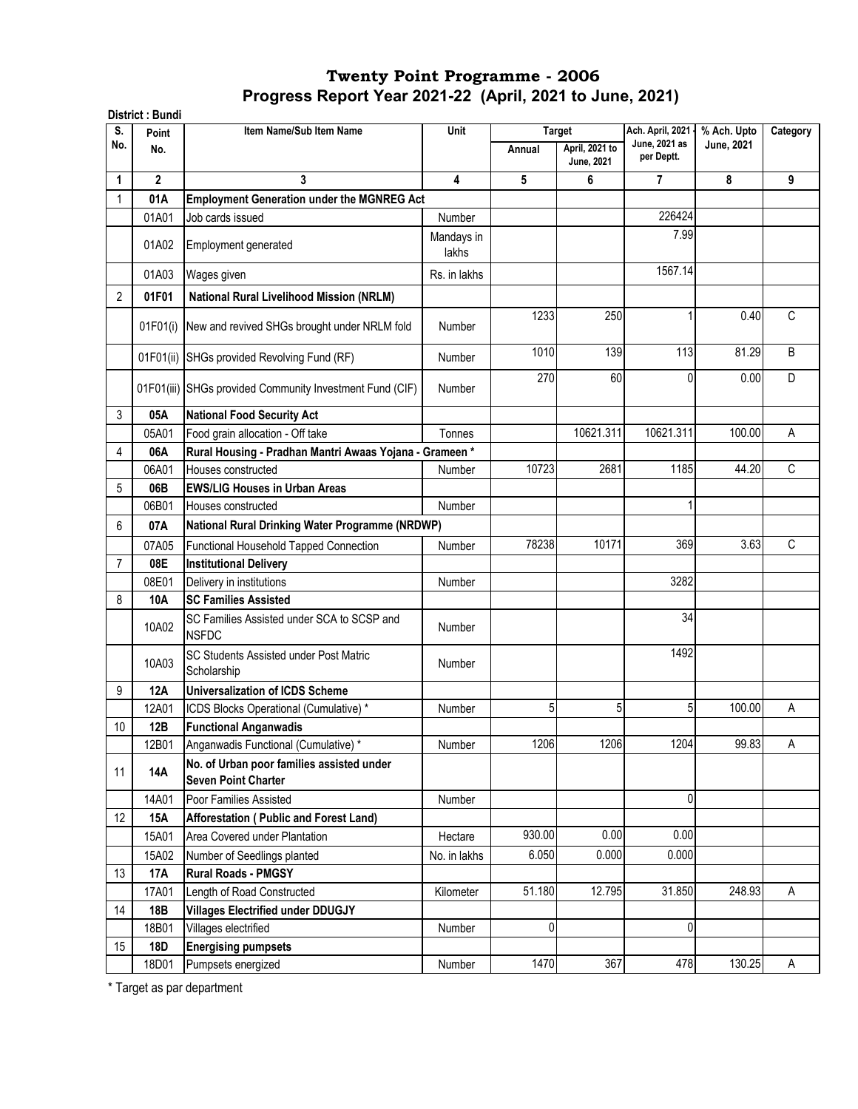|                | District: Bundi |                                                                         |               |        |                                     |                             |                   |              |
|----------------|-----------------|-------------------------------------------------------------------------|---------------|--------|-------------------------------------|-----------------------------|-------------------|--------------|
| S.             | Point           | Item Name/Sub Item Name                                                 | Unit          |        | <b>Target</b>                       | Ach. April, 2021            | % Ach. Upto       | Category     |
| No.            | No.             |                                                                         |               | Annual | April, 2021 to<br><b>June, 2021</b> | June, 2021 as<br>per Deptt. | <b>June, 2021</b> |              |
| 1              | $\mathbf{2}$    | 3                                                                       | 4             | 5      | 6                                   | 7                           | 8                 | 9            |
|                | 01A             | <b>Employment Generation under the MGNREG Act</b>                       |               |        |                                     |                             |                   |              |
|                | 01A01           | Job cards issued                                                        | Number        |        |                                     | 226424                      |                   |              |
|                |                 |                                                                         | Mandays in    |        |                                     | 7.99                        |                   |              |
|                | 01A02           | Employment generated                                                    | lakhs         |        |                                     |                             |                   |              |
|                | 01A03           | Wages given                                                             | Rs. in lakhs  |        |                                     | 1567.14                     |                   |              |
| $\overline{2}$ | 01F01           | <b>National Rural Livelihood Mission (NRLM)</b>                         |               |        |                                     |                             |                   |              |
|                | 01F01(i)        | New and revived SHGs brought under NRLM fold                            | <b>Number</b> | 1233   | 250                                 |                             | 0.40              | C            |
|                | 01F01(ii)       | SHGs provided Revolving Fund (RF)                                       | <b>Number</b> | 1010   | 139                                 | 113                         | 81.29             | B            |
|                |                 | 01F01(iii) SHGs provided Community Investment Fund (CIF)                | <b>Number</b> | 270    | 60                                  | 0                           | 0.00              | D            |
| 3              | 05A             | <b>National Food Security Act</b>                                       |               |        |                                     |                             |                   |              |
|                | 05A01           | Food grain allocation - Off take                                        | Tonnes        |        | 10621.311                           | 10621.311                   | 100.00            | A            |
| 4              | 06A             | Rural Housing - Pradhan Mantri Awaas Yojana - Grameen*                  |               |        |                                     |                             |                   |              |
|                | 06A01           | Houses constructed                                                      | Number        | 10723  | 2681                                | 1185                        | 44.20             | $\mathsf{C}$ |
| 5              | 06B             | <b>EWS/LIG Houses in Urban Areas</b>                                    |               |        |                                     |                             |                   |              |
|                | 06B01           | Houses constructed                                                      | Number        |        |                                     | 1                           |                   |              |
| 6              | 07A             | National Rural Drinking Water Programme (NRDWP)                         |               |        |                                     |                             |                   |              |
|                | 07A05           | Functional Household Tapped Connection                                  | Number        | 78238  | 10171                               | 369                         | 3.63              | C            |
| 7              | 08E             | <b>Institutional Delivery</b>                                           |               |        |                                     |                             |                   |              |
|                | 08E01           | Delivery in institutions                                                | <b>Number</b> |        |                                     | 3282                        |                   |              |
| 8              | 10A             | <b>SC Families Assisted</b>                                             |               |        |                                     |                             |                   |              |
|                |                 | SC Families Assisted under SCA to SCSP and                              |               |        |                                     | 34                          |                   |              |
|                | 10A02           | <b>NSFDC</b>                                                            | Number        |        |                                     |                             |                   |              |
|                | 10A03           | <b>SC Students Assisted under Post Matric</b><br>Scholarship            | <b>Number</b> |        |                                     | 1492                        |                   |              |
| 9              | 12A             | <b>Universalization of ICDS Scheme</b>                                  |               |        |                                     |                             |                   |              |
|                | 12A01           | ICDS Blocks Operational (Cumulative) *                                  | Number        | 5      | 5                                   | 5                           | 100.00            | Α            |
| 10             | 12B             | <b>Functional Anganwadis</b>                                            |               |        |                                     |                             |                   |              |
|                | 12B01           | Anganwadis Functional (Cumulative) *                                    | Number        | 1206   | 1206                                | 1204                        | 99.83             | A            |
| 11             | <b>14A</b>      | No. of Urban poor families assisted under<br><b>Seven Point Charter</b> |               |        |                                     |                             |                   |              |
|                | 14A01           | Poor Families Assisted                                                  | Number        |        |                                     | 0                           |                   |              |
| 12             | 15A             | Afforestation (Public and Forest Land)                                  |               |        |                                     |                             |                   |              |
|                | 15A01           | Area Covered under Plantation                                           | Hectare       | 930.00 | 0.00                                | 0.00                        |                   |              |
|                | 15A02           | Number of Seedlings planted                                             | No. in lakhs  | 6.050  | 0.000                               | 0.000                       |                   |              |
| 13             | 17A             | <b>Rural Roads - PMGSY</b>                                              |               |        |                                     |                             |                   |              |
|                | 17A01           | Length of Road Constructed                                              | Kilometer     | 51.180 | 12.795                              | 31.850                      | 248.93            | A            |
| 14             | 18B             | <b>Villages Electrified under DDUGJY</b>                                |               |        |                                     |                             |                   |              |
|                | 18B01           | Villages electrified                                                    | Number        | 0      |                                     | 0                           |                   |              |
| 15             | <b>18D</b>      | <b>Energising pumpsets</b>                                              |               |        |                                     |                             |                   |              |
|                | 18D01           | Pumpsets energized                                                      | Number        | 1470   | 367                                 | 478                         | 130.25            | A            |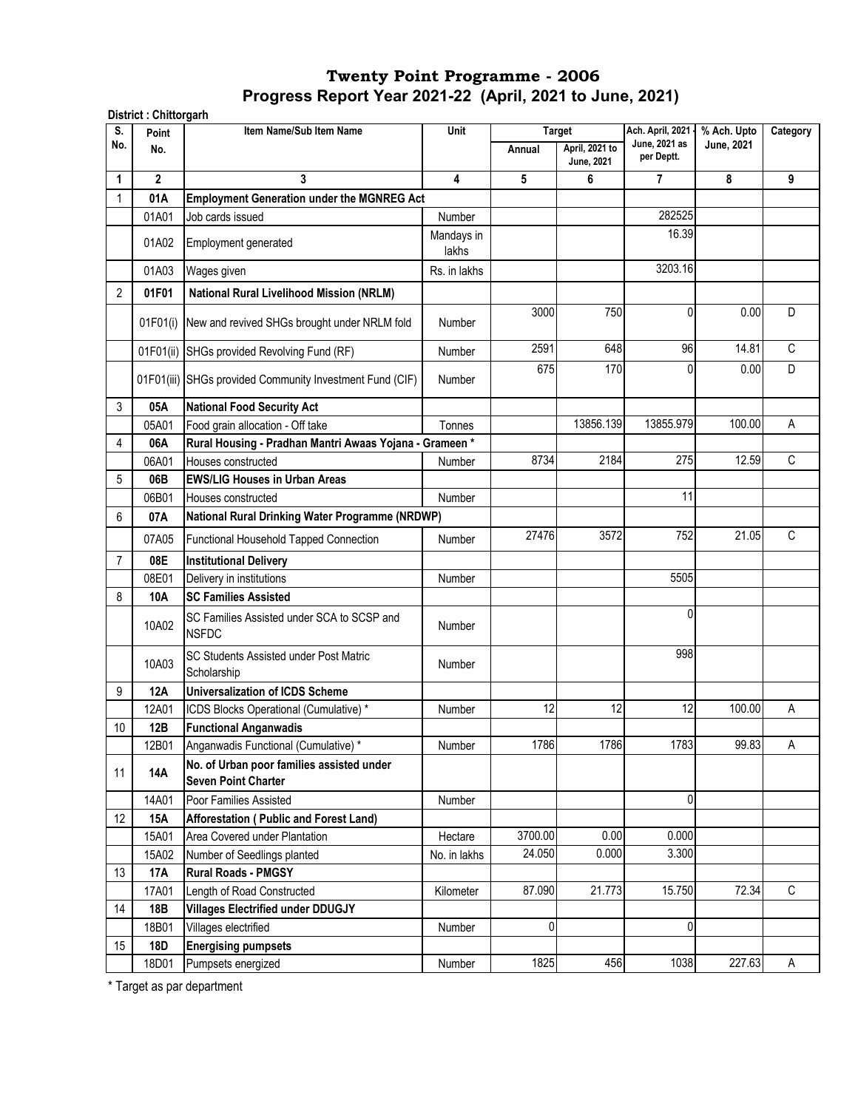| S.             | District: Chittorgarh<br>Point | Item Name/Sub Item Name                                                 | Unit          |         | <b>Target</b>                | Ach. April, 2021 -          | % Ach. Upto       | Category |
|----------------|--------------------------------|-------------------------------------------------------------------------|---------------|---------|------------------------------|-----------------------------|-------------------|----------|
| No.            | No.                            |                                                                         |               | Annual  | April, 2021 to<br>June, 2021 | June, 2021 as<br>per Deptt. | <b>June, 2021</b> |          |
| 1              | $\mathbf{2}$                   | 3                                                                       | 4             | 5       | 6                            | 7                           | 8                 | 9        |
|                | 01A                            | <b>Employment Generation under the MGNREG Act</b>                       |               |         |                              |                             |                   |          |
|                | 01A01                          | Job cards issued                                                        | <b>Number</b> |         |                              | 282525                      |                   |          |
|                | 01A02                          |                                                                         | Mandays in    |         |                              | 16.39                       |                   |          |
|                |                                | Employment generated                                                    | lakhs         |         |                              |                             |                   |          |
|                | 01A03                          | Wages given                                                             | Rs. in lakhs  |         |                              | 3203.16                     |                   |          |
| $\overline{2}$ | 01F01                          | <b>National Rural Livelihood Mission (NRLM)</b>                         |               |         |                              |                             |                   |          |
|                |                                |                                                                         |               | 3000    | 750                          | $\mathbf{0}$                | 0.00              | D        |
|                |                                | 01F01(i) New and revived SHGs brought under NRLM fold                   | <b>Number</b> |         |                              |                             |                   |          |
|                |                                | 01F01(ii) SHGs provided Revolving Fund (RF)                             | Number        | 2591    | 648                          | 96                          | 14.81             | C        |
|                |                                |                                                                         |               | 675     | 170                          | 0                           | 0.00              | D        |
|                |                                | 01F01(iii) SHGs provided Community Investment Fund (CIF)                | <b>Number</b> |         |                              |                             |                   |          |
| 3              | 05A                            | <b>National Food Security Act</b>                                       |               |         |                              |                             |                   |          |
|                | 05A01                          | Food grain allocation - Off take                                        | Tonnes        |         | 13856.139                    | 13855.979                   | 100.00            | Α        |
| 4              | 06A                            | Rural Housing - Pradhan Mantri Awaas Yojana - Grameen*                  |               |         |                              |                             |                   |          |
|                | 06A01                          | Houses constructed                                                      | <b>Number</b> | 8734    | 2184                         | 275                         | 12.59             | C        |
| 5              | 06B                            | <b>EWS/LIG Houses in Urban Areas</b>                                    |               |         |                              |                             |                   |          |
|                | 06B01                          | Houses constructed                                                      | Number        |         |                              | 11                          |                   |          |
| 6              | 07A                            | National Rural Drinking Water Programme (NRDWP)                         |               |         |                              |                             |                   |          |
|                | 07A05                          | Functional Household Tapped Connection                                  | Number        | 27476   | 3572                         | 752                         | 21.05             | C        |
|                |                                |                                                                         |               |         |                              |                             |                   |          |
| 7              | 08E                            | <b>Institutional Delivery</b>                                           |               |         |                              |                             |                   |          |
|                | 08E01                          | Delivery in institutions                                                | <b>Number</b> |         |                              | 5505                        |                   |          |
| 8              | 10A                            | <b>SC Families Assisted</b>                                             |               |         |                              | 0                           |                   |          |
|                | 10A02                          | SC Families Assisted under SCA to SCSP and<br><b>NSFDC</b>              | Number        |         |                              |                             |                   |          |
|                | 10A03                          | SC Students Assisted under Post Matric<br>Scholarship                   | Number        |         |                              | 998                         |                   |          |
| 9              | <b>12A</b>                     | <b>Universalization of ICDS Scheme</b>                                  |               |         |                              |                             |                   |          |
|                | 12A01                          | ICDS Blocks Operational (Cumulative) *                                  | Number        | 12      | 12                           | 12                          | 100.00            | A        |
| 10             | 12B                            | <b>Functional Anganwadis</b>                                            |               |         |                              |                             |                   |          |
|                | 12B01                          | Anganwadis Functional (Cumulative) *                                    | Number        | 1786    | 1786                         | 1783                        | 99.83             | A        |
| 11             | 14A                            | No. of Urban poor families assisted under<br><b>Seven Point Charter</b> |               |         |                              |                             |                   |          |
|                | 14A01                          | Poor Families Assisted                                                  | Number        |         |                              | 0                           |                   |          |
| 12             | 15A                            | Afforestation (Public and Forest Land)                                  |               |         |                              |                             |                   |          |
|                | 15A01                          | Area Covered under Plantation                                           | Hectare       | 3700.00 | 0.00                         | 0.000                       |                   |          |
|                | 15A02                          | Number of Seedlings planted                                             | No. in lakhs  | 24.050  | 0.000                        | 3.300                       |                   |          |
| 13             | <b>17A</b>                     | <b>Rural Roads - PMGSY</b>                                              |               |         |                              |                             |                   |          |
|                | 17A01                          | Length of Road Constructed                                              | Kilometer     | 87.090  | 21.773                       | 15.750                      | 72.34             | C        |
| 14             | 18B                            | <b>Villages Electrified under DDUGJY</b>                                |               |         |                              |                             |                   |          |
|                | 18B01                          | Villages electrified                                                    | Number        | 0       |                              | 0                           |                   |          |
| 15             | 18D                            | <b>Energising pumpsets</b>                                              |               |         |                              |                             |                   |          |
|                | 18D01                          | Pumpsets energized                                                      | Number        | 1825    | 456                          | 1038                        | 227.63            | A        |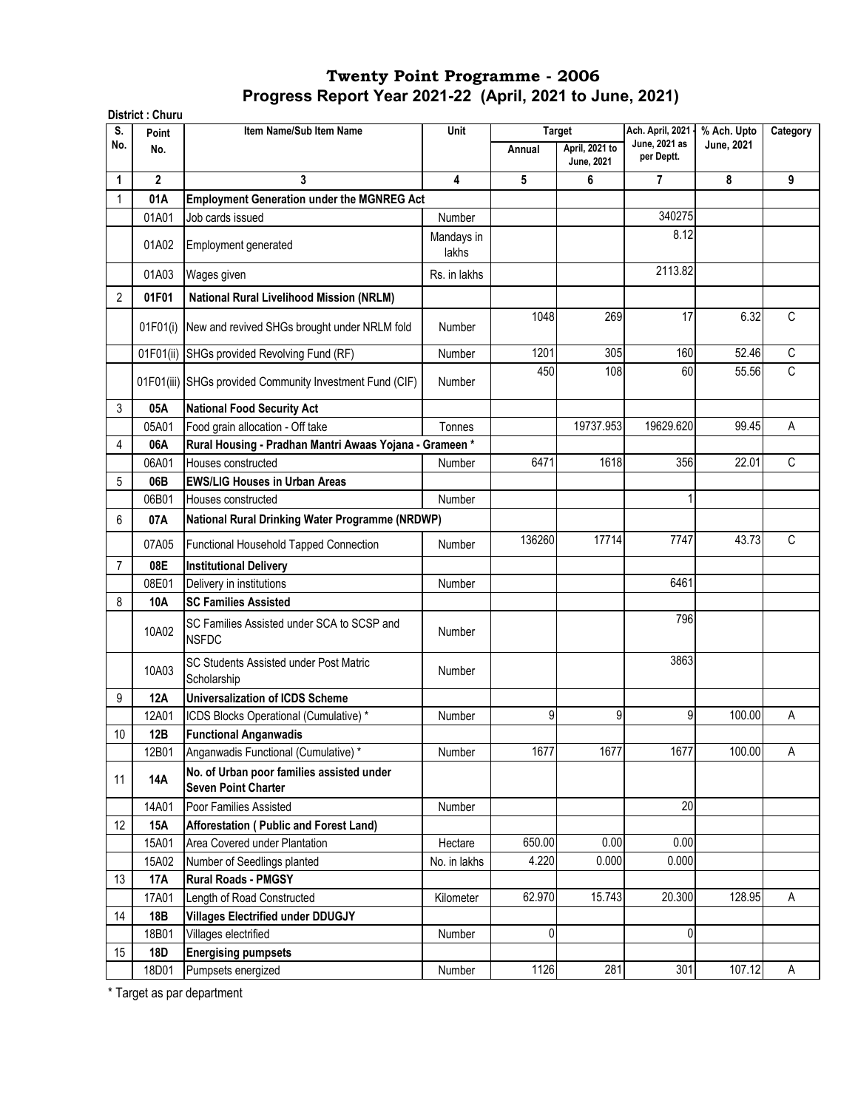|                | District: Churu |                                                                         |                     |        |                              |                                   |                                  |              |
|----------------|-----------------|-------------------------------------------------------------------------|---------------------|--------|------------------------------|-----------------------------------|----------------------------------|--------------|
| S.<br>No.      | Point           | Item Name/Sub Item Name                                                 | Unit                |        | <b>Target</b>                | Ach. April, 2021<br>June, 2021 as | % Ach. Upto<br><b>June, 2021</b> | Category     |
|                | No.             |                                                                         |                     | Annual | April, 2021 to<br>June, 2021 | per Deptt.                        |                                  |              |
| 1              | $\mathbf{2}$    | 3                                                                       | 4                   | 5      | 6                            | $\overline{7}$                    | 8                                | 9            |
|                | 01A             | <b>Employment Generation under the MGNREG Act</b>                       |                     |        |                              |                                   |                                  |              |
|                | 01A01           | Job cards issued                                                        | Number              |        |                              | 340275                            |                                  |              |
|                | 01A02           | Employment generated                                                    | Mandays in<br>lakhs |        |                              | 8.12                              |                                  |              |
|                | 01A03           | Wages given                                                             | Rs. in lakhs        |        |                              | 2113.82                           |                                  |              |
| 2              | 01F01           | <b>National Rural Livelihood Mission (NRLM)</b>                         |                     |        |                              |                                   |                                  |              |
|                | 01F01(i)        | New and revived SHGs brought under NRLM fold                            | Number              | 1048   | 269                          | 17                                | 6.32                             | $\mathsf{C}$ |
|                | 01F01(ii)       | SHGs provided Revolving Fund (RF)                                       | Number              | 1201   | 305                          | 160                               | 52.46                            | $\mathsf{C}$ |
|                |                 | 01F01(iii) SHGs provided Community Investment Fund (CIF)                | <b>Number</b>       | 450    | 108                          | 60                                | 55.56                            | C            |
| 3              | 05A             | <b>National Food Security Act</b>                                       |                     |        |                              |                                   |                                  |              |
|                | 05A01           | Food grain allocation - Off take                                        | Tonnes              |        | 19737.953                    | 19629.620                         | 99.45                            | A            |
| 4              | 06A             | Rural Housing - Pradhan Mantri Awaas Yojana - Grameen *                 |                     |        |                              |                                   |                                  |              |
|                | 06A01           | Houses constructed                                                      | Number              | 6471   | 1618                         | 356                               | 22.01                            | C            |
| 5              | 06B             | <b>EWS/LIG Houses in Urban Areas</b>                                    |                     |        |                              |                                   |                                  |              |
|                | 06B01           | Houses constructed                                                      | <b>Number</b>       |        |                              |                                   |                                  |              |
| 6              | 07A             | National Rural Drinking Water Programme (NRDWP)                         |                     |        |                              |                                   |                                  |              |
|                | 07A05           | <b>Functional Household Tapped Connection</b>                           | <b>Number</b>       | 136260 | 17714                        | 7747                              | 43.73                            | C            |
| $\overline{7}$ | 08E             | <b>Institutional Delivery</b>                                           |                     |        |                              |                                   |                                  |              |
|                | 08E01           | Delivery in institutions                                                | Number              |        |                              | 6461                              |                                  |              |
| 8              | 10A             | <b>SC Families Assisted</b>                                             |                     |        |                              |                                   |                                  |              |
|                | 10A02           | SC Families Assisted under SCA to SCSP and<br><b>NSFDC</b>              | <b>Number</b>       |        |                              | 796                               |                                  |              |
|                | 10A03           | SC Students Assisted under Post Matric<br>Scholarship                   | Number              |        |                              | 3863                              |                                  |              |
| 9              | 12A             | <b>Universalization of ICDS Scheme</b>                                  |                     |        |                              |                                   |                                  |              |
|                | 12A01           | ICDS Blocks Operational (Cumulative) *                                  | <b>Number</b>       | 9      | 9                            | 9                                 | 100.00                           | Α            |
| $10\,$         | 12B             | <b>Functional Anganwadis</b>                                            |                     |        |                              |                                   |                                  |              |
|                | 12B01           | Anganwadis Functional (Cumulative) *                                    | Number              | 1677   | 1677                         | 1677                              | 100.00                           | A            |
| 11             | 14A             | No. of Urban poor families assisted under<br><b>Seven Point Charter</b> |                     |        |                              |                                   |                                  |              |
|                | 14A01           | Poor Families Assisted                                                  | Number              |        |                              | 20                                |                                  |              |
| 12             | 15A             | Afforestation (Public and Forest Land)                                  |                     |        |                              |                                   |                                  |              |
|                | 15A01           | Area Covered under Plantation                                           | Hectare             | 650.00 | 0.00                         | 0.00                              |                                  |              |
|                | 15A02           | Number of Seedlings planted                                             | No. in lakhs        | 4.220  | 0.000                        | 0.000                             |                                  |              |
| 13             | 17A             | <b>Rural Roads - PMGSY</b>                                              |                     |        |                              |                                   |                                  |              |
|                | 17A01           | Length of Road Constructed                                              | Kilometer           | 62.970 | 15.743                       | 20.300                            | 128.95                           | Α            |
| 14             | 18B             | <b>Villages Electrified under DDUGJY</b>                                |                     |        |                              |                                   |                                  |              |
|                | 18B01           | Villages electrified                                                    | Number              | 0      |                              | 0                                 |                                  |              |
| 15             | 18D             | <b>Energising pumpsets</b>                                              |                     |        |                              |                                   |                                  |              |
|                | 18D01           | Pumpsets energized                                                      | Number              | 1126   | 281                          | 301                               | 107.12                           | Α            |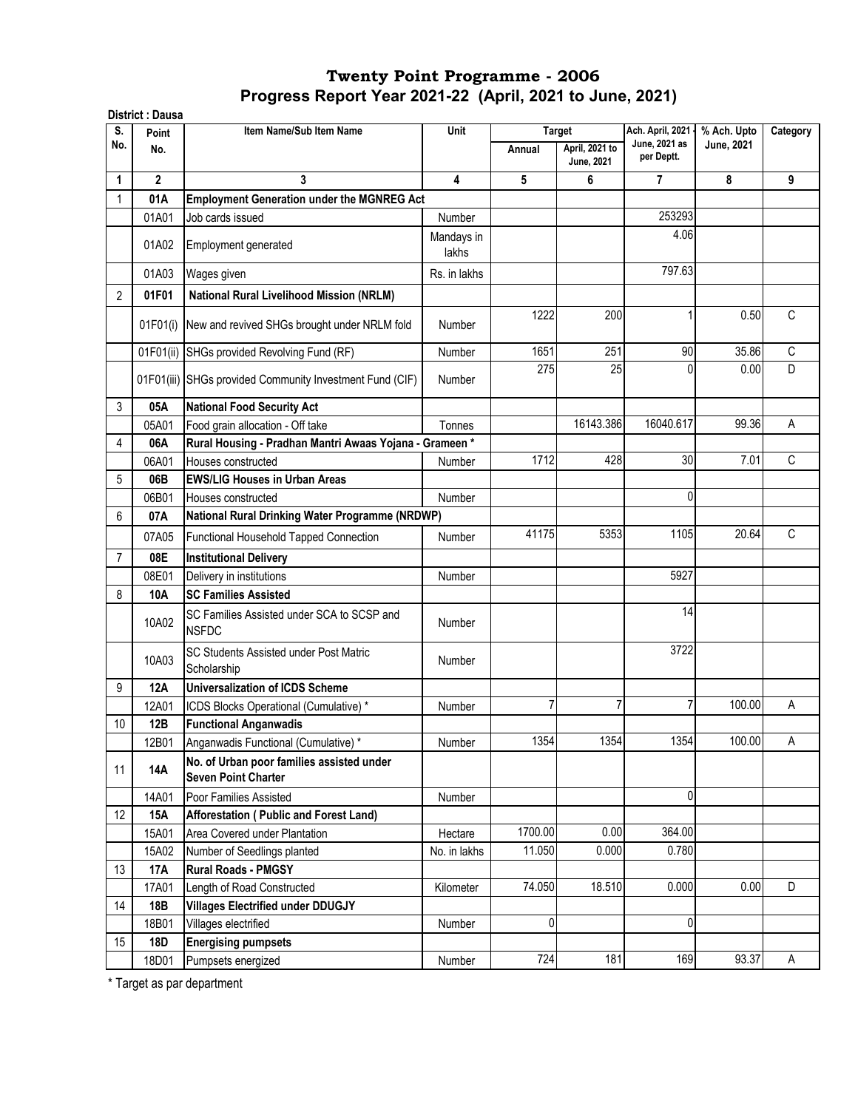|                | District : Dausa |                                                                         |                     |         |                              |                                   |                                  |             |
|----------------|------------------|-------------------------------------------------------------------------|---------------------|---------|------------------------------|-----------------------------------|----------------------------------|-------------|
| S.<br>No.      | Point            | Item Name/Sub Item Name                                                 | Unit                |         | <b>Target</b>                | Ach. April, 2021<br>June, 2021 as | % Ach. Upto<br><b>June, 2021</b> | Category    |
|                | No.              |                                                                         |                     | Annual  | April, 2021 to<br>June, 2021 | per Deptt.                        |                                  |             |
| 1              | $\mathbf{2}$     | 3                                                                       | 4                   | 5       | 6                            | $\overline{7}$                    | 8                                | 9           |
|                | 01A              | <b>Employment Generation under the MGNREG Act</b>                       |                     |         |                              |                                   |                                  |             |
|                | 01A01            | Job cards issued                                                        | Number              |         |                              | 253293                            |                                  |             |
|                | 01A02            | Employment generated                                                    | Mandays in<br>lakhs |         |                              | 4.06                              |                                  |             |
|                | 01A03            | Wages given                                                             | Rs. in lakhs        |         |                              | 797.63                            |                                  |             |
| $\overline{2}$ | 01F01            | <b>National Rural Livelihood Mission (NRLM)</b>                         |                     |         |                              |                                   |                                  |             |
|                | 01F01(i)         | New and revived SHGs brought under NRLM fold                            | Number              | 1222    | 200                          | 1                                 | 0.50                             | C           |
|                | 01F01(ii)        | SHGs provided Revolving Fund (RF)                                       | Number              | 1651    | 251                          | 90                                | 35.86                            | $\mathbb C$ |
|                |                  | 01F01(iii) SHGs provided Community Investment Fund (CIF)                | <b>Number</b>       | 275     | 25                           | 0                                 | 0.00                             | D           |
| 3              | 05A              | <b>National Food Security Act</b>                                       |                     |         |                              |                                   |                                  |             |
|                | 05A01            | Food grain allocation - Off take                                        | Tonnes              |         | 16143.386                    | 16040.617                         | 99.36                            | A           |
| 4              | 06A              | Rural Housing - Pradhan Mantri Awaas Yojana - Grameen*                  |                     |         |                              |                                   |                                  |             |
|                | 06A01            | Houses constructed                                                      | Number              | 1712    | 428                          | 30                                | 7.01                             | C           |
| 5              | 06B              | <b>EWS/LIG Houses in Urban Areas</b>                                    |                     |         |                              |                                   |                                  |             |
|                | 06B01            | Houses constructed                                                      | Number              |         |                              | 0                                 |                                  |             |
| 6              | 07A              | National Rural Drinking Water Programme (NRDWP)                         |                     |         |                              |                                   |                                  |             |
|                | 07A05            | Functional Household Tapped Connection                                  | Number              | 41175   | 5353                         | 1105                              | 20.64                            | C           |
| $\overline{7}$ | 08E              | <b>Institutional Delivery</b>                                           |                     |         |                              |                                   |                                  |             |
|                | 08E01            | Delivery in institutions                                                | Number              |         |                              | 5927                              |                                  |             |
| 8              | 10A              | <b>SC Families Assisted</b>                                             |                     |         |                              |                                   |                                  |             |
|                | 10A02            | SC Families Assisted under SCA to SCSP and<br><b>NSFDC</b>              | Number              |         |                              | 14                                |                                  |             |
|                | 10A03            | SC Students Assisted under Post Matric<br>Scholarship                   | Number              |         |                              | 3722                              |                                  |             |
| 9              | <b>12A</b>       | Universalization of ICDS Scheme                                         |                     |         |                              |                                   |                                  |             |
|                | 12A01            | ICDS Blocks Operational (Cumulative) *                                  | Number              | 7       | 7                            | 7                                 | 100.00                           | Α           |
| 10             | 12B              | <b>Functional Anganwadis</b>                                            |                     |         |                              |                                   |                                  |             |
|                | 12B01            | Anganwadis Functional (Cumulative) *                                    | Number              | 1354    | 1354                         | 1354                              | 100.00                           | Α           |
| 11             | <b>14A</b>       | No. of Urban poor families assisted under<br><b>Seven Point Charter</b> |                     |         |                              |                                   |                                  |             |
|                | 14A01            | Poor Families Assisted                                                  | Number              |         |                              | 0                                 |                                  |             |
| 12             | 15A              | Afforestation (Public and Forest Land)                                  |                     |         |                              |                                   |                                  |             |
|                | 15A01            | Area Covered under Plantation                                           | Hectare             | 1700.00 | 0.00                         | 364.00                            |                                  |             |
|                | 15A02            | Number of Seedlings planted                                             | No. in lakhs        | 11.050  | 0.000                        | 0.780                             |                                  |             |
| 13             | 17A              | <b>Rural Roads - PMGSY</b>                                              |                     |         |                              |                                   |                                  |             |
|                | 17A01            | Length of Road Constructed                                              | Kilometer           | 74.050  | 18.510                       | 0.000                             | 0.00                             | D           |
| 14             | 18B              | <b>Villages Electrified under DDUGJY</b>                                |                     |         |                              |                                   |                                  |             |
|                | 18B01            | Villages electrified                                                    | Number              | 0       |                              | 0                                 |                                  |             |
| 15             | <b>18D</b>       | <b>Energising pumpsets</b>                                              |                     |         |                              |                                   |                                  |             |
|                | 18D01            | Pumpsets energized                                                      | Number              | 724     | 181                          | 169                               | 93.37                            | A           |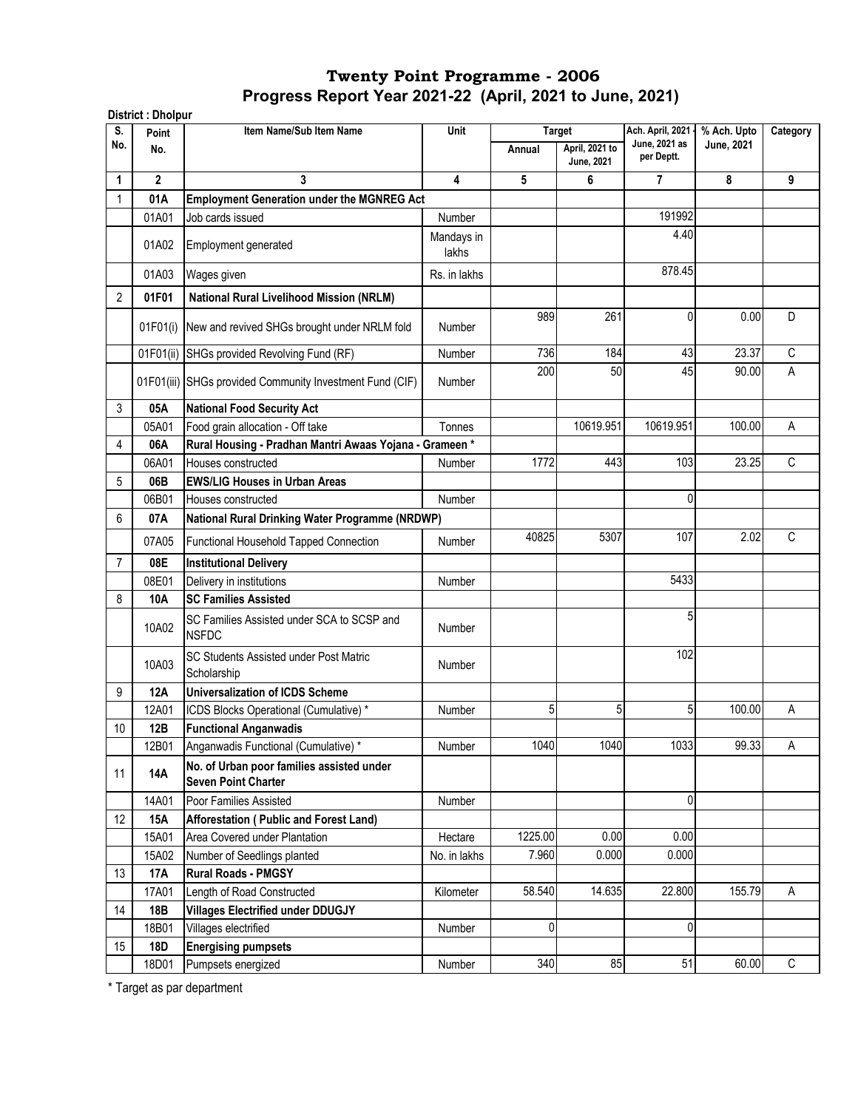|                | District: Dholpur |                                                                         |                     |         |                                               |                                                   |                           |             |
|----------------|-------------------|-------------------------------------------------------------------------|---------------------|---------|-----------------------------------------------|---------------------------------------------------|---------------------------|-------------|
| S.<br>No.      | Point<br>No.      | Item Name/Sub Item Name                                                 | Unit                | Annual  | <b>Target</b><br>April, 2021 to<br>June, 2021 | Ach. April, 2021 -<br>June, 2021 as<br>per Deptt. | % Ach. Upto<br>June, 2021 | Category    |
| 1              | $\mathbf{2}$      | 3                                                                       | $\overline{4}$      | 5       | 6                                             | 7                                                 | 8                         | 9           |
| 1              | 01A               | <b>Employment Generation under the MGNREG Act</b>                       |                     |         |                                               |                                                   |                           |             |
|                | 01A01             | Job cards issued                                                        | Number              |         |                                               | 191992                                            |                           |             |
|                | 01A02             | Employment generated                                                    | Mandays in<br>lakhs |         |                                               | 4.40                                              |                           |             |
|                | 01A03             | Wages given                                                             | Rs. in lakhs        |         |                                               | 878.45                                            |                           |             |
| $\overline{2}$ | 01F01             | <b>National Rural Livelihood Mission (NRLM)</b>                         |                     |         |                                               |                                                   |                           |             |
|                | 01F01(i)          | New and revived SHGs brought under NRLM fold                            | Number              | 989     | 261                                           | 0                                                 | 0.00                      | D           |
|                | 01F01(ii)         | SHGs provided Revolving Fund (RF)                                       | Number              | 736     | 184                                           | 43                                                | 23.37                     | C           |
|                |                   | 01F01(iii) SHGs provided Community Investment Fund (CIF)                | <b>Number</b>       | 200     | 50                                            | 45                                                | 90.00                     | A           |
| 3              | 05A               | <b>National Food Security Act</b>                                       |                     |         |                                               |                                                   |                           |             |
|                | 05A01             | Food grain allocation - Off take                                        | Tonnes              |         | 10619.951                                     | 10619.951                                         | 100.00                    | A           |
| 4              | 06A               | Rural Housing - Pradhan Mantri Awaas Yojana - Grameen*                  |                     |         |                                               |                                                   |                           |             |
|                | 06A01             | Houses constructed                                                      | Number              | 1772    | 443                                           | 103                                               | 23.25                     | C           |
| 5              | 06B               | <b>EWS/LIG Houses in Urban Areas</b>                                    |                     |         |                                               |                                                   |                           |             |
|                | 06B01             | Houses constructed                                                      | <b>Number</b>       |         |                                               | 0                                                 |                           |             |
| 6              | 07A               | National Rural Drinking Water Programme (NRDWP)                         |                     |         |                                               |                                                   |                           |             |
|                | 07A05             | Functional Household Tapped Connection                                  | <b>Number</b>       | 40825   | 5307                                          | 107                                               | 2.02                      | C           |
| $\overline{7}$ | 08E               | <b>Institutional Delivery</b>                                           |                     |         |                                               |                                                   |                           |             |
|                | 08E01             | Delivery in institutions                                                | Number              |         |                                               | 5433                                              |                           |             |
| 8              | 10A               | <b>SC Families Assisted</b>                                             |                     |         |                                               |                                                   |                           |             |
|                | 10A02             | SC Families Assisted under SCA to SCSP and<br><b>NSFDC</b>              | Number              |         |                                               | 5                                                 |                           |             |
|                | 10A03             | SC Students Assisted under Post Matric<br>Scholarship                   | <b>Number</b>       |         |                                               | 102                                               |                           |             |
| 9              | 12A               | <b>Universalization of ICDS Scheme</b>                                  |                     |         |                                               |                                                   |                           |             |
|                | 12A01             | ICDS Blocks Operational (Cumulative) *                                  | Number              | 5       | 5                                             | 5                                                 | 100.00                    | Α           |
| 10             | 12B               | <b>Functional Anganwadis</b>                                            |                     |         |                                               |                                                   |                           |             |
|                | 12B01             | Anganwadis Functional (Cumulative) *                                    | Number              | 1040    | 1040                                          | 1033                                              | 99.33                     | Α           |
| 11             | <b>14A</b>        | No. of Urban poor families assisted under<br><b>Seven Point Charter</b> |                     |         |                                               |                                                   |                           |             |
|                | 14A01             | Poor Families Assisted                                                  | Number              |         |                                               | 0                                                 |                           |             |
| 12             | 15A               | Afforestation (Public and Forest Land)                                  |                     |         |                                               |                                                   |                           |             |
|                | 15A01             | Area Covered under Plantation                                           | Hectare             | 1225.00 | 0.00                                          | 0.00                                              |                           |             |
|                | 15A02             | Number of Seedlings planted                                             | No. in lakhs        | 7.960   | 0.000                                         | 0.000                                             |                           |             |
| 13             | <b>17A</b>        | <b>Rural Roads - PMGSY</b>                                              |                     |         |                                               |                                                   |                           |             |
|                | 17A01             | Length of Road Constructed                                              | Kilometer           | 58.540  | 14.635                                        | 22.800                                            | 155.79                    | A           |
| 14             | 18B               | <b>Villages Electrified under DDUGJY</b>                                |                     |         |                                               |                                                   |                           |             |
|                | 18B01             | Villages electrified                                                    | Number              | 0       |                                               | 0                                                 |                           |             |
| 15             | 18D               | <b>Energising pumpsets</b>                                              |                     |         |                                               |                                                   |                           |             |
|                | 18D01             | Pumpsets energized                                                      | Number              | 340     | 85                                            | 51                                                | 60.00                     | $\mathbb C$ |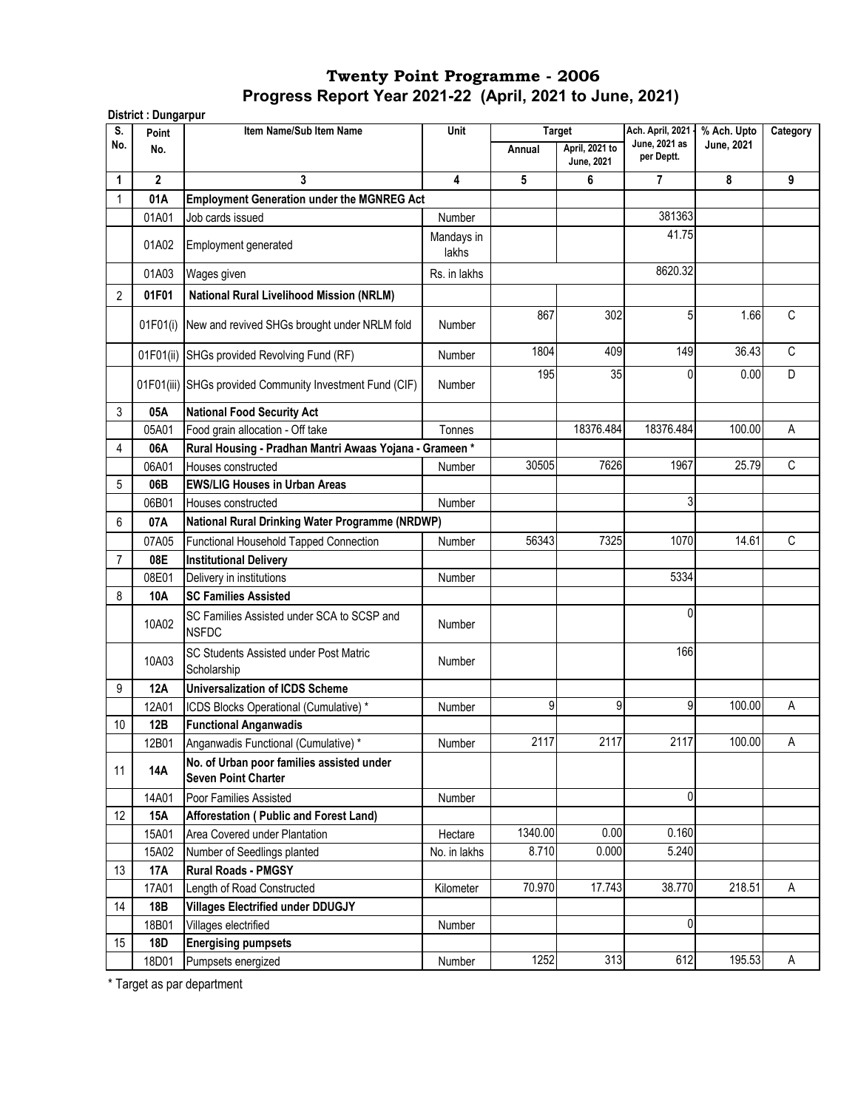| S.             | Point          | Item Name/Sub Item Name                                                 | Unit                | <b>Target</b> |                                     | Ach. April, 2021 -          | % Ach. Upto | Category     |
|----------------|----------------|-------------------------------------------------------------------------|---------------------|---------------|-------------------------------------|-----------------------------|-------------|--------------|
| No.            | No.            |                                                                         |                     | Annual        | April, 2021 to<br><b>June, 2021</b> | June, 2021 as<br>per Deptt. | June, 2021  |              |
| 1              | $\overline{2}$ | 3                                                                       | 4                   | 5             | 6                                   | $\overline{7}$              | 8           | 9            |
| 1              | 01A            | <b>Employment Generation under the MGNREG Act</b>                       |                     |               |                                     |                             |             |              |
|                | 01A01          | Job cards issued                                                        | Number              |               |                                     | 381363                      |             |              |
|                | 01A02          | Employment generated                                                    | Mandays in<br>lakhs |               |                                     | 41.75                       |             |              |
|                | 01A03          | Wages given                                                             | Rs. in lakhs        |               |                                     | 8620.32                     |             |              |
| $\overline{2}$ | 01F01          | <b>National Rural Livelihood Mission (NRLM)</b>                         |                     |               |                                     |                             |             |              |
|                | 01F01(i)       | New and revived SHGs brought under NRLM fold                            | Number              | 867           | 302                                 | 5                           | 1.66        | C            |
|                | 01F01(ii)      | SHGs provided Revolving Fund (RF)                                       | Number              | 1804          | 409                                 | 149                         | 36.43       | $\mathsf{C}$ |
|                |                | 01F01(iii) SHGs provided Community Investment Fund (CIF)                | <b>Number</b>       | 195           | 35                                  | 0                           | 0.00        | D            |
| 3              | 05A            | <b>National Food Security Act</b>                                       |                     |               |                                     |                             |             |              |
|                | 05A01          | Food grain allocation - Off take                                        | Tonnes              |               | 18376.484                           | 18376.484                   | 100.00      | A            |
| 4              | 06A            | Rural Housing - Pradhan Mantri Awaas Yojana - Grameen *                 |                     |               |                                     |                             |             |              |
|                | 06A01          | Houses constructed                                                      | Number              | 30505         | 7626                                | 1967                        | 25.79       | $\mathsf{C}$ |
| 5              | 06B            | <b>EWS/LIG Houses in Urban Areas</b>                                    |                     |               |                                     |                             |             |              |
|                | 06B01          | Houses constructed                                                      | Number              |               |                                     | 3                           |             |              |
| 6              | 07A            | National Rural Drinking Water Programme (NRDWP)                         |                     |               |                                     |                             |             |              |
|                | 07A05          | Functional Household Tapped Connection                                  | Number              | 56343         | 7325                                | 1070                        | 14.61       | C            |
| 7              | 08E            | <b>Institutional Delivery</b>                                           |                     |               |                                     |                             |             |              |
|                | 08E01          | Delivery in institutions                                                | Number              |               |                                     | 5334                        |             |              |
| 8              | 10A            | <b>SC Families Assisted</b>                                             |                     |               |                                     |                             |             |              |
|                | 10A02          | SC Families Assisted under SCA to SCSP and<br><b>NSFDC</b>              | Number              |               |                                     | $\Omega$                    |             |              |
|                | 10A03          | SC Students Assisted under Post Matric<br>Scholarship                   | <b>Number</b>       |               |                                     | 166                         |             |              |
| 9              | <b>12A</b>     | <b>Universalization of ICDS Scheme</b>                                  |                     |               |                                     |                             |             |              |
|                | 12A01          | ICDS Blocks Operational (Cumulative) *                                  | Number              | 9             | 9                                   | 9                           | 100.00      | Α            |
| 10             | 12B            | <b>Functional Anganwadis</b>                                            |                     |               |                                     |                             |             |              |
|                | 12B01          | Anganwadis Functional (Cumulative) *                                    | Number              | 2117          | 2117                                | 2117                        | 100.00      | Α            |
| 11             | 14A            | No. of Urban poor families assisted under<br><b>Seven Point Charter</b> |                     |               |                                     |                             |             |              |
|                | 14A01          | Poor Families Assisted                                                  | Number              |               |                                     | 0                           |             |              |
| 12             | 15A            | Afforestation (Public and Forest Land)                                  |                     |               |                                     |                             |             |              |
|                | 15A01          | Area Covered under Plantation                                           | Hectare             | 1340.00       | 0.00                                | 0.160                       |             |              |
|                | 15A02          | Number of Seedlings planted                                             | No. in lakhs        | 8.710         | 0.000                               | 5.240                       |             |              |
| 13             | 17A            | <b>Rural Roads - PMGSY</b>                                              |                     |               |                                     |                             |             |              |
|                | 17A01          | Length of Road Constructed                                              | Kilometer           | 70.970        | 17.743                              | 38.770                      | 218.51      | Α            |
| 14             | 18B            | <b>Villages Electrified under DDUGJY</b>                                |                     |               |                                     |                             |             |              |
|                | 18B01          | Villages electrified                                                    | Number              |               |                                     | 0                           |             |              |
| 15             | 18D            | <b>Energising pumpsets</b>                                              |                     |               |                                     |                             |             |              |
|                | 18D01          | Pumpsets energized                                                      | Number              | 1252          | 313                                 | 612                         | 195.53      | Α            |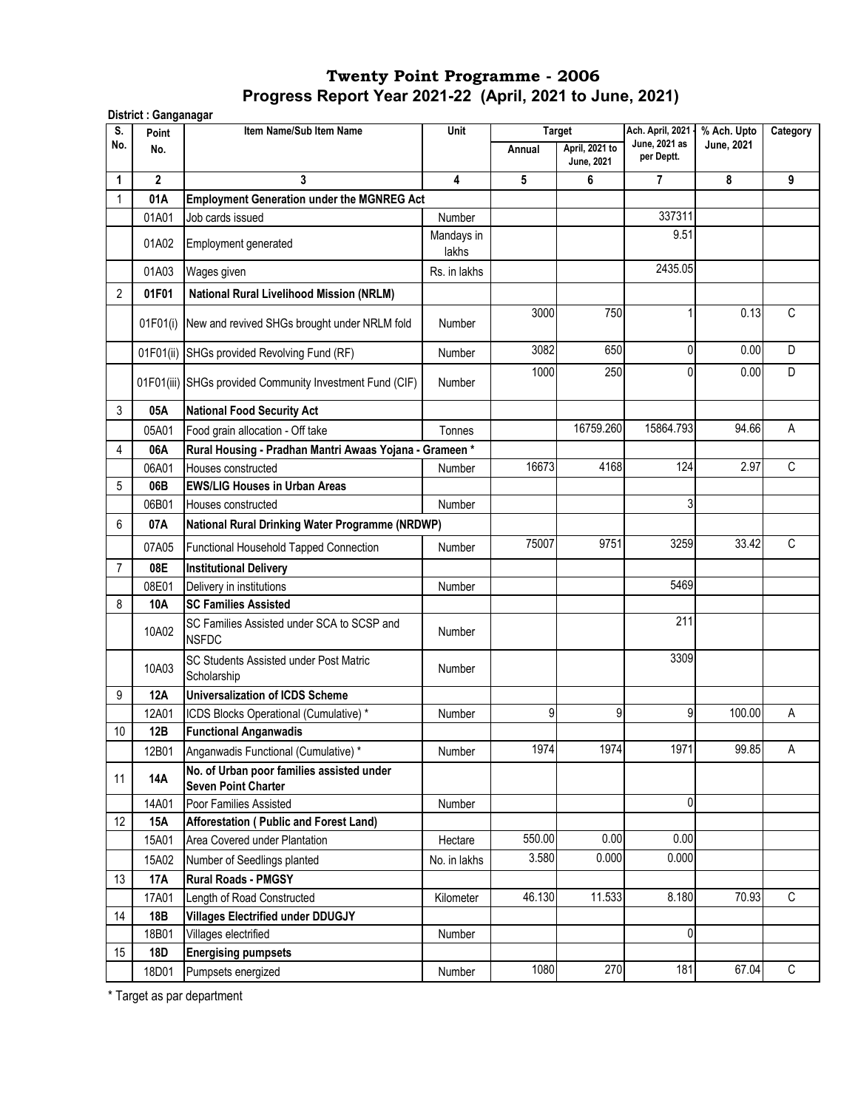| S.             | Point        | Item Name/Sub Item Name                                                 | Unit                    |        | <b>Target</b>                       | Ach. April, 2021 -          | % Ach. Upto | Category    |
|----------------|--------------|-------------------------------------------------------------------------|-------------------------|--------|-------------------------------------|-----------------------------|-------------|-------------|
| No.            | No.          |                                                                         |                         | Annual | April, 2021 to<br><b>June, 2021</b> | June, 2021 as<br>per Deptt. | June, 2021  |             |
| 1              | $\mathbf{2}$ | 3                                                                       | $\overline{\mathbf{4}}$ | 5      | 6                                   | $\overline{7}$              | 8           | 9           |
| 1              | 01A          | <b>Employment Generation under the MGNREG Act</b>                       |                         |        |                                     |                             |             |             |
|                | 01A01        | Job cards issued                                                        | Number                  |        |                                     | 337311                      |             |             |
|                | 01A02        | Employment generated                                                    | Mandays in<br>lakhs     |        |                                     | 9.51                        |             |             |
|                | 01A03        | Wages given                                                             | Rs. in lakhs            |        |                                     | 2435.05                     |             |             |
| $\overline{2}$ | 01F01        | National Rural Livelihood Mission (NRLM)                                |                         |        |                                     |                             |             |             |
|                | 01F01(i)     | New and revived SHGs brought under NRLM fold                            | <b>Number</b>           | 3000   | 750                                 | 1                           | 0.13        | $\mathsf C$ |
|                | 01F01(ii)    | SHGs provided Revolving Fund (RF)                                       | Number                  | 3082   | 650                                 | 0                           | 0.00        | D           |
|                |              | 01F01(iii) SHGs provided Community Investment Fund (CIF)                | <b>Number</b>           | 1000   | 250                                 | 0                           | 0.00        | D           |
| 3              | 05A          | <b>National Food Security Act</b>                                       |                         |        |                                     |                             |             |             |
|                | 05A01        | Food grain allocation - Off take                                        | Tonnes                  |        | 16759.260                           | 15864.793                   | 94.66       | A           |
| 4              | 06A          | Rural Housing - Pradhan Mantri Awaas Yojana - Grameen *                 |                         |        |                                     |                             |             |             |
|                | 06A01        | Houses constructed                                                      | <b>Number</b>           | 16673  | 4168                                | 124                         | 2.97        | C           |
| 5              | 06B          | <b>EWS/LIG Houses in Urban Areas</b>                                    |                         |        |                                     |                             |             |             |
|                | 06B01        | Houses constructed                                                      | Number                  |        |                                     | 3                           |             |             |
| 6              | 07A          | National Rural Drinking Water Programme (NRDWP)                         |                         |        |                                     |                             |             |             |
|                | 07A05        | Functional Household Tapped Connection                                  | <b>Number</b>           | 75007  | 9751                                | 3259                        | 33.42       | С           |
| 7              | 08E          | <b>Institutional Delivery</b>                                           |                         |        |                                     |                             |             |             |
|                | 08E01        | Delivery in institutions                                                | Number                  |        |                                     | 5469                        |             |             |
| 8              | 10A          | <b>SC Families Assisted</b>                                             |                         |        |                                     |                             |             |             |
|                | 10A02        | SC Families Assisted under SCA to SCSP and<br><b>NSFDC</b>              | Number                  |        |                                     | 211                         |             |             |
|                | 10A03        | SC Students Assisted under Post Matric<br>Scholarship                   | Number                  |        |                                     | 3309                        |             |             |
| 9              | <b>12A</b>   | <b>Universalization of ICDS Scheme</b>                                  |                         |        |                                     |                             |             |             |
|                | 12A01        | ICDS Blocks Operational (Cumulative) *                                  | Number                  | 9      | 9                                   | 9                           | 100.00      | Α           |
| $10$           | 12B          | <b>Functional Anganwadis</b>                                            |                         |        |                                     |                             |             |             |
|                | 12B01        | Anganwadis Functional (Cumulative) *                                    | Number                  | 1974   | 1974                                | 1971                        | 99.85       | A           |
| 11             | 14A          | No. of Urban poor families assisted under<br><b>Seven Point Charter</b> |                         |        |                                     |                             |             |             |
|                | 14A01        | Poor Families Assisted                                                  | Number                  |        |                                     | 0                           |             |             |
| 12             | 15A          | Afforestation ( Public and Forest Land)                                 |                         |        |                                     |                             |             |             |
|                | 15A01        | Area Covered under Plantation                                           | Hectare                 | 550.00 | 0.00                                | 0.00                        |             |             |
|                | 15A02        | Number of Seedlings planted                                             | No. in lakhs            | 3.580  | 0.000                               | 0.000                       |             |             |
| 13             | <b>17A</b>   | <b>Rural Roads - PMGSY</b>                                              |                         |        |                                     |                             |             |             |
|                | 17A01        | Length of Road Constructed                                              | Kilometer               | 46.130 | 11.533                              | 8.180                       | 70.93       | C           |
| 14             | 18B          | <b>Villages Electrified under DDUGJY</b>                                |                         |        |                                     |                             |             |             |
|                | 18B01        | Villages electrified                                                    | Number                  |        |                                     | 0                           |             |             |
| 15             | 18D          | <b>Energising pumpsets</b>                                              |                         |        |                                     |                             |             |             |
|                | 18D01        | Pumpsets energized                                                      | Number                  | 1080   | 270                                 | 181                         | 67.04       | $\mathsf C$ |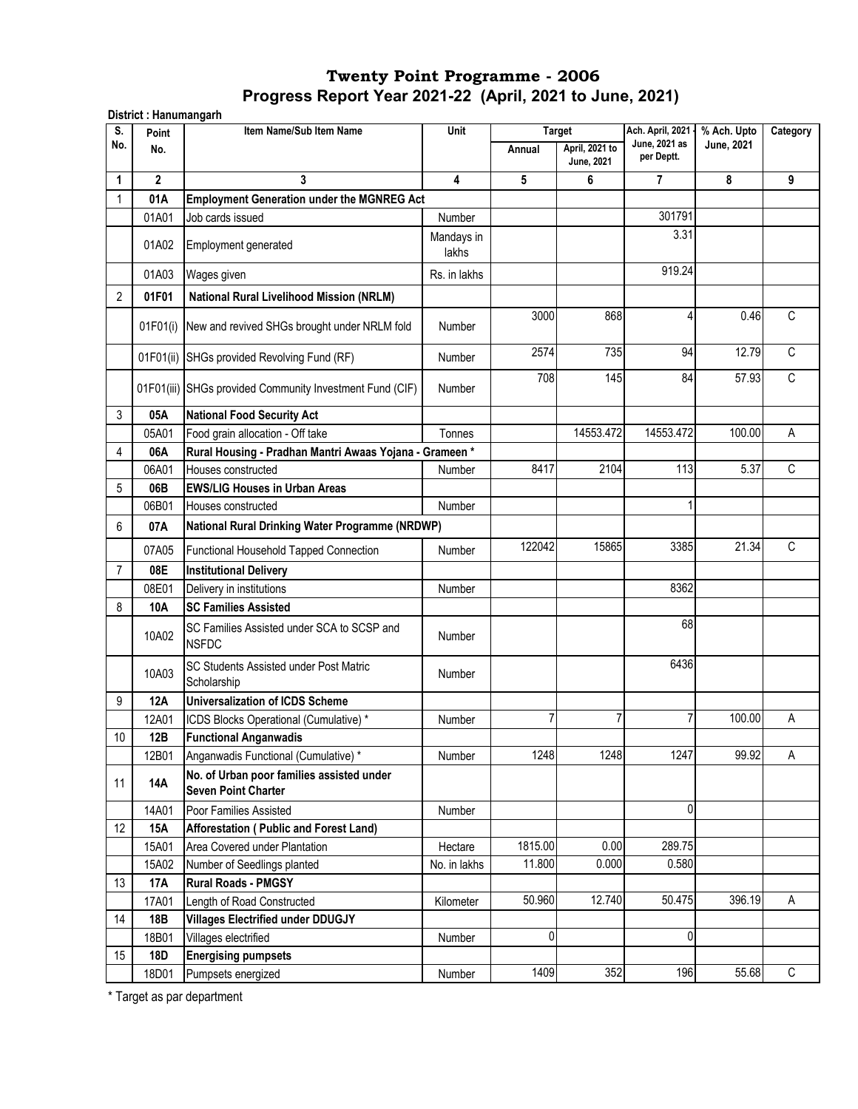| S.             | District: Hanumangarh<br>Point | Item Name/Sub Item Name                                                 | Unit                | <b>Target</b>  |                              | Ach. April, 2021 -          | % Ach. Upto | Category    |
|----------------|--------------------------------|-------------------------------------------------------------------------|---------------------|----------------|------------------------------|-----------------------------|-------------|-------------|
| No.            | No.                            |                                                                         |                     | Annual         | April, 2021 to<br>June, 2021 | June, 2021 as<br>per Deptt. | June, 2021  |             |
| 1              | $\mathbf{2}$                   | 3                                                                       | $\overline{4}$      | 5              | 6                            | 7                           | 8           | 9           |
| 1              | 01A                            | <b>Employment Generation under the MGNREG Act</b>                       |                     |                |                              |                             |             |             |
|                | 01A01                          | Job cards issued                                                        | Number              |                |                              | 301791                      |             |             |
|                | 01A02                          | Employment generated                                                    | Mandays in<br>lakhs |                |                              | 3.31                        |             |             |
|                | 01A03                          | Wages given                                                             | Rs. in lakhs        |                |                              | 919.24                      |             |             |
| 2              | 01F01                          | <b>National Rural Livelihood Mission (NRLM)</b>                         |                     |                |                              |                             |             |             |
|                |                                |                                                                         |                     | 3000           | 868                          | 4                           | 0.46        | C           |
|                |                                | 01F01(i) New and revived SHGs brought under NRLM fold                   | <b>Number</b>       |                |                              |                             |             |             |
|                |                                | 01F01(ii) SHGs provided Revolving Fund (RF)                             | Number              | 2574           | 735                          | 94                          | 12.79       | C           |
|                |                                | 01F01(iii) SHGs provided Community Investment Fund (CIF)                | <b>Number</b>       | 708            | 145                          | 84                          | 57.93       | C           |
| 3              | 05A                            | <b>National Food Security Act</b>                                       |                     |                |                              |                             |             |             |
|                | 05A01                          | Food grain allocation - Off take                                        | Tonnes              |                | 14553.472                    | 14553.472                   | 100.00      | А           |
| 4              | 06A                            | Rural Housing - Pradhan Mantri Awaas Yojana - Grameen*                  |                     |                |                              |                             |             |             |
|                | 06A01                          | Houses constructed                                                      | <b>Number</b>       | 8417           | 2104                         | 113                         | 5.37        | C           |
| 5              | 06B                            | <b>EWS/LIG Houses in Urban Areas</b>                                    |                     |                |                              |                             |             |             |
|                | 06B01                          | Houses constructed                                                      | Number              |                |                              | 1                           |             |             |
| 6              | 07A                            | National Rural Drinking Water Programme (NRDWP)                         |                     |                |                              |                             |             |             |
|                | 07A05                          | Functional Household Tapped Connection                                  | Number              | 122042         | 15865                        | 3385                        | 21.34       | C           |
| $\overline{7}$ | 08E                            | <b>Institutional Delivery</b>                                           |                     |                |                              |                             |             |             |
|                | 08E01                          | Delivery in institutions                                                | <b>Number</b>       |                |                              | 8362                        |             |             |
| 8              | 10A                            | <b>SC Families Assisted</b>                                             |                     |                |                              |                             |             |             |
|                | 10A02                          | SC Families Assisted under SCA to SCSP and<br><b>NSFDC</b>              | Number              |                |                              | 68                          |             |             |
|                | 10A03                          | SC Students Assisted under Post Matric<br>Scholarship                   | Number              |                |                              | 6436                        |             |             |
| 9              | <b>12A</b>                     | <b>Universalization of ICDS Scheme</b>                                  |                     |                |                              |                             |             |             |
|                | 12A01                          | ICDS Blocks Operational (Cumulative) *                                  | <b>Number</b>       | $\overline{7}$ | 7                            | 7                           | 100.00      | Α           |
| 10             | 12B                            | <b>Functional Anganwadis</b>                                            |                     |                |                              |                             |             |             |
|                | 12B01                          | Anganwadis Functional (Cumulative) *                                    | Number              | 1248           | 1248                         | 1247                        | 99.92       | A           |
| 11             | <b>14A</b>                     | No. of Urban poor families assisted under<br><b>Seven Point Charter</b> |                     |                |                              |                             |             |             |
|                | 14A01                          | Poor Families Assisted                                                  | Number              |                |                              | 0                           |             |             |
| 12             | 15A                            | Afforestation (Public and Forest Land)                                  |                     |                |                              |                             |             |             |
|                | 15A01                          | Area Covered under Plantation                                           | Hectare             | 1815.00        | 0.00                         | 289.75                      |             |             |
|                | 15A02                          | Number of Seedlings planted                                             | No. in lakhs        | 11.800         | 0.000                        | 0.580                       |             |             |
| 13             | 17A                            | <b>Rural Roads - PMGSY</b>                                              |                     |                |                              |                             |             |             |
|                | 17A01                          | Length of Road Constructed                                              | Kilometer           | 50.960         | 12.740                       | 50.475                      | 396.19      | Α           |
| 14             | 18B                            | <b>Villages Electrified under DDUGJY</b>                                |                     |                |                              |                             |             |             |
|                | 18B01                          | Villages electrified                                                    | Number              | 0              |                              | $\pmb{0}$                   |             |             |
| 15             | 18D                            | <b>Energising pumpsets</b>                                              |                     |                |                              |                             |             |             |
|                | 18D01                          | Pumpsets energized                                                      | Number              | 1409           | 352                          | 196                         | 55.68       | $\mathsf C$ |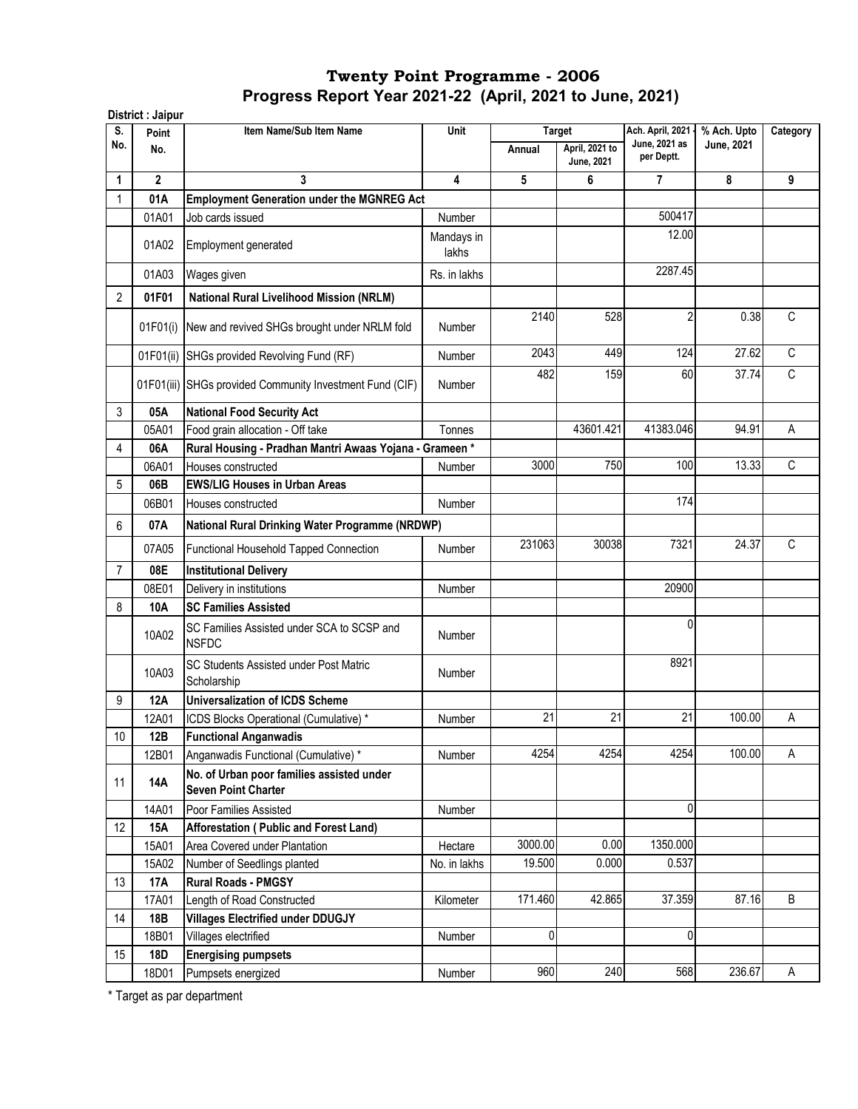|           | District : Jaipur |                                                                         |                     |         |                              |                                   |                                  |              |
|-----------|-------------------|-------------------------------------------------------------------------|---------------------|---------|------------------------------|-----------------------------------|----------------------------------|--------------|
| S.<br>No. | Point             | Item Name/Sub Item Name                                                 | Unit                |         | <b>Target</b>                | Ach. April, 2021<br>June, 2021 as | % Ach. Upto<br><b>June, 2021</b> | Category     |
|           | No.               |                                                                         |                     | Annual  | April, 2021 to<br>June, 2021 | per Deptt.                        |                                  |              |
| 1         | $\mathbf{2}$      | 3                                                                       | 4                   | 5       | 6                            | 7                                 | 8                                | 9            |
|           | 01A               | <b>Employment Generation under the MGNREG Act</b>                       |                     |         |                              |                                   |                                  |              |
|           | 01A01             | Job cards issued                                                        | Number              |         |                              | 500417                            |                                  |              |
|           | 01A02             | Employment generated                                                    | Mandays in<br>lakhs |         |                              | 12.00                             |                                  |              |
|           | 01A03             | Wages given                                                             | Rs. in lakhs        |         |                              | 2287.45                           |                                  |              |
| 2         | 01F01             | <b>National Rural Livelihood Mission (NRLM)</b>                         |                     |         |                              |                                   |                                  |              |
|           | 01F01(i)          | New and revived SHGs brought under NRLM fold                            | Number              | 2140    | 528                          | 2                                 | 0.38                             | $\mathsf{C}$ |
|           | 01F01(ii)         | SHGs provided Revolving Fund (RF)                                       | Number              | 2043    | 449                          | 124                               | $\overline{27.62}$               | C            |
|           |                   | 01F01(iii) SHGs provided Community Investment Fund (CIF)                | <b>Number</b>       | 482     | 159                          | 60                                | 37.74                            | C            |
| 3         | 05A               | <b>National Food Security Act</b>                                       |                     |         |                              |                                   |                                  |              |
|           | 05A01             | Food grain allocation - Off take                                        | Tonnes              |         | 43601.421                    | 41383.046                         | 94.91                            | A            |
| 4         | 06A               | Rural Housing - Pradhan Mantri Awaas Yojana - Grameen *                 |                     |         |                              |                                   |                                  |              |
|           | 06A01             | Houses constructed                                                      | Number              | 3000    | 750                          | 100                               | 13.33                            | C            |
| 5         | 06B               | <b>EWS/LIG Houses in Urban Areas</b>                                    |                     |         |                              |                                   |                                  |              |
|           | 06B01             | Houses constructed                                                      | Number              |         |                              | 174                               |                                  |              |
| 6         | 07A               | National Rural Drinking Water Programme (NRDWP)                         |                     |         |                              |                                   |                                  |              |
|           | 07A05             | Functional Household Tapped Connection                                  | <b>Number</b>       | 231063  | 30038                        | 7321                              | 24.37                            | C            |
| 7         | 08E               | <b>Institutional Delivery</b>                                           |                     |         |                              |                                   |                                  |              |
|           | 08E01             | Delivery in institutions                                                | Number              |         |                              | 20900                             |                                  |              |
| 8         | 10A               | <b>SC Families Assisted</b>                                             |                     |         |                              |                                   |                                  |              |
|           | 10A02             | SC Families Assisted under SCA to SCSP and<br><b>NSFDC</b>              | Number              |         |                              | 0                                 |                                  |              |
|           | 10A03             | SC Students Assisted under Post Matric<br>Scholarship                   | Number              |         |                              | 8921                              |                                  |              |
| 9         | <b>12A</b>        | <b>Universalization of ICDS Scheme</b>                                  |                     |         |                              |                                   |                                  |              |
|           | 12A01             | ICDS Blocks Operational (Cumulative) *                                  | Number              | 21      | 21                           | 21                                | 100.00                           | Α            |
| 10        | 12B               | <b>Functional Anganwadis</b>                                            |                     |         |                              |                                   |                                  |              |
|           | 12B01             | Anganwadis Functional (Cumulative) *                                    | Number              | 4254    | 4254                         | 4254                              | 100.00                           | Α            |
| 11        | <b>14A</b>        | No. of Urban poor families assisted under<br><b>Seven Point Charter</b> |                     |         |                              |                                   |                                  |              |
|           | 14A01             | Poor Families Assisted                                                  | Number              |         |                              | 0                                 |                                  |              |
| 12        | 15A               | Afforestation (Public and Forest Land)                                  |                     |         |                              |                                   |                                  |              |
|           | 15A01             | Area Covered under Plantation                                           | Hectare             | 3000.00 | 0.00                         | 1350.000                          |                                  |              |
|           | 15A02             | Number of Seedlings planted                                             | No. in lakhs        | 19.500  | 0.000                        | 0.537                             |                                  |              |
| 13        | 17A               | <b>Rural Roads - PMGSY</b>                                              |                     |         |                              |                                   |                                  |              |
|           | 17A01             | Length of Road Constructed                                              | Kilometer           | 171.460 | 42.865                       | 37.359                            | 87.16                            | B            |
| 14        | 18B               | <b>Villages Electrified under DDUGJY</b>                                |                     |         |                              |                                   |                                  |              |
|           | 18B01             | Villages electrified                                                    | Number              | 0       |                              | 0                                 |                                  |              |
| 15        | 18D               | <b>Energising pumpsets</b>                                              |                     |         |                              |                                   |                                  |              |
|           | 18D01             | Pumpsets energized                                                      | Number              | 960     | 240                          | 568                               | 236.67                           | A            |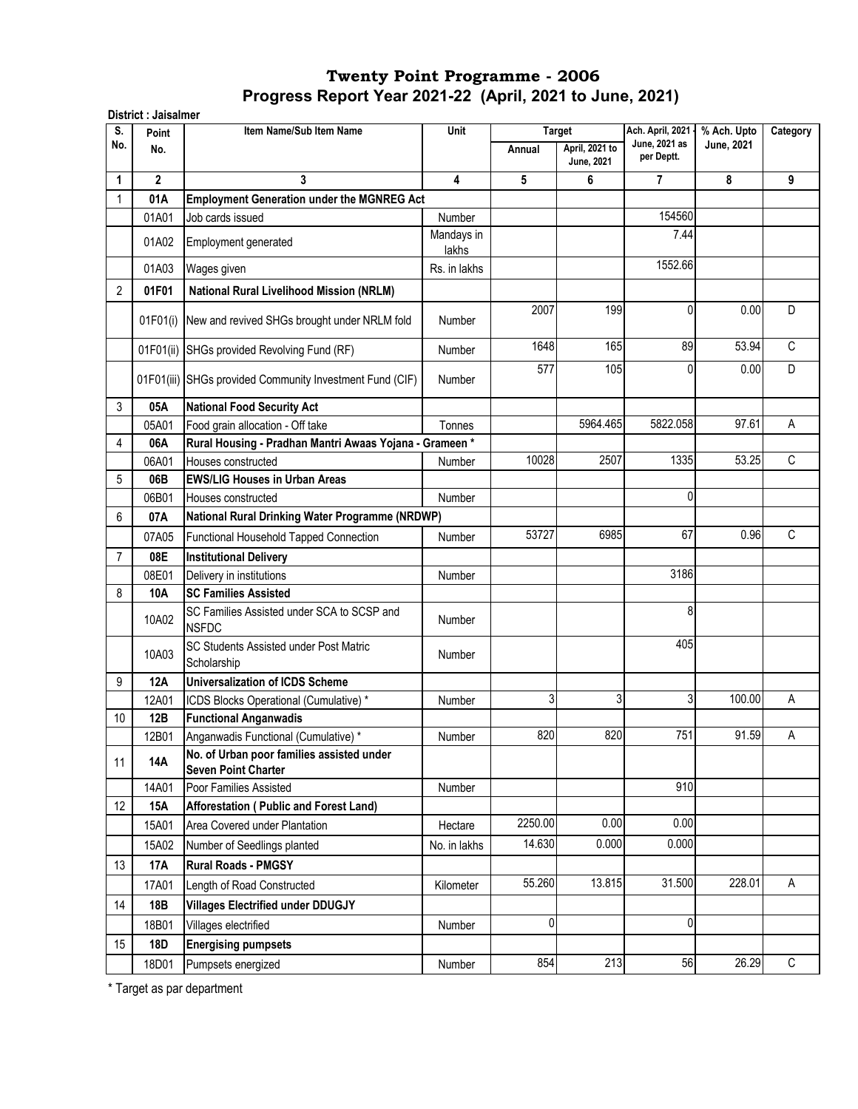| S.             | Point          | Item Name/Sub Item Name                                                 | Unit                |             | <b>Target</b>                       | Ach. April, 2021 -          | % Ach. Upto | Category     |
|----------------|----------------|-------------------------------------------------------------------------|---------------------|-------------|-------------------------------------|-----------------------------|-------------|--------------|
| No.            | No.            |                                                                         |                     | Annual      | April, 2021 to<br><b>June, 2021</b> | June, 2021 as<br>per Deptt. | June, 2021  |              |
| 1              | $\overline{2}$ | 3                                                                       | 4                   | 5           | 6                                   | $\overline{7}$              | 8           | 9            |
| 1              | 01A            | <b>Employment Generation under the MGNREG Act</b>                       |                     |             |                                     |                             |             |              |
|                | 01A01          | Job cards issued                                                        | Number              |             |                                     | 154560                      |             |              |
|                | 01A02          | Employment generated                                                    | Mandays in<br>lakhs |             |                                     | 7.44                        |             |              |
|                | 01A03          | Wages given                                                             | Rs. in lakhs        |             |                                     | 1552.66                     |             |              |
| 2              | 01F01          | <b>National Rural Livelihood Mission (NRLM)</b>                         |                     |             |                                     |                             |             |              |
|                |                | 01F01(i) New and revived SHGs brought under NRLM fold                   | <b>Number</b>       | 2007        | 199                                 | 0                           | 0.00        | D            |
|                |                | 01F01(ii) SHGs provided Revolving Fund (RF)                             | <b>Number</b>       | 1648        | 165                                 | 89                          | 53.94       | C            |
|                |                | 01F01(iii) SHGs provided Community Investment Fund (CIF)                | <b>Number</b>       | 577         | 105                                 | 0                           | 0.00        | D            |
| 3              | 05A            | <b>National Food Security Act</b>                                       |                     |             |                                     |                             |             |              |
|                | 05A01          | Food grain allocation - Off take                                        | Tonnes              |             | 5964.465                            | 5822.058                    | 97.61       | А            |
| 4              | 06A            | Rural Housing - Pradhan Mantri Awaas Yojana - Grameen*                  |                     |             |                                     |                             |             |              |
|                | 06A01          | Houses constructed                                                      | Number              | 10028       | 2507                                | 1335                        | 53.25       | C            |
| 5              | 06B            | <b>EWS/LIG Houses in Urban Areas</b>                                    |                     |             |                                     |                             |             |              |
|                | 06B01          | Houses constructed                                                      | Number              |             |                                     | 0                           |             |              |
| 6              | 07A            | National Rural Drinking Water Programme (NRDWP)                         |                     |             |                                     |                             |             |              |
|                | 07A05          | Functional Household Tapped Connection                                  | Number              | 53727       | 6985                                | 67                          | 0.96        | $\mathsf{C}$ |
| $\overline{7}$ | 08E            | <b>Institutional Delivery</b>                                           |                     |             |                                     |                             |             |              |
|                | 08E01          | Delivery in institutions                                                | Number              |             |                                     | 3186                        |             |              |
| 8              | 10A            | <b>SC Families Assisted</b>                                             |                     |             |                                     |                             |             |              |
|                | 10A02          | SC Families Assisted under SCA to SCSP and<br><b>NSFDC</b>              | Number              |             |                                     | 8                           |             |              |
|                | 10A03          | <b>SC Students Assisted under Post Matric</b><br>Scholarship            | Number              |             |                                     | 405                         |             |              |
| 9              | <b>12A</b>     | <b>Universalization of ICDS Scheme</b>                                  |                     |             |                                     |                             |             |              |
|                | 12A01          | ICDS Blocks Operational (Cumulative) *                                  | Number              | 3           | 3                                   | 3                           | 100.00      | A            |
| 10             | 12B            | <b>Functional Anganwadis</b>                                            |                     |             |                                     |                             |             |              |
|                | 12B01          | Anganwadis Functional (Cumulative) *                                    | Number              | 820         | 820                                 | 751                         | 91.59       | A            |
| 11             | 14A            | No. of Urban poor families assisted under<br><b>Seven Point Charter</b> |                     |             |                                     |                             |             |              |
|                | 14A01          | Poor Families Assisted                                                  | Number              |             |                                     | 910                         |             |              |
| 12             | <b>15A</b>     | Afforestation (Public and Forest Land)                                  |                     |             |                                     |                             |             |              |
|                | 15A01          | Area Covered under Plantation                                           | Hectare             | 2250.00     | 0.00                                | 0.00                        |             |              |
|                | 15A02          | Number of Seedlings planted                                             | No. in lakhs        | 14.630      | 0.000                               | 0.000                       |             |              |
| 13             | <b>17A</b>     | <b>Rural Roads - PMGSY</b>                                              |                     |             |                                     |                             |             |              |
|                | 17A01          | Length of Road Constructed                                              | Kilometer           | 55.260      | 13.815                              | 31.500                      | 228.01      | A            |
| 14             | 18B            | <b>Villages Electrified under DDUGJY</b>                                |                     |             |                                     |                             |             |              |
|                | 18B01          | Villages electrified                                                    | Number              | $\mathbf 0$ |                                     | 0                           |             |              |
| 15             | 18D            | <b>Energising pumpsets</b>                                              |                     |             |                                     |                             |             |              |
|                | 18D01          | Pumpsets energized                                                      | Number              | 854         | 213                                 | 56                          | 26.29       | $\mathsf C$  |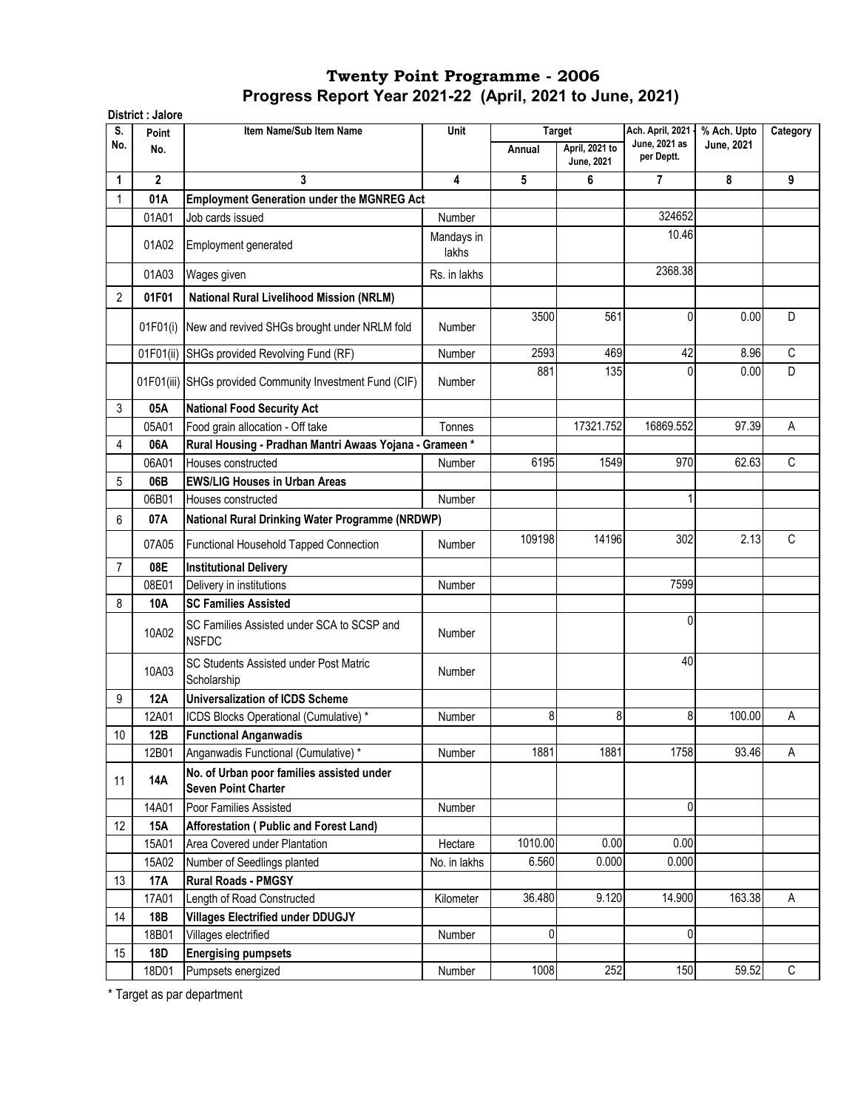|                 | District : Jalore |                                                                         |                     |         |                              |                                   |                                  |              |
|-----------------|-------------------|-------------------------------------------------------------------------|---------------------|---------|------------------------------|-----------------------------------|----------------------------------|--------------|
| S.<br>No.       | Point             | Item Name/Sub Item Name                                                 | Unit                |         | <b>Target</b>                | Ach. April, 2021<br>June, 2021 as | % Ach. Upto<br><b>June, 2021</b> | Category     |
|                 | No.               |                                                                         |                     | Annual  | April, 2021 to<br>June, 2021 | per Deptt.                        |                                  |              |
| 1               | $\mathbf{2}$      | 3                                                                       | 4                   | 5       | 6                            | $\overline{7}$                    | 8                                | 9            |
|                 | 01A               | <b>Employment Generation under the MGNREG Act</b>                       |                     |         |                              |                                   |                                  |              |
|                 | 01A01             | Job cards issued                                                        | Number              |         |                              | 324652                            |                                  |              |
|                 | 01A02             | Employment generated                                                    | Mandays in<br>lakhs |         |                              | 10.46                             |                                  |              |
|                 | 01A03             | Wages given                                                             | Rs. in lakhs        |         |                              | 2368.38                           |                                  |              |
| 2               | 01F01             | <b>National Rural Livelihood Mission (NRLM)</b>                         |                     |         |                              |                                   |                                  |              |
|                 | 01F01(i)          | New and revived SHGs brought under NRLM fold                            | Number              | 3500    | 561                          | 0                                 | 0.00                             | D            |
|                 | 01F01(ii)         | SHGs provided Revolving Fund (RF)                                       | Number              | 2593    | 469                          | 42                                | 8.96                             | $\mathsf{C}$ |
|                 |                   | 01F01(iii) SHGs provided Community Investment Fund (CIF)                | <b>Number</b>       | 881     | 135                          | 0                                 | 0.00                             | D            |
| 3               | 05A               | <b>National Food Security Act</b>                                       |                     |         |                              |                                   |                                  |              |
|                 | 05A01             | Food grain allocation - Off take                                        | Tonnes              |         | 17321.752                    | 16869.552                         | 97.39                            | A            |
| 4               | 06A               | Rural Housing - Pradhan Mantri Awaas Yojana - Grameen *                 |                     |         |                              |                                   |                                  |              |
|                 | 06A01             | Houses constructed                                                      | Number              | 6195    | 1549                         | 970                               | 62.63                            | C            |
| 5               | 06B               | <b>EWS/LIG Houses in Urban Areas</b>                                    |                     |         |                              |                                   |                                  |              |
|                 | 06B01             | Houses constructed                                                      | <b>Number</b>       |         |                              |                                   |                                  |              |
| 6               | 07A               | National Rural Drinking Water Programme (NRDWP)                         |                     |         |                              |                                   |                                  |              |
|                 | 07A05             | Functional Household Tapped Connection                                  | Number              | 109198  | 14196                        | 302                               | 2.13                             | C            |
| $\overline{7}$  | 08E               | <b>Institutional Delivery</b>                                           |                     |         |                              |                                   |                                  |              |
|                 | 08E01             | Delivery in institutions                                                | <b>Number</b>       |         |                              | 7599                              |                                  |              |
| 8               | 10A               | <b>SC Families Assisted</b>                                             |                     |         |                              |                                   |                                  |              |
|                 | 10A02             | SC Families Assisted under SCA to SCSP and<br><b>NSFDC</b>              | Number              |         |                              | 0                                 |                                  |              |
|                 | 10A03             | SC Students Assisted under Post Matric<br>Scholarship                   | Number              |         |                              | 40                                |                                  |              |
| 9               | <b>12A</b>        | <b>Universalization of ICDS Scheme</b>                                  |                     |         |                              |                                   |                                  |              |
|                 | 12A01             | ICDS Blocks Operational (Cumulative) *                                  | Number              | 8       | 8                            | 8                                 | 100.00                           | А            |
| 10 <sup>1</sup> | 12B               | <b>Functional Anganwadis</b>                                            |                     |         |                              |                                   |                                  |              |
|                 | 12B01             | Anganwadis Functional (Cumulative) *                                    | Number              | 1881    | 1881                         | 1758                              | 93.46                            | A            |
| 11              | <b>14A</b>        | No. of Urban poor families assisted under<br><b>Seven Point Charter</b> |                     |         |                              |                                   |                                  |              |
|                 | 14A01             | Poor Families Assisted                                                  | Number              |         |                              | 0                                 |                                  |              |
| 12              | 15A               | Afforestation (Public and Forest Land)                                  |                     |         |                              |                                   |                                  |              |
|                 | 15A01             | Area Covered under Plantation                                           | Hectare             | 1010.00 | 0.00                         | 0.00                              |                                  |              |
|                 | 15A02             | Number of Seedlings planted                                             | No. in lakhs        | 6.560   | 0.000                        | 0.000                             |                                  |              |
| 13              | 17A               | <b>Rural Roads - PMGSY</b>                                              |                     |         |                              |                                   |                                  |              |
|                 | 17A01             | Length of Road Constructed                                              | Kilometer           | 36.480  | 9.120                        | 14.900                            | 163.38                           | Α            |
| 14              | 18B               | <b>Villages Electrified under DDUGJY</b>                                |                     |         |                              |                                   |                                  |              |
|                 | 18B01             | Villages electrified                                                    | Number              | 0       |                              | 0                                 |                                  |              |
| 15              | <b>18D</b>        | <b>Energising pumpsets</b>                                              |                     |         |                              |                                   |                                  |              |
|                 | 18D01             | Pumpsets energized                                                      | Number              | 1008    | 252                          | 150                               | 59.52                            | C            |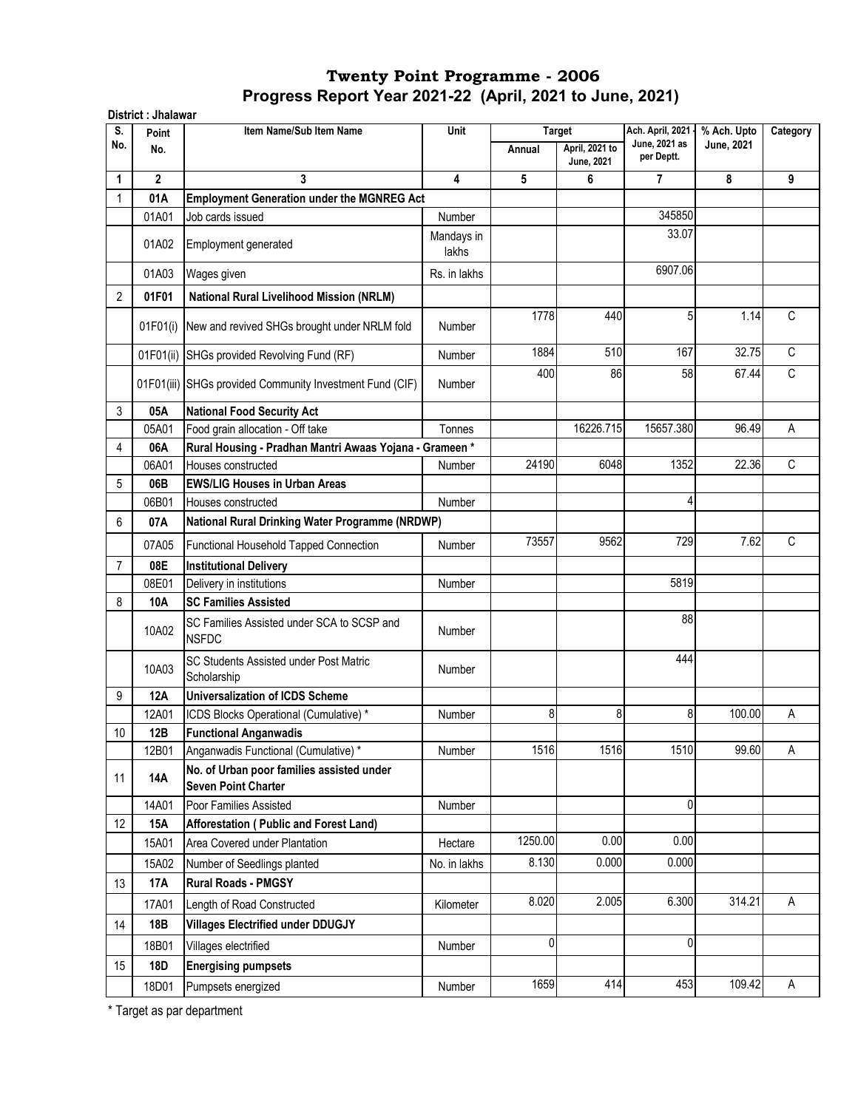| <b>Target</b><br>Point<br>June, 2021 as<br>No.<br>April, 2021 to<br>No.<br>Annual<br>per Deptt.<br><b>June, 2021</b><br>$\mathbf{2}$<br>3<br>4<br>5<br>6<br>7<br>1<br><b>Employment Generation under the MGNREG Act</b><br>01A<br>345850<br>01A01<br>Job cards issued<br>Number<br>33.07<br>Mandays in<br>01A02<br>Employment generated<br>lakhs<br>6907.06<br>01A03<br>Rs. in lakhs<br>Wages given<br>2<br>01F01<br><b>National Rural Livelihood Mission (NRLM)</b><br>5<br>1778<br>440<br>New and revived SHGs brought under NRLM fold<br>01F01(i)<br><b>Number</b><br>1884<br>510<br>167<br>01F01(ii)<br>SHGs provided Revolving Fund (RF)<br>Number<br>400<br>58<br>86<br>01F01(iii) SHGs provided Community Investment Fund (CIF)<br>Number<br>3<br>05A<br><b>National Food Security Act</b><br>16226.715<br>15657.380<br>05A01<br>Food grain allocation - Off take<br>Tonnes<br>Rural Housing - Pradhan Mantri Awaas Yojana - Grameen*<br>4<br>06A<br>24190<br>6048<br>1352<br>06A01<br>Houses constructed<br><b>Number</b><br>5<br>06B<br><b>EWS/LIG Houses in Urban Areas</b><br>4<br>06B01<br>Number<br>Houses constructed<br>6<br>National Rural Drinking Water Programme (NRDWP)<br>07A<br>9562<br>729<br>73557<br>07A05<br>Functional Household Tapped Connection<br><b>Number</b><br>08E<br>7<br><b>Institutional Delivery</b><br>5819<br>08E01<br>Delivery in institutions<br>Number<br>8<br><b>SC Families Assisted</b><br>10A<br>88<br>SC Families Assisted under SCA to SCSP and<br>10A02<br>Number<br><b>NSFDC</b><br>444<br>SC Students Assisted under Post Matric<br>10A03<br>Number<br>Scholarship<br>9<br><b>12A</b><br><b>Universalization of ICDS Scheme</b><br>8<br>8<br>8<br>12A01<br>ICDS Blocks Operational (Cumulative) *<br>Number<br>$10\,$<br><b>Functional Anganwadis</b><br>12B<br>1516<br>1516<br>1510<br>12B01<br>Anganwadis Functional (Cumulative) *<br>Number<br>No. of Urban poor families assisted under | June, 2021<br>8<br>1.14<br>32.75<br>67.44<br>96.49<br>22.36 | Category<br>9<br>C<br>$\mathsf C$<br>$\mathbb C$<br>A |
|---------------------------------------------------------------------------------------------------------------------------------------------------------------------------------------------------------------------------------------------------------------------------------------------------------------------------------------------------------------------------------------------------------------------------------------------------------------------------------------------------------------------------------------------------------------------------------------------------------------------------------------------------------------------------------------------------------------------------------------------------------------------------------------------------------------------------------------------------------------------------------------------------------------------------------------------------------------------------------------------------------------------------------------------------------------------------------------------------------------------------------------------------------------------------------------------------------------------------------------------------------------------------------------------------------------------------------------------------------------------------------------------------------------------------------------------------------------------------------------------------------------------------------------------------------------------------------------------------------------------------------------------------------------------------------------------------------------------------------------------------------------------------------------------------------------------------------------------------------------------------------------------------------------------------------------------------|-------------------------------------------------------------|-------------------------------------------------------|
|                                                                                                                                                                                                                                                                                                                                                                                                                                                                                                                                                                                                                                                                                                                                                                                                                                                                                                                                                                                                                                                                                                                                                                                                                                                                                                                                                                                                                                                                                                                                                                                                                                                                                                                                                                                                                                                                                                                                                   |                                                             |                                                       |
|                                                                                                                                                                                                                                                                                                                                                                                                                                                                                                                                                                                                                                                                                                                                                                                                                                                                                                                                                                                                                                                                                                                                                                                                                                                                                                                                                                                                                                                                                                                                                                                                                                                                                                                                                                                                                                                                                                                                                   |                                                             |                                                       |
|                                                                                                                                                                                                                                                                                                                                                                                                                                                                                                                                                                                                                                                                                                                                                                                                                                                                                                                                                                                                                                                                                                                                                                                                                                                                                                                                                                                                                                                                                                                                                                                                                                                                                                                                                                                                                                                                                                                                                   |                                                             |                                                       |
|                                                                                                                                                                                                                                                                                                                                                                                                                                                                                                                                                                                                                                                                                                                                                                                                                                                                                                                                                                                                                                                                                                                                                                                                                                                                                                                                                                                                                                                                                                                                                                                                                                                                                                                                                                                                                                                                                                                                                   |                                                             |                                                       |
|                                                                                                                                                                                                                                                                                                                                                                                                                                                                                                                                                                                                                                                                                                                                                                                                                                                                                                                                                                                                                                                                                                                                                                                                                                                                                                                                                                                                                                                                                                                                                                                                                                                                                                                                                                                                                                                                                                                                                   |                                                             |                                                       |
|                                                                                                                                                                                                                                                                                                                                                                                                                                                                                                                                                                                                                                                                                                                                                                                                                                                                                                                                                                                                                                                                                                                                                                                                                                                                                                                                                                                                                                                                                                                                                                                                                                                                                                                                                                                                                                                                                                                                                   |                                                             |                                                       |
|                                                                                                                                                                                                                                                                                                                                                                                                                                                                                                                                                                                                                                                                                                                                                                                                                                                                                                                                                                                                                                                                                                                                                                                                                                                                                                                                                                                                                                                                                                                                                                                                                                                                                                                                                                                                                                                                                                                                                   |                                                             |                                                       |
|                                                                                                                                                                                                                                                                                                                                                                                                                                                                                                                                                                                                                                                                                                                                                                                                                                                                                                                                                                                                                                                                                                                                                                                                                                                                                                                                                                                                                                                                                                                                                                                                                                                                                                                                                                                                                                                                                                                                                   |                                                             |                                                       |
|                                                                                                                                                                                                                                                                                                                                                                                                                                                                                                                                                                                                                                                                                                                                                                                                                                                                                                                                                                                                                                                                                                                                                                                                                                                                                                                                                                                                                                                                                                                                                                                                                                                                                                                                                                                                                                                                                                                                                   |                                                             |                                                       |
|                                                                                                                                                                                                                                                                                                                                                                                                                                                                                                                                                                                                                                                                                                                                                                                                                                                                                                                                                                                                                                                                                                                                                                                                                                                                                                                                                                                                                                                                                                                                                                                                                                                                                                                                                                                                                                                                                                                                                   |                                                             |                                                       |
|                                                                                                                                                                                                                                                                                                                                                                                                                                                                                                                                                                                                                                                                                                                                                                                                                                                                                                                                                                                                                                                                                                                                                                                                                                                                                                                                                                                                                                                                                                                                                                                                                                                                                                                                                                                                                                                                                                                                                   |                                                             |                                                       |
|                                                                                                                                                                                                                                                                                                                                                                                                                                                                                                                                                                                                                                                                                                                                                                                                                                                                                                                                                                                                                                                                                                                                                                                                                                                                                                                                                                                                                                                                                                                                                                                                                                                                                                                                                                                                                                                                                                                                                   |                                                             |                                                       |
|                                                                                                                                                                                                                                                                                                                                                                                                                                                                                                                                                                                                                                                                                                                                                                                                                                                                                                                                                                                                                                                                                                                                                                                                                                                                                                                                                                                                                                                                                                                                                                                                                                                                                                                                                                                                                                                                                                                                                   |                                                             |                                                       |
|                                                                                                                                                                                                                                                                                                                                                                                                                                                                                                                                                                                                                                                                                                                                                                                                                                                                                                                                                                                                                                                                                                                                                                                                                                                                                                                                                                                                                                                                                                                                                                                                                                                                                                                                                                                                                                                                                                                                                   |                                                             | $\overline{C}$                                        |
|                                                                                                                                                                                                                                                                                                                                                                                                                                                                                                                                                                                                                                                                                                                                                                                                                                                                                                                                                                                                                                                                                                                                                                                                                                                                                                                                                                                                                                                                                                                                                                                                                                                                                                                                                                                                                                                                                                                                                   |                                                             |                                                       |
|                                                                                                                                                                                                                                                                                                                                                                                                                                                                                                                                                                                                                                                                                                                                                                                                                                                                                                                                                                                                                                                                                                                                                                                                                                                                                                                                                                                                                                                                                                                                                                                                                                                                                                                                                                                                                                                                                                                                                   |                                                             |                                                       |
|                                                                                                                                                                                                                                                                                                                                                                                                                                                                                                                                                                                                                                                                                                                                                                                                                                                                                                                                                                                                                                                                                                                                                                                                                                                                                                                                                                                                                                                                                                                                                                                                                                                                                                                                                                                                                                                                                                                                                   |                                                             |                                                       |
|                                                                                                                                                                                                                                                                                                                                                                                                                                                                                                                                                                                                                                                                                                                                                                                                                                                                                                                                                                                                                                                                                                                                                                                                                                                                                                                                                                                                                                                                                                                                                                                                                                                                                                                                                                                                                                                                                                                                                   | 7.62                                                        | $\mathbb C$                                           |
|                                                                                                                                                                                                                                                                                                                                                                                                                                                                                                                                                                                                                                                                                                                                                                                                                                                                                                                                                                                                                                                                                                                                                                                                                                                                                                                                                                                                                                                                                                                                                                                                                                                                                                                                                                                                                                                                                                                                                   |                                                             |                                                       |
|                                                                                                                                                                                                                                                                                                                                                                                                                                                                                                                                                                                                                                                                                                                                                                                                                                                                                                                                                                                                                                                                                                                                                                                                                                                                                                                                                                                                                                                                                                                                                                                                                                                                                                                                                                                                                                                                                                                                                   |                                                             |                                                       |
|                                                                                                                                                                                                                                                                                                                                                                                                                                                                                                                                                                                                                                                                                                                                                                                                                                                                                                                                                                                                                                                                                                                                                                                                                                                                                                                                                                                                                                                                                                                                                                                                                                                                                                                                                                                                                                                                                                                                                   |                                                             |                                                       |
|                                                                                                                                                                                                                                                                                                                                                                                                                                                                                                                                                                                                                                                                                                                                                                                                                                                                                                                                                                                                                                                                                                                                                                                                                                                                                                                                                                                                                                                                                                                                                                                                                                                                                                                                                                                                                                                                                                                                                   |                                                             |                                                       |
|                                                                                                                                                                                                                                                                                                                                                                                                                                                                                                                                                                                                                                                                                                                                                                                                                                                                                                                                                                                                                                                                                                                                                                                                                                                                                                                                                                                                                                                                                                                                                                                                                                                                                                                                                                                                                                                                                                                                                   |                                                             |                                                       |
|                                                                                                                                                                                                                                                                                                                                                                                                                                                                                                                                                                                                                                                                                                                                                                                                                                                                                                                                                                                                                                                                                                                                                                                                                                                                                                                                                                                                                                                                                                                                                                                                                                                                                                                                                                                                                                                                                                                                                   |                                                             |                                                       |
|                                                                                                                                                                                                                                                                                                                                                                                                                                                                                                                                                                                                                                                                                                                                                                                                                                                                                                                                                                                                                                                                                                                                                                                                                                                                                                                                                                                                                                                                                                                                                                                                                                                                                                                                                                                                                                                                                                                                                   | 100.00                                                      | А                                                     |
|                                                                                                                                                                                                                                                                                                                                                                                                                                                                                                                                                                                                                                                                                                                                                                                                                                                                                                                                                                                                                                                                                                                                                                                                                                                                                                                                                                                                                                                                                                                                                                                                                                                                                                                                                                                                                                                                                                                                                   |                                                             |                                                       |
|                                                                                                                                                                                                                                                                                                                                                                                                                                                                                                                                                                                                                                                                                                                                                                                                                                                                                                                                                                                                                                                                                                                                                                                                                                                                                                                                                                                                                                                                                                                                                                                                                                                                                                                                                                                                                                                                                                                                                   | 99.60                                                       | A                                                     |
| <b>14A</b><br>11<br><b>Seven Point Charter</b>                                                                                                                                                                                                                                                                                                                                                                                                                                                                                                                                                                                                                                                                                                                                                                                                                                                                                                                                                                                                                                                                                                                                                                                                                                                                                                                                                                                                                                                                                                                                                                                                                                                                                                                                                                                                                                                                                                    |                                                             |                                                       |
| 0<br>Poor Families Assisted<br>14A01<br>Number                                                                                                                                                                                                                                                                                                                                                                                                                                                                                                                                                                                                                                                                                                                                                                                                                                                                                                                                                                                                                                                                                                                                                                                                                                                                                                                                                                                                                                                                                                                                                                                                                                                                                                                                                                                                                                                                                                    |                                                             |                                                       |
| 12<br><b>15A</b><br>Afforestation (Public and Forest Land)                                                                                                                                                                                                                                                                                                                                                                                                                                                                                                                                                                                                                                                                                                                                                                                                                                                                                                                                                                                                                                                                                                                                                                                                                                                                                                                                                                                                                                                                                                                                                                                                                                                                                                                                                                                                                                                                                        |                                                             |                                                       |
| 0.00<br>0.00<br>1250.00<br>Area Covered under Plantation<br>15A01<br>Hectare                                                                                                                                                                                                                                                                                                                                                                                                                                                                                                                                                                                                                                                                                                                                                                                                                                                                                                                                                                                                                                                                                                                                                                                                                                                                                                                                                                                                                                                                                                                                                                                                                                                                                                                                                                                                                                                                      |                                                             |                                                       |
| 8.130<br>0.000<br>0.000<br>15A02<br>No. in lakhs<br>Number of Seedlings planted                                                                                                                                                                                                                                                                                                                                                                                                                                                                                                                                                                                                                                                                                                                                                                                                                                                                                                                                                                                                                                                                                                                                                                                                                                                                                                                                                                                                                                                                                                                                                                                                                                                                                                                                                                                                                                                                   |                                                             |                                                       |
| 13<br><b>Rural Roads - PMGSY</b><br>17A                                                                                                                                                                                                                                                                                                                                                                                                                                                                                                                                                                                                                                                                                                                                                                                                                                                                                                                                                                                                                                                                                                                                                                                                                                                                                                                                                                                                                                                                                                                                                                                                                                                                                                                                                                                                                                                                                                           |                                                             |                                                       |
| 8.020<br>2.005<br>6.300<br>17A01<br>Length of Road Constructed<br>Kilometer                                                                                                                                                                                                                                                                                                                                                                                                                                                                                                                                                                                                                                                                                                                                                                                                                                                                                                                                                                                                                                                                                                                                                                                                                                                                                                                                                                                                                                                                                                                                                                                                                                                                                                                                                                                                                                                                       | 314.21                                                      | A                                                     |
| 14<br>18B<br><b>Villages Electrified under DDUGJY</b>                                                                                                                                                                                                                                                                                                                                                                                                                                                                                                                                                                                                                                                                                                                                                                                                                                                                                                                                                                                                                                                                                                                                                                                                                                                                                                                                                                                                                                                                                                                                                                                                                                                                                                                                                                                                                                                                                             |                                                             |                                                       |
| 0<br>0<br>18B01<br>Villages electrified<br>Number                                                                                                                                                                                                                                                                                                                                                                                                                                                                                                                                                                                                                                                                                                                                                                                                                                                                                                                                                                                                                                                                                                                                                                                                                                                                                                                                                                                                                                                                                                                                                                                                                                                                                                                                                                                                                                                                                                 |                                                             |                                                       |
| <b>18D</b><br>15<br><b>Energising pumpsets</b>                                                                                                                                                                                                                                                                                                                                                                                                                                                                                                                                                                                                                                                                                                                                                                                                                                                                                                                                                                                                                                                                                                                                                                                                                                                                                                                                                                                                                                                                                                                                                                                                                                                                                                                                                                                                                                                                                                    |                                                             |                                                       |
| 1659<br>414<br>453<br>18D01<br>Pumpsets energized<br>Number                                                                                                                                                                                                                                                                                                                                                                                                                                                                                                                                                                                                                                                                                                                                                                                                                                                                                                                                                                                                                                                                                                                                                                                                                                                                                                                                                                                                                                                                                                                                                                                                                                                                                                                                                                                                                                                                                       | 109.42                                                      | A                                                     |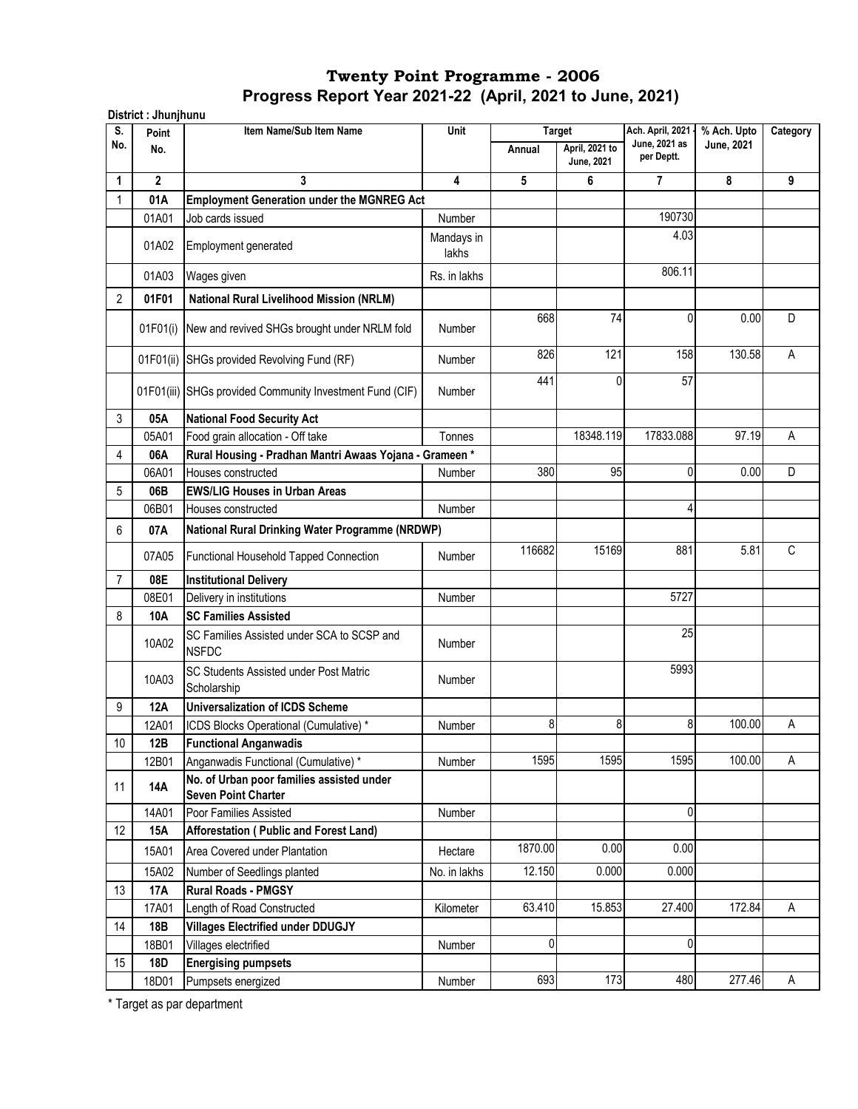| S.             | Point        | Item Name/Sub Item Name                                                 | Unit                |         | <b>Target</b>                | Ach. April, 2021            | % Ach. Upto       | Category |
|----------------|--------------|-------------------------------------------------------------------------|---------------------|---------|------------------------------|-----------------------------|-------------------|----------|
| No.            | No.          |                                                                         |                     | Annual  | April, 2021 to<br>June, 2021 | June, 2021 as<br>per Deptt. | <b>June, 2021</b> |          |
| 1              | $\mathbf{2}$ | 3                                                                       | $\overline{4}$      | 5       | 6                            | 7                           | 8                 | 9        |
| 1              | 01A          | <b>Employment Generation under the MGNREG Act</b>                       |                     |         |                              |                             |                   |          |
|                | 01A01        | Job cards issued                                                        | Number              |         |                              | 190730                      |                   |          |
|                | 01A02        | Employment generated                                                    | Mandays in<br>lakhs |         |                              | 4.03                        |                   |          |
|                | 01A03        | Wages given                                                             | Rs. in lakhs        |         |                              | 806.11                      |                   |          |
| $\overline{2}$ | 01F01        | <b>National Rural Livelihood Mission (NRLM)</b>                         |                     |         |                              |                             |                   |          |
|                | 01F01(i)     | New and revived SHGs brought under NRLM fold                            | Number              | 668     | 74                           | 0                           | 0.00              | D        |
|                | 01F01(ii)    | SHGs provided Revolving Fund (RF)                                       | <b>Number</b>       | 826     | 121                          | 158                         | 130.58            | A        |
|                |              | 01F01(iii) SHGs provided Community Investment Fund (CIF)                | <b>Number</b>       | 441     | 0                            | 57                          |                   |          |
| 3              | 05A          | <b>National Food Security Act</b>                                       |                     |         |                              |                             |                   |          |
|                | 05A01        | Food grain allocation - Off take                                        | Tonnes              |         | 18348.119                    | 17833.088                   | 97.19             | A        |
| 4              | 06A          | Rural Housing - Pradhan Mantri Awaas Yojana - Grameen*                  |                     |         |                              |                             |                   |          |
|                | 06A01        | Houses constructed                                                      | <b>Number</b>       | 380     | 95                           | 0                           | 0.00              | D        |
| 5              | 06B          | <b>EWS/LIG Houses in Urban Areas</b>                                    |                     |         |                              |                             |                   |          |
|                | 06B01        | Houses constructed                                                      | Number              |         |                              | 4                           |                   |          |
| 6              | 07A          | National Rural Drinking Water Programme (NRDWP)                         |                     |         |                              |                             |                   |          |
|                | 07A05        | <b>Functional Household Tapped Connection</b>                           | <b>Number</b>       | 116682  | 15169                        | 881                         | 5.81              | C        |
| 7              | 08E          | <b>Institutional Delivery</b>                                           |                     |         |                              |                             |                   |          |
|                | 08E01        | Delivery in institutions                                                | Number              |         |                              | 5727                        |                   |          |
| 8              | 10A          | <b>SC Families Assisted</b>                                             |                     |         |                              |                             |                   |          |
|                | 10A02        | SC Families Assisted under SCA to SCSP and<br><b>NSFDC</b>              | Number              |         |                              | 25                          |                   |          |
|                | 10A03        | SC Students Assisted under Post Matric<br>Scholarship                   | <b>Number</b>       |         |                              | 5993                        |                   |          |
| 9              | 12A          | <b>Universalization of ICDS Scheme</b>                                  |                     |         |                              |                             |                   |          |
|                | 12A01        | ICDS Blocks Operational (Cumulative)*                                   | Number              | 8       | 8                            | 8                           | 100.00            | Α        |
| 10             | 12B          | <b>Functional Anganwadis</b>                                            |                     |         |                              |                             |                   |          |
|                | 12B01        | Anganwadis Functional (Cumulative) *                                    | Number              | 1595    | 1595                         | 1595                        | 100.00            | A        |
| 11             | <b>14A</b>   | No. of Urban poor families assisted under<br><b>Seven Point Charter</b> |                     |         |                              |                             |                   |          |
|                | 14A01        | Poor Families Assisted                                                  | Number              |         |                              | 0                           |                   |          |
| 12             | 15A          | Afforestation ( Public and Forest Land)                                 |                     |         |                              |                             |                   |          |
|                | 15A01        | Area Covered under Plantation                                           | Hectare             | 1870.00 | 0.00                         | 0.00                        |                   |          |
|                | 15A02        | Number of Seedlings planted                                             | No. in lakhs        | 12.150  | 0.000                        | 0.000                       |                   |          |
| 13             | <b>17A</b>   | <b>Rural Roads - PMGSY</b>                                              |                     |         |                              |                             |                   |          |
|                | 17A01        | Length of Road Constructed                                              | Kilometer           | 63.410  | 15.853                       | 27.400                      | 172.84            | A        |
| 14             | 18B          | <b>Villages Electrified under DDUGJY</b>                                |                     |         |                              |                             |                   |          |
|                | 18B01        | Villages electrified                                                    | Number              | 0       |                              | 0                           |                   |          |
| 15             | <b>18D</b>   | <b>Energising pumpsets</b>                                              |                     |         |                              |                             |                   |          |
|                | 18D01        | Pumpsets energized                                                      | Number              | 693     | 173                          | 480                         | 277.46            | $\sf A$  |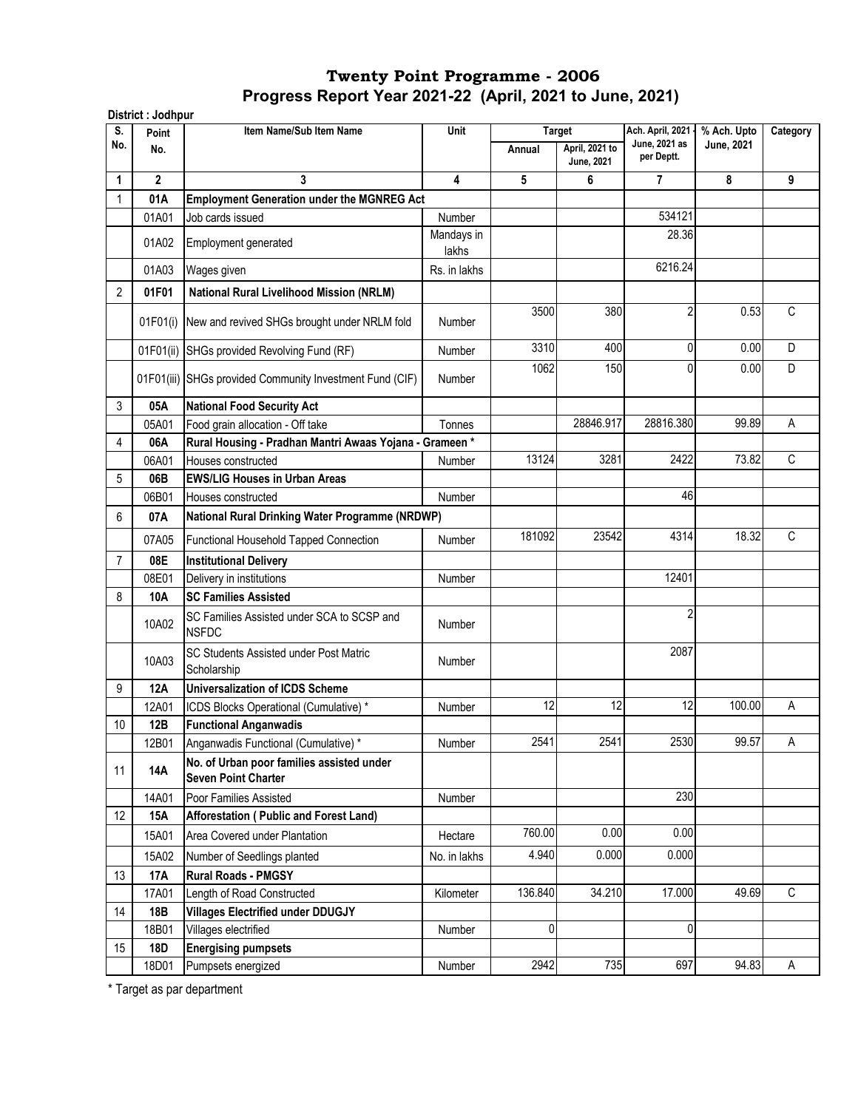| S.  | Point        | Item Name/Sub Item Name                                                 | Unit                |             | <b>Target</b>                       | Ach. April, 2021 -          | % Ach. Upto | Category     |
|-----|--------------|-------------------------------------------------------------------------|---------------------|-------------|-------------------------------------|-----------------------------|-------------|--------------|
| No. | No.          |                                                                         |                     | Annual      | April, 2021 to<br><b>June, 2021</b> | June, 2021 as<br>per Deptt. | June, 2021  |              |
| 1   | $\mathbf{2}$ | 3                                                                       | 4                   | 5           | 6                                   | $\overline{7}$              | 8           | 9            |
| 1   | 01A          | <b>Employment Generation under the MGNREG Act</b>                       |                     |             |                                     |                             |             |              |
|     | 01A01        | Job cards issued                                                        | Number              |             |                                     | 534121                      |             |              |
|     | 01A02        | Employment generated                                                    | Mandays in<br>lakhs |             |                                     | 28.36                       |             |              |
|     | 01A03        | Wages given                                                             | Rs. in lakhs        |             |                                     | 6216.24                     |             |              |
| 2   | 01F01        | <b>National Rural Livelihood Mission (NRLM)</b>                         |                     |             |                                     |                             |             |              |
|     |              |                                                                         |                     | 3500        | 380                                 | $\overline{2}$              | 0.53        | C            |
|     |              | 01F01(i) New and revived SHGs brought under NRLM fold                   | Number              |             |                                     |                             |             |              |
|     |              | 01F01(ii) SHGs provided Revolving Fund (RF)                             | Number              | 3310        | 400                                 | $\mathbf 0$                 | 0.00        | D            |
|     |              | 01F01(iii) SHGs provided Community Investment Fund (CIF)                | <b>Number</b>       | 1062        | 150                                 | 0                           | 0.00        | D            |
| 3   | 05A          | <b>National Food Security Act</b>                                       |                     |             |                                     |                             |             |              |
|     | 05A01        | Food grain allocation - Off take                                        | Tonnes              |             | 28846.917                           | 28816.380                   | 99.89       | A            |
| 4   | 06A          | Rural Housing - Pradhan Mantri Awaas Yojana - Grameen *                 |                     |             |                                     |                             |             |              |
|     | 06A01        | Houses constructed                                                      | Number              | 13124       | 3281                                | 2422                        | 73.82       | C            |
| 5   | 06B          | <b>EWS/LIG Houses in Urban Areas</b>                                    |                     |             |                                     |                             |             |              |
|     | 06B01        | Houses constructed                                                      | Number              |             |                                     | 46                          |             |              |
| 6   | 07A          | National Rural Drinking Water Programme (NRDWP)                         |                     |             |                                     |                             |             |              |
|     | 07A05        | Functional Household Tapped Connection                                  | Number              | 181092      | 23542                               | 4314                        | 18.32       | C            |
| 7   | 08E          | <b>Institutional Delivery</b>                                           |                     |             |                                     |                             |             |              |
|     | 08E01        | Delivery in institutions                                                | Number              |             |                                     | 12401                       |             |              |
| 8   | 10A          | <b>SC Families Assisted</b>                                             |                     |             |                                     |                             |             |              |
|     | 10A02        | SC Families Assisted under SCA to SCSP and<br><b>NSFDC</b>              | Number              |             |                                     | $\overline{2}$              |             |              |
|     | 10A03        | SC Students Assisted under Post Matric<br>Scholarship                   | Number              |             |                                     | 2087                        |             |              |
| 9   | 12A          | <b>Universalization of ICDS Scheme</b>                                  |                     |             |                                     |                             |             |              |
|     | 12A01        | ICDS Blocks Operational (Cumulative) *                                  | Number              | 12          | 12                                  | 12                          | 100.00      | А            |
| 10  | 12B          | <b>Functional Anganwadis</b>                                            |                     |             |                                     |                             |             |              |
|     | 12B01        | Anganwadis Functional (Cumulative) *                                    | Number              | 2541        | 2541                                | 2530                        | 99.57       | A            |
| 11  | 14A          | No. of Urban poor families assisted under<br><b>Seven Point Charter</b> |                     |             |                                     |                             |             |              |
|     | 14A01        | Poor Families Assisted                                                  | Number              |             |                                     | 230                         |             |              |
| 12  | 15A          | Afforestation (Public and Forest Land)                                  |                     |             |                                     |                             |             |              |
|     | 15A01        | Area Covered under Plantation                                           | Hectare             | 760.00      | 0.00                                | 0.00                        |             |              |
|     | 15A02        | Number of Seedlings planted                                             | No. in lakhs        | 4.940       | 0.000                               | 0.000                       |             |              |
| 13  | <b>17A</b>   | <b>Rural Roads - PMGSY</b>                                              |                     |             |                                     |                             |             |              |
|     | 17A01        | Length of Road Constructed                                              | Kilometer           | 136.840     | 34.210                              | 17.000                      | 49.69       | $\mathsf{C}$ |
| 14  | 18B          | <b>Villages Electrified under DDUGJY</b>                                |                     |             |                                     |                             |             |              |
|     | 18B01        | Villages electrified                                                    | Number              | $\mathbf 0$ |                                     | 0                           |             |              |
| 15  | <b>18D</b>   | <b>Energising pumpsets</b>                                              |                     |             |                                     |                             |             |              |
|     | 18D01        | Pumpsets energized                                                      | Number              | 2942        | 735                                 | 697                         | 94.83       | A            |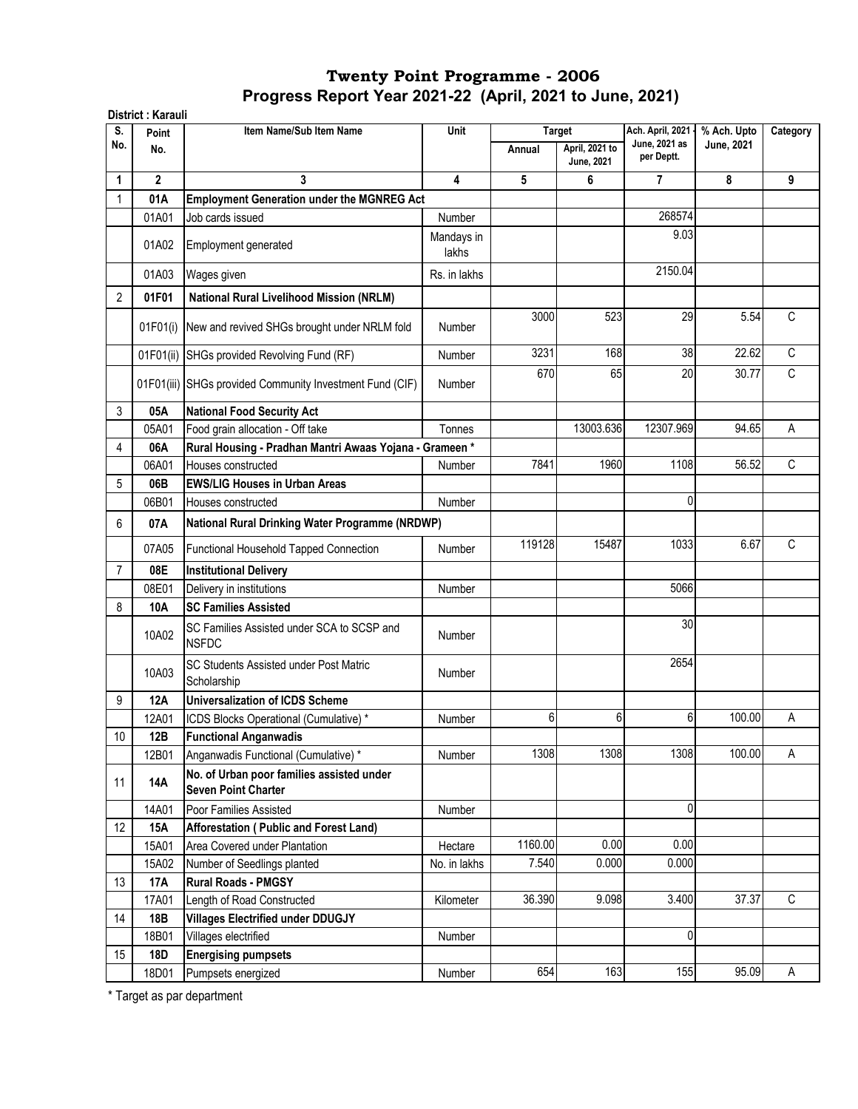|           | District: Karauli |                                                                         |                     |         |                              |                                   |                                  |              |
|-----------|-------------------|-------------------------------------------------------------------------|---------------------|---------|------------------------------|-----------------------------------|----------------------------------|--------------|
| S.<br>No. | Point             | Item Name/Sub Item Name                                                 | Unit                |         | <b>Target</b>                | Ach. April, 2021<br>June, 2021 as | % Ach. Upto<br><b>June, 2021</b> | Category     |
|           | No.               |                                                                         |                     | Annual  | April, 2021 to<br>June, 2021 | per Deptt.                        |                                  |              |
| 1         | $\mathbf{2}$      | 3                                                                       | 4                   | 5       | 6                            | $\overline{7}$                    | 8                                | 9            |
|           | 01A               | <b>Employment Generation under the MGNREG Act</b>                       |                     |         |                              |                                   |                                  |              |
|           | 01A01             | Job cards issued                                                        | Number              |         |                              | 268574                            |                                  |              |
|           | 01A02             | Employment generated                                                    | Mandays in<br>lakhs |         |                              | 9.03                              |                                  |              |
|           | 01A03             | Wages given                                                             | Rs. in lakhs        |         |                              | 2150.04                           |                                  |              |
| 2         | 01F01             | <b>National Rural Livelihood Mission (NRLM)</b>                         |                     |         |                              |                                   |                                  |              |
|           | 01F01(i)          | New and revived SHGs brought under NRLM fold                            | Number              | 3000    | 523                          | 29                                | 5.54                             | $\mathsf{C}$ |
|           | 01F01(ii)         | SHGs provided Revolving Fund (RF)                                       | Number              | 3231    | 168                          | 38                                | 22.62                            | $\mathsf{C}$ |
|           |                   | 01F01(iii) SHGs provided Community Investment Fund (CIF)                | Number              | 670     | 65                           | 20                                | 30.77                            | C            |
| 3         | 05A               | <b>National Food Security Act</b>                                       |                     |         |                              |                                   |                                  |              |
|           | 05A01             | Food grain allocation - Off take                                        | Tonnes              |         | 13003.636                    | 12307.969                         | 94.65                            | A            |
| 4         | 06A               | Rural Housing - Pradhan Mantri Awaas Yojana - Grameen*                  |                     |         |                              |                                   |                                  |              |
|           | 06A01             | Houses constructed                                                      | Number              | 7841    | 1960                         | 1108                              | 56.52                            | C            |
| 5         | 06B               | <b>EWS/LIG Houses in Urban Areas</b>                                    |                     |         |                              |                                   |                                  |              |
|           | 06B01             | Houses constructed                                                      | <b>Number</b>       |         |                              | 0                                 |                                  |              |
| 6         | 07A               | National Rural Drinking Water Programme (NRDWP)                         |                     |         |                              |                                   |                                  |              |
|           | 07A05             | Functional Household Tapped Connection                                  | <b>Number</b>       | 119128  | 15487                        | 1033                              | 6.67                             | C            |
| 7         | 08E               | <b>Institutional Delivery</b>                                           |                     |         |                              |                                   |                                  |              |
|           | 08E01             | Delivery in institutions                                                | Number              |         |                              | 5066                              |                                  |              |
| 8         | 10A               | <b>SC Families Assisted</b>                                             |                     |         |                              |                                   |                                  |              |
|           | 10A02             | SC Families Assisted under SCA to SCSP and<br><b>NSFDC</b>              | Number              |         |                              | 30                                |                                  |              |
|           | 10A03             | SC Students Assisted under Post Matric<br>Scholarship                   | Number              |         |                              | 2654                              |                                  |              |
| 9         | <b>12A</b>        | <b>Universalization of ICDS Scheme</b>                                  |                     |         |                              |                                   |                                  |              |
|           | 12A01             | ICDS Blocks Operational (Cumulative) *                                  | Number              | 6       | 6                            | 6                                 | 100.00                           | А            |
| 10        | 12B               | <b>Functional Anganwadis</b>                                            |                     |         |                              |                                   |                                  |              |
|           | 12B01             | Anganwadis Functional (Cumulative) *                                    | Number              | 1308    | 1308                         | 1308                              | 100.00                           | Α            |
| 11        | <b>14A</b>        | No. of Urban poor families assisted under<br><b>Seven Point Charter</b> |                     |         |                              |                                   |                                  |              |
|           | 14A01             | Poor Families Assisted                                                  | Number              |         |                              | 0                                 |                                  |              |
| 12        | 15A               | Afforestation (Public and Forest Land)                                  |                     |         |                              |                                   |                                  |              |
|           | 15A01             | Area Covered under Plantation                                           | Hectare             | 1160.00 | 0.00                         | 0.00                              |                                  |              |
|           | 15A02             | Number of Seedlings planted                                             | No. in lakhs        | 7.540   | 0.000                        | 0.000                             |                                  |              |
| 13        | 17A               | <b>Rural Roads - PMGSY</b>                                              |                     |         |                              |                                   |                                  |              |
|           | 17A01             | Length of Road Constructed                                              | Kilometer           | 36.390  | 9.098                        | 3.400                             | 37.37                            | $\mathsf C$  |
| 14        | 18B               | <b>Villages Electrified under DDUGJY</b>                                |                     |         |                              |                                   |                                  |              |
|           | 18B01             | Villages electrified                                                    | Number              |         |                              | 0                                 |                                  |              |
| 15        | 18D               | <b>Energising pumpsets</b>                                              |                     |         |                              |                                   |                                  |              |
|           | 18D01             | Pumpsets energized                                                      | Number              | 654     | 163                          | 155                               | 95.09                            | A            |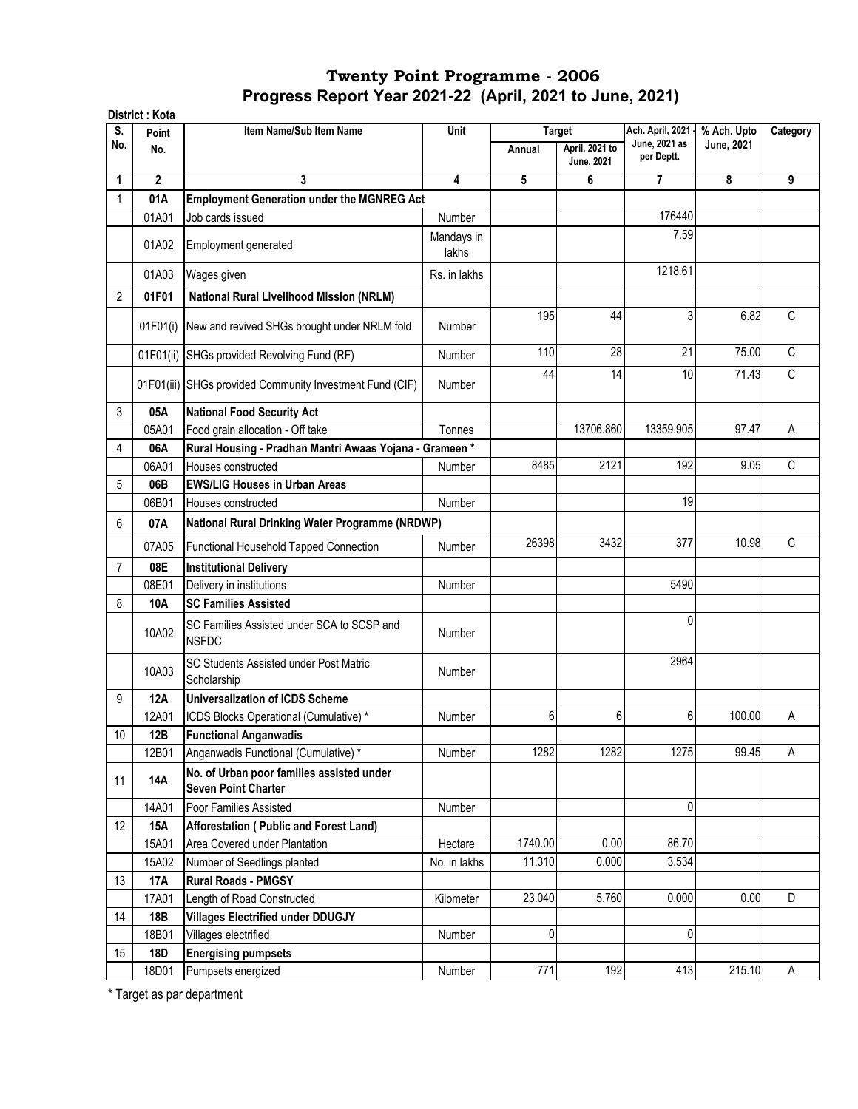|                 | District: Kota |                                                                         |                     |         |                                     |                                   |             |                |
|-----------------|----------------|-------------------------------------------------------------------------|---------------------|---------|-------------------------------------|-----------------------------------|-------------|----------------|
| S.              | Point          | Item Name/Sub Item Name                                                 | Unit                |         | <b>Target</b>                       | Ach. April, 2021<br>June, 2021 as | % Ach. Upto | Category       |
| No.             | No.            |                                                                         |                     | Annual  | April, 2021 to<br><b>June, 2021</b> | per Deptt.                        | June, 2021  |                |
| 1               | $\mathbf{2}$   | 3                                                                       | 4                   | 5       | 6                                   | 7                                 | 8           | 9              |
|                 | 01A            | <b>Employment Generation under the MGNREG Act</b>                       |                     |         |                                     |                                   |             |                |
|                 | 01A01          | Job cards issued                                                        | Number              |         |                                     | 176440                            |             |                |
|                 | 01A02          | Employment generated                                                    | Mandays in<br>lakhs |         |                                     | 7.59                              |             |                |
|                 | 01A03          | Wages given                                                             | Rs. in lakhs        |         |                                     | 1218.61                           |             |                |
| $\overline{2}$  | 01F01          | <b>National Rural Livelihood Mission (NRLM)</b>                         |                     |         |                                     |                                   |             |                |
|                 |                |                                                                         |                     | 195     | 44                                  | 3                                 | 6.82        | C              |
|                 | 01F01(i)       | New and revived SHGs brought under NRLM fold                            | <b>Number</b>       |         |                                     |                                   |             |                |
|                 | 01F01(ii)      | SHGs provided Revolving Fund (RF)                                       | Number              | 110     | 28                                  | 21                                | 75.00       | C              |
|                 |                | 01F01(iii) SHGs provided Community Investment Fund (CIF)                | <b>Number</b>       | 44      | 14                                  | 10                                | 71.43       | С              |
| 3               | 05A            | <b>National Food Security Act</b>                                       |                     |         |                                     |                                   |             |                |
|                 | 05A01          | Food grain allocation - Off take                                        | Tonnes              |         | 13706.860                           | 13359.905                         | 97.47       | A              |
| 4               | 06A            | Rural Housing - Pradhan Mantri Awaas Yojana - Grameen *                 |                     |         |                                     |                                   |             |                |
|                 | 06A01          | Houses constructed                                                      | Number              | 8485    | 2121                                | 192                               | 9.05        | $\overline{C}$ |
| 5               | 06B            | <b>EWS/LIG Houses in Urban Areas</b>                                    |                     |         |                                     |                                   |             |                |
|                 | 06B01          | Houses constructed                                                      | Number              |         |                                     | 19                                |             |                |
| 6               | 07A            | National Rural Drinking Water Programme (NRDWP)                         |                     |         |                                     |                                   |             |                |
|                 | 07A05          | Functional Household Tapped Connection                                  | Number              | 26398   | 3432                                | 377                               | 10.98       | С              |
| $\overline{7}$  | 08E            | <b>Institutional Delivery</b>                                           |                     |         |                                     |                                   |             |                |
|                 | 08E01          | Delivery in institutions                                                | <b>Number</b>       |         |                                     | 5490                              |             |                |
| 8               | 10A            | <b>SC Families Assisted</b>                                             |                     |         |                                     |                                   |             |                |
|                 | 10A02          | SC Families Assisted under SCA to SCSP and<br><b>NSFDC</b>              | <b>Number</b>       |         |                                     | 0                                 |             |                |
|                 | 10A03          | SC Students Assisted under Post Matric<br>Scholarship                   | <b>Number</b>       |         |                                     | 2964                              |             |                |
| 9               | 12A            | <b>Universalization of ICDS Scheme</b>                                  |                     |         |                                     |                                   |             |                |
|                 | 12A01          | ICDS Blocks Operational (Cumulative) *                                  | Number              | 6       | 6                                   | 6                                 | 100.00      | А              |
| 10 <sup>1</sup> | 12B            | <b>Functional Anganwadis</b>                                            |                     |         |                                     |                                   |             |                |
|                 | 12B01          | Anganwadis Functional (Cumulative) *                                    | Number              | 1282    | 1282                                | 1275                              | 99.45       | A              |
| 11              | <b>14A</b>     | No. of Urban poor families assisted under<br><b>Seven Point Charter</b> |                     |         |                                     |                                   |             |                |
|                 | 14A01          | Poor Families Assisted                                                  | Number              |         |                                     | $\mathbf 0$                       |             |                |
| 12              | 15A            | Afforestation (Public and Forest Land)                                  |                     |         |                                     |                                   |             |                |
|                 | 15A01          | Area Covered under Plantation                                           | Hectare             | 1740.00 | 0.00                                | 86.70                             |             |                |
|                 | 15A02          | Number of Seedlings planted                                             | No. in lakhs        | 11.310  | 0.000                               | 3.534                             |             |                |
| 13              | 17A            | <b>Rural Roads - PMGSY</b>                                              |                     |         |                                     |                                   |             |                |
|                 | 17A01          | Length of Road Constructed                                              | Kilometer           | 23.040  | 5.760                               | 0.000                             | 0.00        | D              |
| 14              | 18B            | <b>Villages Electrified under DDUGJY</b>                                |                     |         |                                     |                                   |             |                |
|                 | 18B01          | Villages electrified                                                    | Number              | 0       |                                     | 0                                 |             |                |
| 15              | <b>18D</b>     | <b>Energising pumpsets</b>                                              |                     |         |                                     |                                   |             |                |
|                 | 18D01          | Pumpsets energized                                                      | Number              | 771     | 192                                 | 413                               | 215.10      | A              |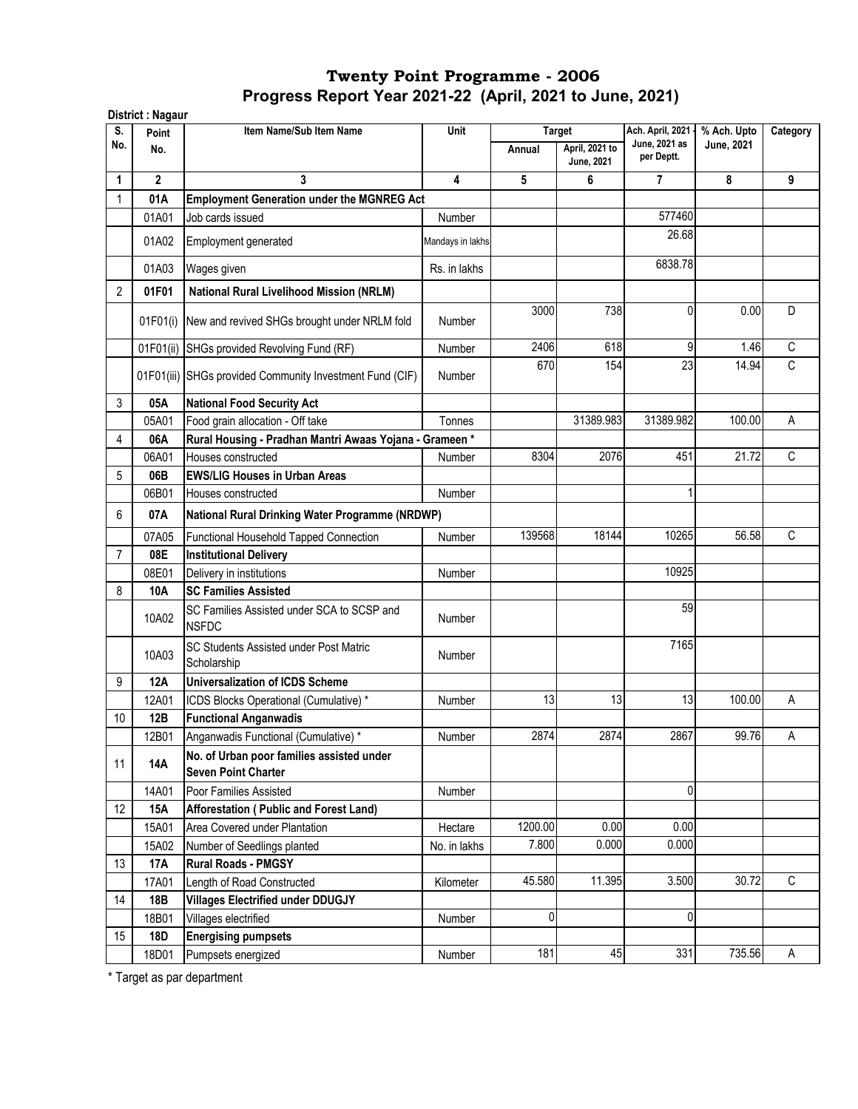|                | District: Nagaur |                                                                         |                         |               |                                     |                             |             |             |
|----------------|------------------|-------------------------------------------------------------------------|-------------------------|---------------|-------------------------------------|-----------------------------|-------------|-------------|
| S.             | Point            | Item Name/Sub Item Name                                                 | Unit                    | <b>Target</b> |                                     | Ach. April, 2021 -          | % Ach. Upto | Category    |
| No.            | No.              |                                                                         |                         | Annual        | April, 2021 to<br><b>June, 2021</b> | June, 2021 as<br>per Deptt. | June, 2021  |             |
| 1              | $\overline{2}$   | 3                                                                       | $\overline{\mathbf{4}}$ | 5             | 6                                   | $\overline{7}$              | 8           | 9           |
| 1              | 01A              | <b>Employment Generation under the MGNREG Act</b>                       |                         |               |                                     |                             |             |             |
|                | 01A01            | Job cards issued                                                        | Number                  |               |                                     | 577460                      |             |             |
|                | 01A02            | Employment generated                                                    | Mandays in lakhs        |               |                                     | 26.68                       |             |             |
|                | 01A03            | Wages given                                                             | Rs. in lakhs            |               |                                     | 6838.78                     |             |             |
| 2              | 01F01            | <b>National Rural Livelihood Mission (NRLM)</b>                         |                         |               |                                     |                             |             |             |
|                |                  | 01F01(i) New and revived SHGs brought under NRLM fold                   | <b>Number</b>           | 3000          | 738                                 | $\mathbf{0}$                | 0.00        | D           |
|                | 01F01(ii)        | SHGs provided Revolving Fund (RF)                                       | Number                  | 2406          | 618                                 | 9                           | 1.46        | $\mathsf C$ |
|                |                  | 01F01(iii) SHGs provided Community Investment Fund (CIF)                | <b>Number</b>           | 670           | 154                                 | 23                          | 14.94       | C           |
| 3              | 05A              | <b>National Food Security Act</b>                                       |                         |               |                                     |                             |             |             |
|                | 05A01            | Food grain allocation - Off take                                        | Tonnes                  |               | 31389.983                           | 31389.982                   | 100.00      | Α           |
| 4              | 06A              | Rural Housing - Pradhan Mantri Awaas Yojana - Grameen*                  |                         |               |                                     |                             |             |             |
|                | 06A01            | Houses constructed                                                      | Number                  | 8304          | 2076                                | 451                         | 21.72       | $\mathsf C$ |
| 5              | 06B              | <b>EWS/LIG Houses in Urban Areas</b>                                    |                         |               |                                     |                             |             |             |
|                | 06B01            | Houses constructed                                                      | Number                  |               |                                     | 1                           |             |             |
| 6              | 07A              | National Rural Drinking Water Programme (NRDWP)                         |                         |               |                                     |                             |             |             |
|                | 07A05            | Functional Household Tapped Connection                                  | <b>Number</b>           | 139568        | 18144                               | 10265                       | 56.58       | C           |
| $\overline{7}$ | 08E              | <b>Institutional Delivery</b>                                           |                         |               |                                     |                             |             |             |
|                | 08E01            | Delivery in institutions                                                | Number                  |               |                                     | 10925                       |             |             |
| 8              | 10A              | <b>SC Families Assisted</b>                                             |                         |               |                                     |                             |             |             |
|                | 10A02            | SC Families Assisted under SCA to SCSP and<br><b>NSFDC</b>              | <b>Number</b>           |               |                                     | 59                          |             |             |
|                | 10A03            | SC Students Assisted under Post Matric<br>Scholarship                   | Number                  |               |                                     | 7165                        |             |             |
| 9              | <b>12A</b>       | <b>Universalization of ICDS Scheme</b>                                  |                         |               |                                     |                             |             |             |
|                | 12A01            | ICDS Blocks Operational (Cumulative) *                                  | Number                  | 13            | 13                                  | 13                          | 100.00      | A           |
| 10             | 12B              | <b>Functional Anganwadis</b>                                            |                         |               |                                     |                             |             |             |
|                | 12B01            | Anganwadis Functional (Cumulative) *                                    | Number                  | 2874          | 2874                                | 2867                        | 99.76       | A           |
| 11             | <b>14A</b>       | No. of Urban poor families assisted under<br><b>Seven Point Charter</b> |                         |               |                                     |                             |             |             |
|                | 14A01            | Poor Families Assisted                                                  | Number                  |               |                                     | 0                           |             |             |
| 12             | <b>15A</b>       | Afforestation (Public and Forest Land)                                  |                         |               |                                     |                             |             |             |
|                | 15A01            | Area Covered under Plantation                                           | Hectare                 | 1200.00       | 0.00                                | 0.00                        |             |             |
|                | 15A02            | Number of Seedlings planted                                             | No. in lakhs            | 7.800         | 0.000                               | 0.000                       |             |             |
| 13             | <b>17A</b>       | <b>Rural Roads - PMGSY</b>                                              |                         |               |                                     |                             |             |             |
|                | 17A01            | Length of Road Constructed                                              | Kilometer               | 45.580        | 11.395                              | 3.500                       | 30.72       | $\mathbb C$ |
| 14             | 18B              | <b>Villages Electrified under DDUGJY</b>                                |                         |               |                                     |                             |             |             |
|                | 18B01            | Villages electrified                                                    | Number                  | 0             |                                     | 0                           |             |             |
| 15             | 18D              | <b>Energising pumpsets</b>                                              |                         |               |                                     |                             |             |             |
|                | 18D01            | Pumpsets energized                                                      | Number                  | 181           | 45                                  | 331                         | 735.56      | Α           |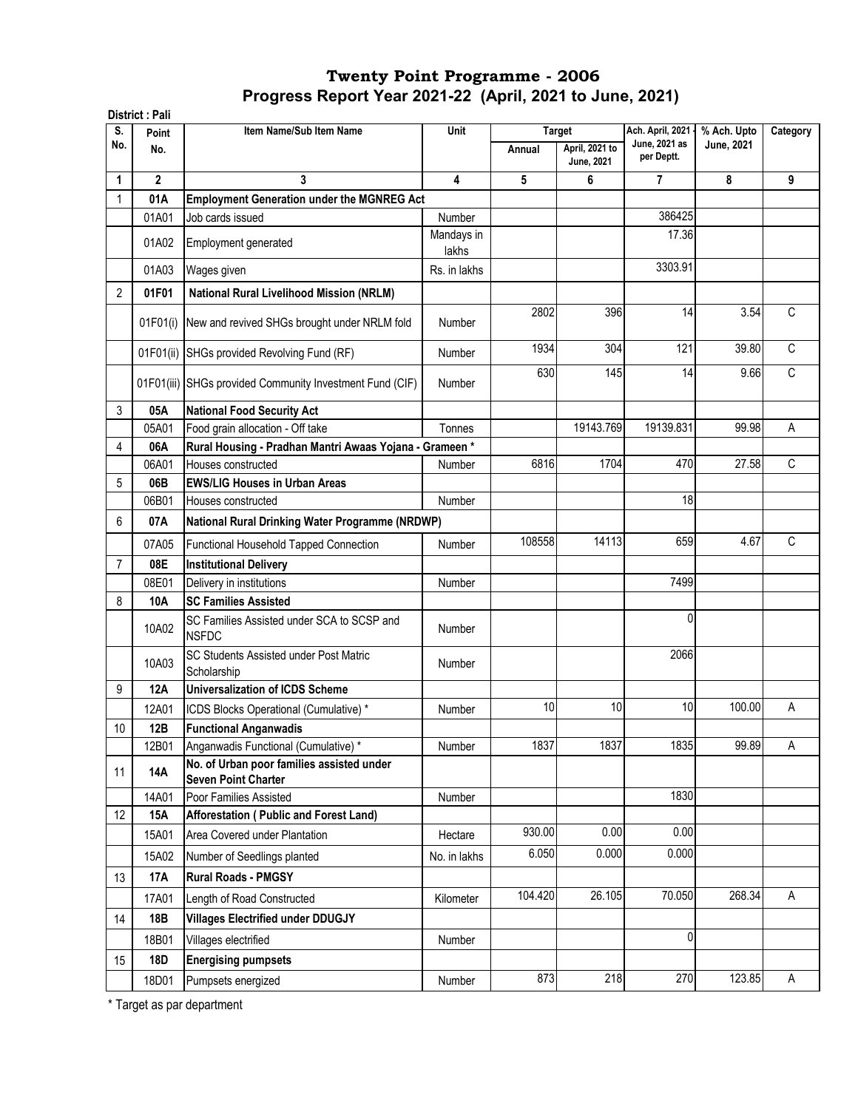|                | District: Pali |                                                                         |                     |         |                                     |                                   |             |              |
|----------------|----------------|-------------------------------------------------------------------------|---------------------|---------|-------------------------------------|-----------------------------------|-------------|--------------|
| S.             | Point          | Item Name/Sub Item Name                                                 | Unit                |         | <b>Target</b>                       | Ach. April, 2021<br>June, 2021 as | % Ach. Upto | Category     |
| No.            | No.            |                                                                         |                     | Annual  | April, 2021 to<br><b>June, 2021</b> | per Deptt.                        | June, 2021  |              |
| 1              | $\overline{2}$ | 3                                                                       | 4                   | 5       | 6                                   | 7                                 | 8           | 9            |
|                | 01A            | <b>Employment Generation under the MGNREG Act</b>                       |                     |         |                                     |                                   |             |              |
|                | 01A01          | Job cards issued                                                        | <b>Number</b>       |         |                                     | 386425                            |             |              |
|                | 01A02          | Employment generated                                                    | Mandays in<br>lakhs |         |                                     | 17.36                             |             |              |
|                | 01A03          | Wages given                                                             | Rs. in lakhs        |         |                                     | 3303.91                           |             |              |
| 2              | 01F01          | <b>National Rural Livelihood Mission (NRLM)</b>                         |                     |         |                                     |                                   |             |              |
|                |                | 01F01(i) New and revived SHGs brought under NRLM fold                   | <b>Number</b>       | 2802    | 396                                 | 14                                | 3.54        | $\mathsf{C}$ |
|                | 01F01(ii)      | SHGs provided Revolving Fund (RF)                                       | Number              | 1934    | 304                                 | 121                               | 39.80       | $\mathsf C$  |
|                |                | 01F01(iii) SHGs provided Community Investment Fund (CIF)                | <b>Number</b>       | 630     | 145                                 | 14                                | 9.66        | $\mathsf C$  |
| 3              | 05A            | <b>National Food Security Act</b>                                       |                     |         |                                     |                                   |             |              |
|                | 05A01          | Food grain allocation - Off take                                        | Tonnes              |         | 19143.769                           | 19139.831                         | 99.98       | Α            |
| 4              | 06A            | Rural Housing - Pradhan Mantri Awaas Yojana - Grameen*                  |                     |         |                                     |                                   |             |              |
|                | 06A01          | Houses constructed                                                      | Number              | 6816    | 1704                                | 470                               | 27.58       | C            |
| 5              | 06B            | <b>EWS/LIG Houses in Urban Areas</b>                                    |                     |         |                                     |                                   |             |              |
|                | 06B01          | Houses constructed                                                      | Number              |         |                                     | 18                                |             |              |
| 6              | 07A            | National Rural Drinking Water Programme (NRDWP)                         |                     |         |                                     |                                   |             |              |
|                | 07A05          | Functional Household Tapped Connection                                  | <b>Number</b>       | 108558  | 14113                               | 659                               | 4.67        | C            |
| $\overline{7}$ | 08E            | <b>Institutional Delivery</b>                                           |                     |         |                                     |                                   |             |              |
|                | 08E01          | Delivery in institutions                                                | Number              |         |                                     | 7499                              |             |              |
| 8              | 10A            | <b>SC Families Assisted</b>                                             |                     |         |                                     |                                   |             |              |
|                | 10A02          | SC Families Assisted under SCA to SCSP and<br><b>NSFDC</b>              | <b>Number</b>       |         |                                     | $\Omega$                          |             |              |
|                | 10A03          | <b>SC Students Assisted under Post Matric</b><br>Scholarship            | <b>Number</b>       |         |                                     | 2066                              |             |              |
| 9              | <b>12A</b>     | <b>Universalization of ICDS Scheme</b>                                  |                     |         |                                     |                                   |             |              |
|                | 12A01          | ICDS Blocks Operational (Cumulative) *                                  | Number              | 10      | 10                                  | 10                                | 100.00      | Α            |
| 10             | 12B            | <b>Functional Anganwadis</b>                                            |                     |         |                                     |                                   |             |              |
|                | 12B01          | Anganwadis Functional (Cumulative) *                                    | Number              | 1837    | 1837                                | 1835                              | 99.89       | Α            |
| 11             | 14A            | No. of Urban poor families assisted under<br><b>Seven Point Charter</b> |                     |         |                                     |                                   |             |              |
|                | 14A01          | Poor Families Assisted                                                  | Number              |         |                                     | 1830                              |             |              |
| 12             | <b>15A</b>     | Afforestation (Public and Forest Land)                                  |                     |         |                                     |                                   |             |              |
|                | 15A01          | Area Covered under Plantation                                           | Hectare             | 930.00  | 0.00                                | 0.00                              |             |              |
|                | 15A02          | Number of Seedlings planted                                             | No. in lakhs        | 6.050   | 0.000                               | 0.000                             |             |              |
| 13             | <b>17A</b>     | <b>Rural Roads - PMGSY</b>                                              |                     |         |                                     |                                   |             |              |
|                | 17A01          | Length of Road Constructed                                              | Kilometer           | 104.420 | 26.105                              | 70.050                            | 268.34      | A            |
| 14             | 18B            | <b>Villages Electrified under DDUGJY</b>                                |                     |         |                                     |                                   |             |              |
|                | 18B01          | Villages electrified                                                    | Number              |         |                                     | $\pmb{0}$                         |             |              |
| 15             | 18D            | <b>Energising pumpsets</b>                                              |                     |         |                                     |                                   |             |              |
|                | 18D01          | Pumpsets energized                                                      | Number              | 873     | 218                                 | 270                               | 123.85      | Α            |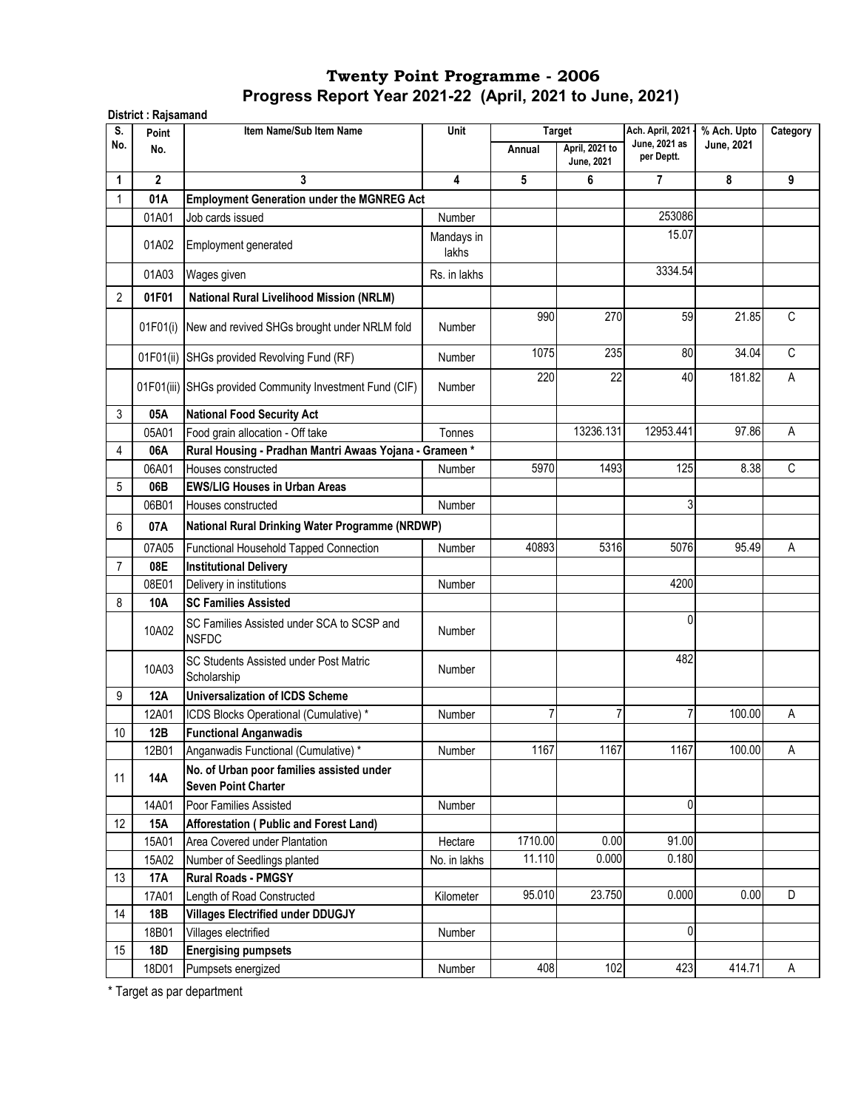| S.             | Point        | Item Name/Sub Item Name                                                 | Unit                | <b>Target</b> |                                     | Ach. April, 2021 -          | % Ach. Upto | Category     |
|----------------|--------------|-------------------------------------------------------------------------|---------------------|---------------|-------------------------------------|-----------------------------|-------------|--------------|
| No.            | No.          |                                                                         |                     | Annual        | April, 2021 to<br><b>June, 2021</b> | June, 2021 as<br>per Deptt. | June, 2021  |              |
| 1              | $\mathbf{2}$ | 3                                                                       | $\overline{4}$      | 5             | 6                                   | 7                           | 8           | 9            |
| 1              | 01A          | <b>Employment Generation under the MGNREG Act</b>                       |                     |               |                                     |                             |             |              |
|                | 01A01        | Job cards issued                                                        | Number              |               |                                     | 253086                      |             |              |
|                | 01A02        | Employment generated                                                    | Mandays in<br>lakhs |               |                                     | 15.07                       |             |              |
|                | 01A03        | Wages given                                                             | Rs. in lakhs        |               |                                     | 3334.54                     |             |              |
| $\overline{2}$ | 01F01        | National Rural Livelihood Mission (NRLM)                                |                     |               |                                     |                             |             |              |
|                | 01F01(i)     | New and revived SHGs brought under NRLM fold                            | <b>Number</b>       | 990           | 270                                 | 59                          | 21.85       | C            |
|                | 01F01(ii)    | SHGs provided Revolving Fund (RF)                                       | <b>Number</b>       | 1075          | 235                                 | 80                          | 34.04       | $\mathsf{C}$ |
|                |              | 01F01(iii) SHGs provided Community Investment Fund (CIF)                | Number              | 220           | 22                                  | 40                          | 181.82      | A            |
| 3              | 05A          | <b>National Food Security Act</b>                                       |                     |               |                                     |                             |             |              |
|                | 05A01        | Food grain allocation - Off take                                        | Tonnes              |               | 13236.131                           | 12953.441                   | 97.86       | Α            |
| 4              | 06A          | Rural Housing - Pradhan Mantri Awaas Yojana - Grameen *                 |                     |               |                                     |                             |             |              |
|                | 06A01        | Houses constructed                                                      | Number              | 5970          | 1493                                | 125                         | 8.38        | C            |
| 5              | 06B          | <b>EWS/LIG Houses in Urban Areas</b>                                    |                     |               |                                     |                             |             |              |
|                | 06B01        | Houses constructed                                                      | Number              |               |                                     | 3                           |             |              |
| 6              | 07A          | National Rural Drinking Water Programme (NRDWP)                         |                     |               |                                     |                             |             |              |
|                | 07A05        | Functional Household Tapped Connection                                  | <b>Number</b>       | 40893         | 5316                                | 5076                        | 95.49       | A            |
| 7              | 08E          | <b>Institutional Delivery</b>                                           |                     |               |                                     |                             |             |              |
|                | 08E01        | Delivery in institutions                                                | Number              |               |                                     | 4200                        |             |              |
| 8              | 10A          | <b>SC Families Assisted</b>                                             |                     |               |                                     |                             |             |              |
|                | 10A02        | SC Families Assisted under SCA to SCSP and<br><b>NSFDC</b>              | Number              |               |                                     | $\mathbf{0}$                |             |              |
|                | 10A03        | SC Students Assisted under Post Matric<br>Scholarship                   | Number              |               |                                     | 482                         |             |              |
| 9              | <b>12A</b>   | <b>Universalization of ICDS Scheme</b>                                  |                     |               |                                     |                             |             |              |
|                | 12A01        | ICDS Blocks Operational (Cumulative) *                                  | Number              | 7             | 7                                   | 7                           | 100.00      | А            |
| 10             | 12B          | <b>Functional Anganwadis</b>                                            |                     |               |                                     |                             |             |              |
|                | 12B01        | Anganwadis Functional (Cumulative) *                                    | Number              | 1167          | 1167                                | 1167                        | 100.00      | А            |
| 11             | <b>14A</b>   | No. of Urban poor families assisted under<br><b>Seven Point Charter</b> |                     |               |                                     |                             |             |              |
|                | 14A01        | Poor Families Assisted                                                  | Number              |               |                                     | 0                           |             |              |
| 12             | 15A          | Afforestation (Public and Forest Land)                                  |                     |               |                                     |                             |             |              |
|                | 15A01        | Area Covered under Plantation                                           | Hectare             | 1710.00       | 0.00                                | 91.00                       |             |              |
|                | 15A02        | Number of Seedlings planted                                             | No. in lakhs        | 11.110        | 0.000                               | 0.180                       |             |              |
| 13             | 17A          | <b>Rural Roads - PMGSY</b>                                              |                     |               |                                     |                             |             |              |
|                | 17A01        | Length of Road Constructed                                              | Kilometer           | 95.010        | 23.750                              | 0.000                       | 0.00        | D            |
| 14             | 18B          | <b>Villages Electrified under DDUGJY</b>                                |                     |               |                                     |                             |             |              |
|                | 18B01        | Villages electrified                                                    | Number              |               |                                     | 0                           |             |              |
| 15             | <b>18D</b>   | <b>Energising pumpsets</b>                                              |                     |               |                                     |                             |             |              |
|                | 18D01        | Pumpsets energized                                                      | Number              | 408           | 102                                 | 423                         | 414.71      | A            |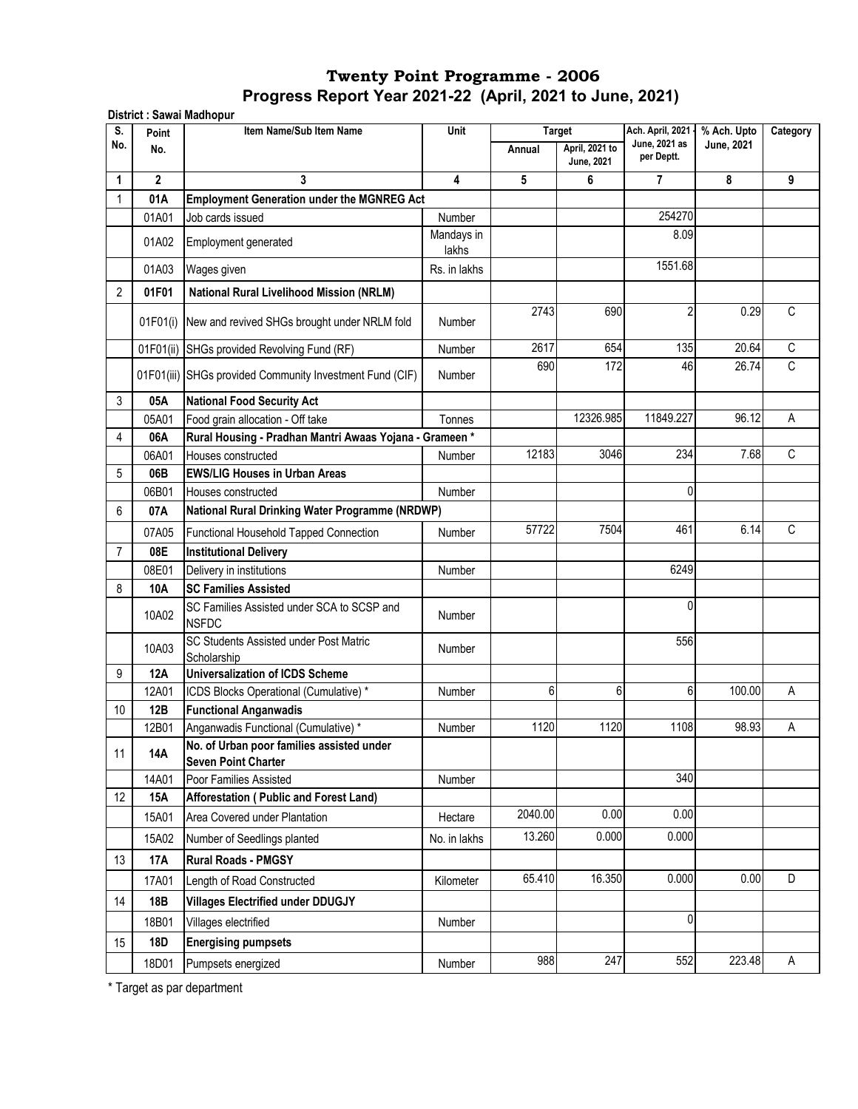| S.  | Point          | District : Sawai Madhopur<br>Item Name/Sub Item Name                    | Unit                |         | <b>Target</b>                       | Ach. April, 2021 -          | % Ach. Upto | Category       |
|-----|----------------|-------------------------------------------------------------------------|---------------------|---------|-------------------------------------|-----------------------------|-------------|----------------|
| No. | No.            |                                                                         |                     | Annual  | April, 2021 to<br><b>June, 2021</b> | June, 2021 as<br>per Deptt. | June, 2021  |                |
| 1   | $\overline{2}$ | 3                                                                       | $\overline{4}$      | 5       | 6                                   | $\overline{7}$              | 8           | 9              |
| 1   | 01A            | <b>Employment Generation under the MGNREG Act</b>                       |                     |         |                                     |                             |             |                |
|     | 01A01          | Job cards issued                                                        | Number              |         |                                     | 254270                      |             |                |
|     | 01A02          | Employment generated                                                    | Mandays in<br>lakhs |         |                                     | 8.09                        |             |                |
|     | 01A03          | Wages given                                                             | Rs. in lakhs        |         |                                     | 1551.68                     |             |                |
| 2   | 01F01          | <b>National Rural Livelihood Mission (NRLM)</b>                         |                     |         |                                     |                             |             |                |
|     |                | 01F01(i) New and revived SHGs brought under NRLM fold                   | Number              | 2743    | 690                                 | $\overline{2}$              | 0.29        | C              |
|     |                | 01F01(ii) SHGs provided Revolving Fund (RF)                             | Number              | 2617    | 654                                 | 135                         | 20.64       | $\overline{C}$ |
|     |                | 01F01(iii) SHGs provided Community Investment Fund (CIF)                | <b>Number</b>       | 690     | 172                                 | 46                          | 26.74       | C              |
| 3   | 05A            | <b>National Food Security Act</b>                                       |                     |         |                                     |                             |             |                |
|     | 05A01          | Food grain allocation - Off take                                        | Tonnes              |         | 12326.985                           | 11849.227                   | 96.12       | Α              |
| 4   | 06A            | Rural Housing - Pradhan Mantri Awaas Yojana - Grameen *                 |                     |         |                                     |                             |             |                |
|     | 06A01          | Houses constructed                                                      | Number              | 12183   | 3046                                | 234                         | 7.68        | C              |
| 5   | 06B            | <b>EWS/LIG Houses in Urban Areas</b>                                    |                     |         |                                     |                             |             |                |
|     | 06B01          | Houses constructed                                                      | Number              |         |                                     | 0                           |             |                |
| 6   | 07A            | National Rural Drinking Water Programme (NRDWP)                         |                     |         |                                     |                             |             |                |
|     | 07A05          | Functional Household Tapped Connection                                  | Number              | 57722   | 7504                                | 461                         | 6.14        | C              |
| 7   | 08E            | <b>Institutional Delivery</b>                                           |                     |         |                                     |                             |             |                |
|     | 08E01          | Delivery in institutions                                                | <b>Number</b>       |         |                                     | 6249                        |             |                |
| 8   | 10A            | <b>SC Families Assisted</b>                                             |                     |         |                                     |                             |             |                |
|     | 10A02          | SC Families Assisted under SCA to SCSP and<br><b>NSFDC</b>              | <b>Number</b>       |         |                                     | 0                           |             |                |
|     | 10A03          | SC Students Assisted under Post Matric<br>Scholarship                   | <b>Number</b>       |         |                                     | 556                         |             |                |
| 9   | 12A            | <b>Universalization of ICDS Scheme</b>                                  |                     |         |                                     |                             |             |                |
|     | 12A01          | ICDS Blocks Operational (Cumulative) *                                  | Number              | 6       | 6                                   | 6                           | 100.00      | A              |
| 10  | 12B            | <b>Functional Anganwadis</b>                                            |                     |         |                                     |                             |             |                |
|     | 12B01          | Anganwadis Functional (Cumulative) *                                    | Number              | 1120    | 1120                                | 1108                        | 98.93       | Α              |
| 11  | 14A            | No. of Urban poor families assisted under<br><b>Seven Point Charter</b> |                     |         |                                     |                             |             |                |
|     | 14A01          | Poor Families Assisted                                                  | Number              |         |                                     | 340                         |             |                |
| 12  | 15A            | Afforestation (Public and Forest Land)                                  |                     |         |                                     |                             |             |                |
|     | 15A01          | Area Covered under Plantation                                           | Hectare             | 2040.00 | 0.00                                | 0.00                        |             |                |
|     | 15A02          | Number of Seedlings planted                                             | No. in lakhs        | 13.260  | 0.000                               | 0.000                       |             |                |
| 13  | <b>17A</b>     | <b>Rural Roads - PMGSY</b>                                              |                     |         |                                     |                             |             |                |
|     | 17A01          | Length of Road Constructed                                              | Kilometer           | 65.410  | 16.350                              | 0.000                       | 0.00        | D              |
| 14  | 18B            | <b>Villages Electrified under DDUGJY</b>                                |                     |         |                                     |                             |             |                |
|     | 18B01          | Villages electrified                                                    | Number              |         |                                     | 0                           |             |                |
| 15  | 18D            | <b>Energising pumpsets</b>                                              |                     |         |                                     |                             |             |                |
|     | 18D01          | Pumpsets energized                                                      | Number              | 988     | 247                                 | 552                         | 223.48      | Α              |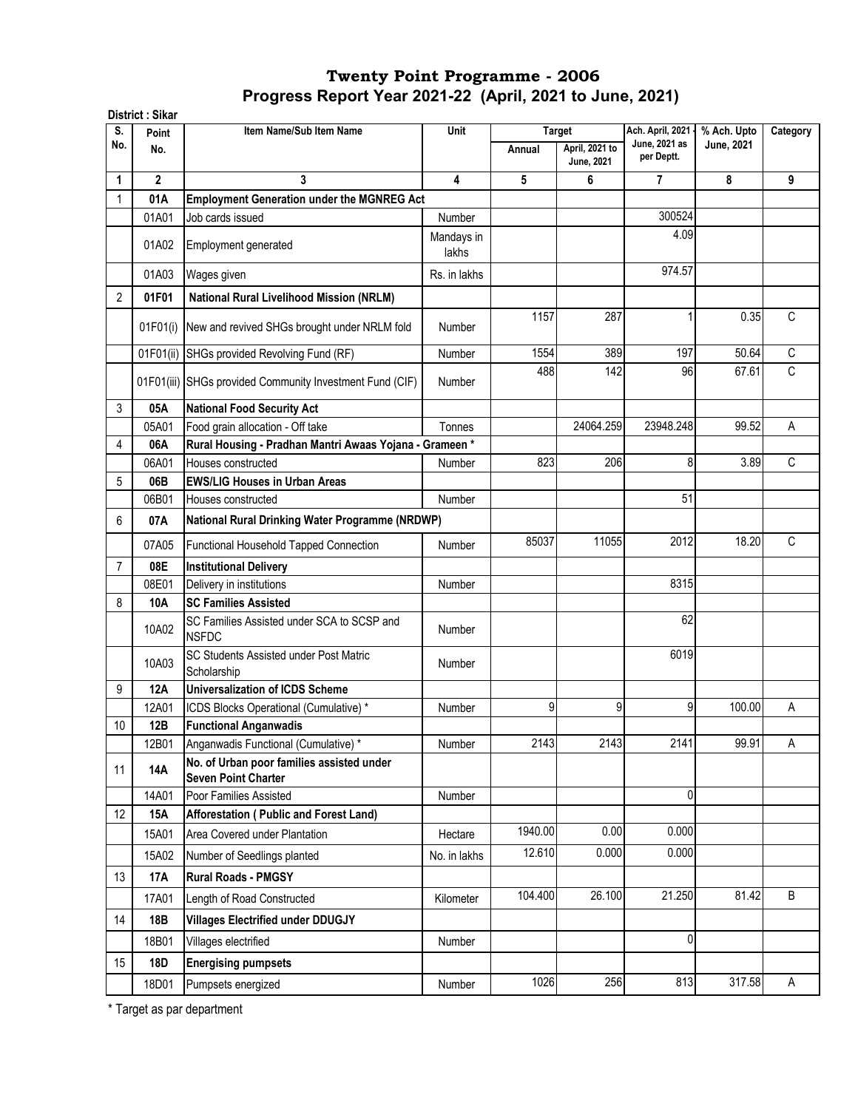|                | District: Sikar |                                                                         |                     |                         |                                     |                                                 |                           |             |
|----------------|-----------------|-------------------------------------------------------------------------|---------------------|-------------------------|-------------------------------------|-------------------------------------------------|---------------------------|-------------|
| S.<br>No.      | Point<br>No.    | Item Name/Sub Item Name                                                 | Unit                | <b>Target</b><br>Annual | April, 2021 to<br><b>June, 2021</b> | Ach. April, 2021<br>June, 2021 as<br>per Deptt. | % Ach. Upto<br>June, 2021 | Category    |
| 1              | $\overline{2}$  | 3                                                                       | 4                   | 5                       | 6                                   | 7                                               | 8                         | 9           |
|                | 01A             | <b>Employment Generation under the MGNREG Act</b>                       |                     |                         |                                     |                                                 |                           |             |
|                | 01A01           | Job cards issued                                                        | Number              |                         |                                     | 300524                                          |                           |             |
|                | 01A02           | Employment generated                                                    | Mandays in<br>lakhs |                         |                                     | 4.09                                            |                           |             |
|                | 01A03           | Wages given                                                             | Rs. in lakhs        |                         |                                     | 974.57                                          |                           |             |
| 2              | 01F01           | <b>National Rural Livelihood Mission (NRLM)</b>                         |                     |                         |                                     |                                                 |                           |             |
|                | 01F01(i)        | New and revived SHGs brought under NRLM fold                            | <b>Number</b>       | 1157                    | 287                                 | 1                                               | 0.35                      | C           |
|                | 01F01(ii)       | SHGs provided Revolving Fund (RF)                                       | Number              | 1554                    | 389                                 | 197                                             | 50.64                     | $\mathsf C$ |
|                |                 | 01F01(iii) SHGs provided Community Investment Fund (CIF)                | Number              | 488                     | 142                                 | 96                                              | 67.61                     | C           |
| 3              | 05A             | <b>National Food Security Act</b>                                       |                     |                         |                                     |                                                 |                           |             |
|                | 05A01           | Food grain allocation - Off take                                        | Tonnes              |                         | 24064.259                           | 23948.248                                       | 99.52                     | A           |
| 4              | 06A             | Rural Housing - Pradhan Mantri Awaas Yojana - Grameen*                  |                     |                         |                                     |                                                 |                           |             |
|                | 06A01           | Houses constructed                                                      | Number              | 823                     | 206                                 | 8                                               | 3.89                      | C           |
| 5              | 06B             | <b>EWS/LIG Houses in Urban Areas</b>                                    |                     |                         |                                     |                                                 |                           |             |
|                | 06B01           | Houses constructed                                                      | Number              |                         |                                     | 51                                              |                           |             |
| 6              | 07A             | National Rural Drinking Water Programme (NRDWP)                         |                     |                         |                                     |                                                 |                           |             |
|                | 07A05           | Functional Household Tapped Connection                                  | Number              | 85037                   | 11055                               | 2012                                            | 18.20                     | C           |
| $\overline{7}$ | 08E             | <b>Institutional Delivery</b>                                           |                     |                         |                                     |                                                 |                           |             |
|                | 08E01           | Delivery in institutions                                                | Number              |                         |                                     | 8315                                            |                           |             |
| 8              | 10A             | <b>SC Families Assisted</b>                                             |                     |                         |                                     |                                                 |                           |             |
|                | 10A02           | SC Families Assisted under SCA to SCSP and<br><b>NSFDC</b>              | Number              |                         |                                     | 62                                              |                           |             |
|                | 10A03           | SC Students Assisted under Post Matric<br>Scholarship                   | <b>Number</b>       |                         |                                     | 6019                                            |                           |             |
| 9              | <b>12A</b>      | <b>Universalization of ICDS Scheme</b>                                  |                     |                         |                                     |                                                 |                           |             |
|                | 12A01           | ICDS Blocks Operational (Cumulative) *                                  | Number              | 9                       | 9                                   | 9                                               | 100.00                    | Α           |
| 10             | 12B             | <b>Functional Anganwadis</b>                                            |                     |                         |                                     |                                                 |                           |             |
|                | 12B01           | Anganwadis Functional (Cumulative) *                                    | Number              | 2143                    | 2143                                | 2141                                            | 99.91                     | A           |
| 11             | 14A             | No. of Urban poor families assisted under<br><b>Seven Point Charter</b> |                     |                         |                                     |                                                 |                           |             |
|                | 14A01           | Poor Families Assisted                                                  | Number              |                         |                                     | 0                                               |                           |             |
| 12             | 15A             | Afforestation (Public and Forest Land)                                  |                     | 1940.00                 | 0.00                                | 0.000                                           |                           |             |
|                | 15A01           | Area Covered under Plantation                                           | Hectare             |                         |                                     |                                                 |                           |             |
|                | 15A02           | Number of Seedlings planted                                             | No. in lakhs        | 12.610                  | 0.000                               | 0.000                                           |                           |             |
| 13             | 17A             | <b>Rural Roads - PMGSY</b>                                              |                     |                         |                                     |                                                 |                           |             |
|                | 17A01           | Length of Road Constructed                                              | Kilometer           | 104.400                 | 26.100                              | 21.250                                          | 81.42                     | $\sf B$     |
| 14             | 18B             | <b>Villages Electrified under DDUGJY</b>                                |                     |                         |                                     |                                                 |                           |             |
|                | 18B01           | Villages electrified                                                    | Number              |                         |                                     | 0                                               |                           |             |
| 15             | 18D             | <b>Energising pumpsets</b>                                              |                     |                         |                                     |                                                 |                           |             |
|                | 18D01           | Pumpsets energized                                                      | Number              | 1026                    | 256                                 | 813                                             | 317.58                    | A           |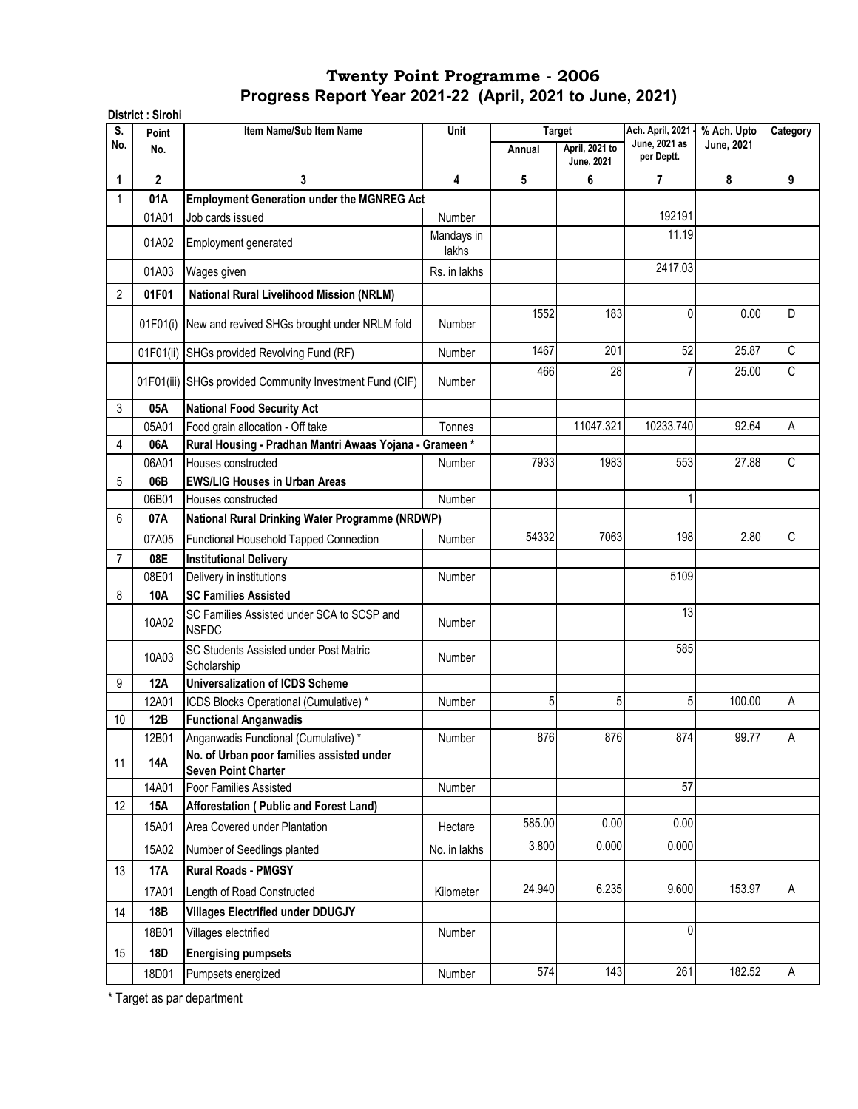|                | District: Sirohi |                                                                         |                     |        |                                                      |                                                 |                           |          |
|----------------|------------------|-------------------------------------------------------------------------|---------------------|--------|------------------------------------------------------|-------------------------------------------------|---------------------------|----------|
| S.<br>No.      | Point<br>No.     | Item Name/Sub Item Name                                                 | Unit                | Annual | <b>Target</b><br>April, 2021 to<br><b>June, 2021</b> | Ach. April, 2021<br>June, 2021 as<br>per Deptt. | % Ach. Upto<br>June, 2021 | Category |
| 1              | $\overline{2}$   | 3                                                                       | 4                   | 5      | 6                                                    | 7                                               | 8                         | 9        |
|                | 01A              | <b>Employment Generation under the MGNREG Act</b>                       |                     |        |                                                      |                                                 |                           |          |
|                | 01A01            | Job cards issued                                                        | Number              |        |                                                      | 192191                                          |                           |          |
|                | 01A02            | Employment generated                                                    | Mandays in<br>lakhs |        |                                                      | 11.19                                           |                           |          |
|                | 01A03            | Wages given                                                             | Rs. in lakhs        |        |                                                      | 2417.03                                         |                           |          |
| 2              | 01F01            | <b>National Rural Livelihood Mission (NRLM)</b>                         |                     |        |                                                      |                                                 |                           |          |
|                | 01F01(i)         | New and revived SHGs brought under NRLM fold                            | <b>Number</b>       | 1552   | 183                                                  | 0                                               | 0.00                      | D        |
|                |                  | 01F01(ii) SHGs provided Revolving Fund (RF)                             | Number              | 1467   | 201                                                  | 52                                              | 25.87                     | C        |
|                |                  | 01F01(iii) SHGs provided Community Investment Fund (CIF)                | Number              | 466    | 28                                                   | 7                                               | 25.00                     | C        |
| 3              | 05A              | <b>National Food Security Act</b>                                       |                     |        |                                                      |                                                 |                           |          |
|                | 05A01            | Food grain allocation - Off take                                        | Tonnes              |        | 11047.321                                            | 10233.740                                       | 92.64                     | A        |
| 4              | 06A              | Rural Housing - Pradhan Mantri Awaas Yojana - Grameen *                 |                     |        |                                                      |                                                 |                           |          |
|                | 06A01            | Houses constructed                                                      | Number              | 7933   | 1983                                                 | 553                                             | 27.88                     | C        |
| 5              | 06B              | <b>EWS/LIG Houses in Urban Areas</b>                                    |                     |        |                                                      |                                                 |                           |          |
|                | 06B01            | Houses constructed                                                      | Number              |        |                                                      | 1                                               |                           |          |
| 6              | 07A              | <b>National Rural Drinking Water Programme (NRDWP)</b>                  |                     |        |                                                      |                                                 |                           |          |
|                | 07A05            | Functional Household Tapped Connection                                  | Number              | 54332  | 7063                                                 | 198                                             | 2.80                      | C        |
| $\overline{7}$ | 08E              | <b>Institutional Delivery</b>                                           |                     |        |                                                      |                                                 |                           |          |
|                | 08E01            | Delivery in institutions                                                | <b>Number</b>       |        |                                                      | 5109                                            |                           |          |
| 8              | 10A              | <b>SC Families Assisted</b>                                             |                     |        |                                                      |                                                 |                           |          |
|                | 10A02            | SC Families Assisted under SCA to SCSP and<br><b>NSFDC</b>              | Number              |        |                                                      | 13                                              |                           |          |
|                | 10A03            | SC Students Assisted under Post Matric<br>Scholarship                   | <b>Number</b>       |        |                                                      | 585                                             |                           |          |
| 9              | <b>12A</b>       | <b>Universalization of ICDS Scheme</b>                                  |                     |        |                                                      |                                                 |                           |          |
|                | 12A01            | ICDS Blocks Operational (Cumulative) *                                  | Number              | 5      | 5                                                    | 5                                               | 100.00                    | A        |
| 10             | 12B              | <b>Functional Anganwadis</b>                                            |                     |        |                                                      |                                                 |                           |          |
|                | 12B01            | Anganwadis Functional (Cumulative) *                                    | Number              | 876    | 876                                                  | 874                                             | 99.77                     | A        |
| 11             | <b>14A</b>       | No. of Urban poor families assisted under<br><b>Seven Point Charter</b> |                     |        |                                                      |                                                 |                           |          |
|                | 14A01            | Poor Families Assisted                                                  | Number              |        |                                                      | 57                                              |                           |          |
| 12             | 15A              | Afforestation (Public and Forest Land)                                  |                     | 585.00 | 0.00                                                 | 0.00                                            |                           |          |
|                | 15A01            | Area Covered under Plantation                                           | Hectare             |        |                                                      |                                                 |                           |          |
|                | 15A02            | Number of Seedlings planted                                             | No. in lakhs        | 3.800  | 0.000                                                | 0.000                                           |                           |          |
| 13             | 17A              | <b>Rural Roads - PMGSY</b>                                              |                     |        |                                                      |                                                 |                           |          |
|                | 17A01            | Length of Road Constructed                                              | Kilometer           | 24.940 | 6.235                                                | 9.600                                           | 153.97                    | Α        |
| 14             | 18B              | <b>Villages Electrified under DDUGJY</b>                                |                     |        |                                                      |                                                 |                           |          |
|                | 18B01            | Villages electrified                                                    | Number              |        |                                                      | 0                                               |                           |          |
| 15             | <b>18D</b>       | <b>Energising pumpsets</b>                                              |                     |        |                                                      |                                                 |                           |          |
|                | 18D01            | Pumpsets energized                                                      | Number              | 574    | 143                                                  | 261                                             | 182.52                    | Α        |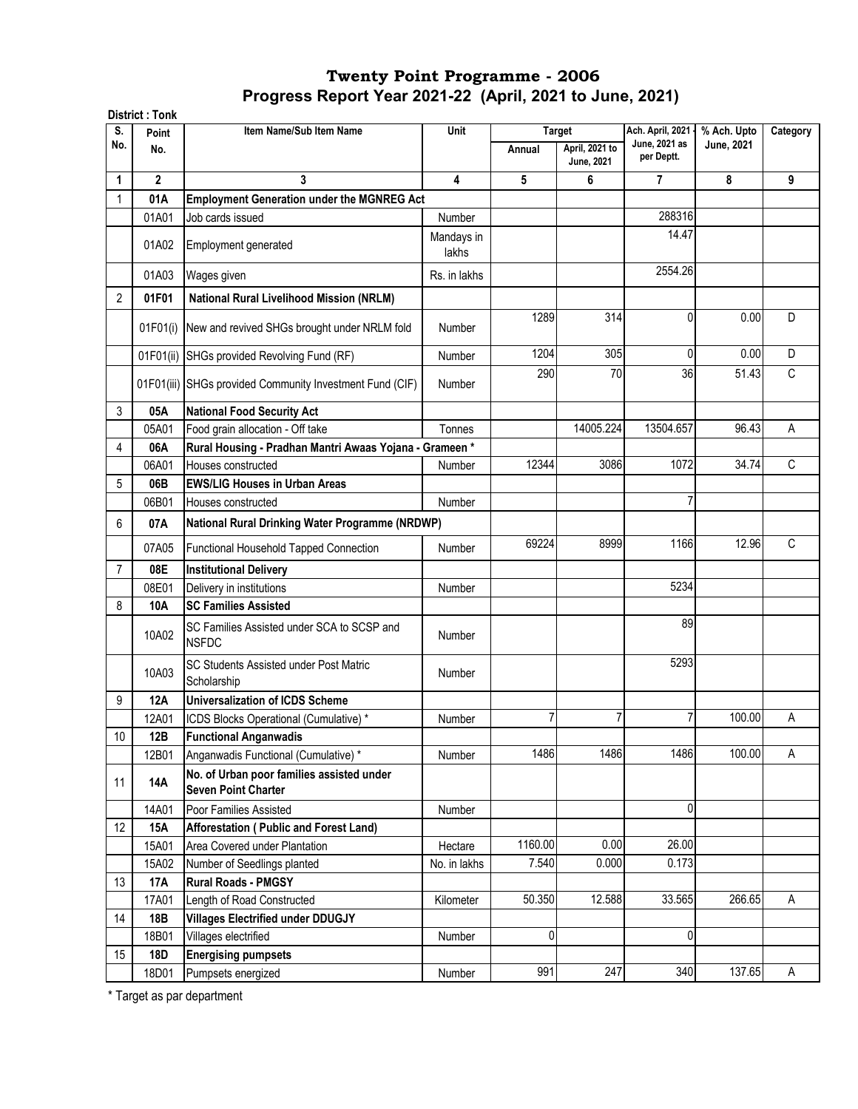|                | <b>District: Tonk</b> |                                                                         |                     |         |                              |                                   |                                  |          |
|----------------|-----------------------|-------------------------------------------------------------------------|---------------------|---------|------------------------------|-----------------------------------|----------------------------------|----------|
| S.<br>No.      | Point                 | Item Name/Sub Item Name                                                 | Unit                |         | <b>Target</b>                | Ach. April, 2021<br>June, 2021 as | % Ach. Upto<br><b>June, 2021</b> | Category |
|                | No.                   |                                                                         |                     | Annual  | April, 2021 to<br>June, 2021 | per Deptt.                        |                                  |          |
| 1              | $\mathbf{2}$          | 3                                                                       | 4                   | 5       | 6                            | $\overline{7}$                    | 8                                | 9        |
|                | 01A                   | <b>Employment Generation under the MGNREG Act</b>                       |                     |         |                              |                                   |                                  |          |
|                | 01A01                 | Job cards issued                                                        | Number              |         |                              | 288316                            |                                  |          |
|                | 01A02                 | Employment generated                                                    | Mandays in<br>lakhs |         |                              | 14.47                             |                                  |          |
|                | 01A03                 | Wages given                                                             | Rs. in lakhs        |         |                              | 2554.26                           |                                  |          |
| $\overline{2}$ | 01F01                 | <b>National Rural Livelihood Mission (NRLM)</b>                         |                     |         |                              |                                   |                                  |          |
|                | 01F01(i)              | New and revived SHGs brought under NRLM fold                            | Number              | 1289    | 314                          | 0                                 | 0.00                             | D        |
|                | 01F01(ii)             | SHGs provided Revolving Fund (RF)                                       | Number              | 1204    | 305                          | 0                                 | 0.00                             | D        |
|                |                       | 01F01(iii) SHGs provided Community Investment Fund (CIF)                | <b>Number</b>       | 290     | 70                           | 36                                | 51.43                            | C        |
| 3              | 05A                   | <b>National Food Security Act</b>                                       |                     |         |                              |                                   |                                  |          |
|                | 05A01                 | Food grain allocation - Off take                                        | Tonnes              |         | 14005.224                    | 13504.657                         | 96.43                            | A        |
| 4              | 06A                   | Rural Housing - Pradhan Mantri Awaas Yojana - Grameen*                  |                     |         |                              |                                   |                                  |          |
|                | 06A01                 | Houses constructed                                                      | Number              | 12344   | 3086                         | 1072                              | 34.74                            | C        |
| 5              | 06B                   | <b>EWS/LIG Houses in Urban Areas</b>                                    |                     |         |                              |                                   |                                  |          |
|                | 06B01                 | Houses constructed                                                      | <b>Number</b>       |         |                              | 7                                 |                                  |          |
| 6              | 07A                   | National Rural Drinking Water Programme (NRDWP)                         |                     |         |                              |                                   |                                  |          |
|                | 07A05                 | Functional Household Tapped Connection                                  | <b>Number</b>       | 69224   | 8999                         | 1166                              | 12.96                            | C        |
| 7              | 08E                   | <b>Institutional Delivery</b>                                           |                     |         |                              |                                   |                                  |          |
|                | 08E01                 | Delivery in institutions                                                | Number              |         |                              | 5234                              |                                  |          |
| 8              | 10A                   | <b>SC Families Assisted</b>                                             |                     |         |                              |                                   |                                  |          |
|                | 10A02                 | SC Families Assisted under SCA to SCSP and<br><b>NSFDC</b>              | Number              |         |                              | 89                                |                                  |          |
|                | 10A03                 | SC Students Assisted under Post Matric<br>Scholarship                   | <b>Number</b>       |         |                              | 5293                              |                                  |          |
| 9              | <b>12A</b>            | <b>Universalization of ICDS Scheme</b>                                  |                     |         |                              |                                   |                                  |          |
|                | 12A01                 | ICDS Blocks Operational (Cumulative) *                                  | Number              | 7       | 7                            | 7                                 | 100.00                           | Α        |
| 10             | 12B                   | <b>Functional Anganwadis</b>                                            |                     |         |                              |                                   |                                  |          |
|                | 12B01                 | Anganwadis Functional (Cumulative) *                                    | Number              | 1486    | 1486                         | 1486                              | 100.00                           | Α        |
| 11             | <b>14A</b>            | No. of Urban poor families assisted under<br><b>Seven Point Charter</b> |                     |         |                              |                                   |                                  |          |
|                | 14A01                 | Poor Families Assisted                                                  | Number              |         |                              | 0                                 |                                  |          |
| 12             | 15A                   | Afforestation (Public and Forest Land)                                  |                     |         |                              |                                   |                                  |          |
|                | 15A01                 | Area Covered under Plantation                                           | Hectare             | 1160.00 | 0.00                         | 26.00                             |                                  |          |
|                | 15A02                 | Number of Seedlings planted                                             | No. in lakhs        | 7.540   | 0.000                        | 0.173                             |                                  |          |
| 13             | 17A                   | <b>Rural Roads - PMGSY</b>                                              |                     |         |                              |                                   |                                  |          |
|                | 17A01                 | Length of Road Constructed                                              | Kilometer           | 50.350  | 12.588                       | 33.565                            | 266.65                           | A        |
| 14             | 18B                   | <b>Villages Electrified under DDUGJY</b>                                |                     |         |                              |                                   |                                  |          |
|                | 18B01                 | Villages electrified                                                    | Number              | 0       |                              | 0                                 |                                  |          |
| 15             | 18D                   | <b>Energising pumpsets</b>                                              |                     |         |                              |                                   |                                  |          |
|                | 18D01                 | Pumpsets energized                                                      | Number              | 991     | 247                          | 340                               | 137.65                           | A        |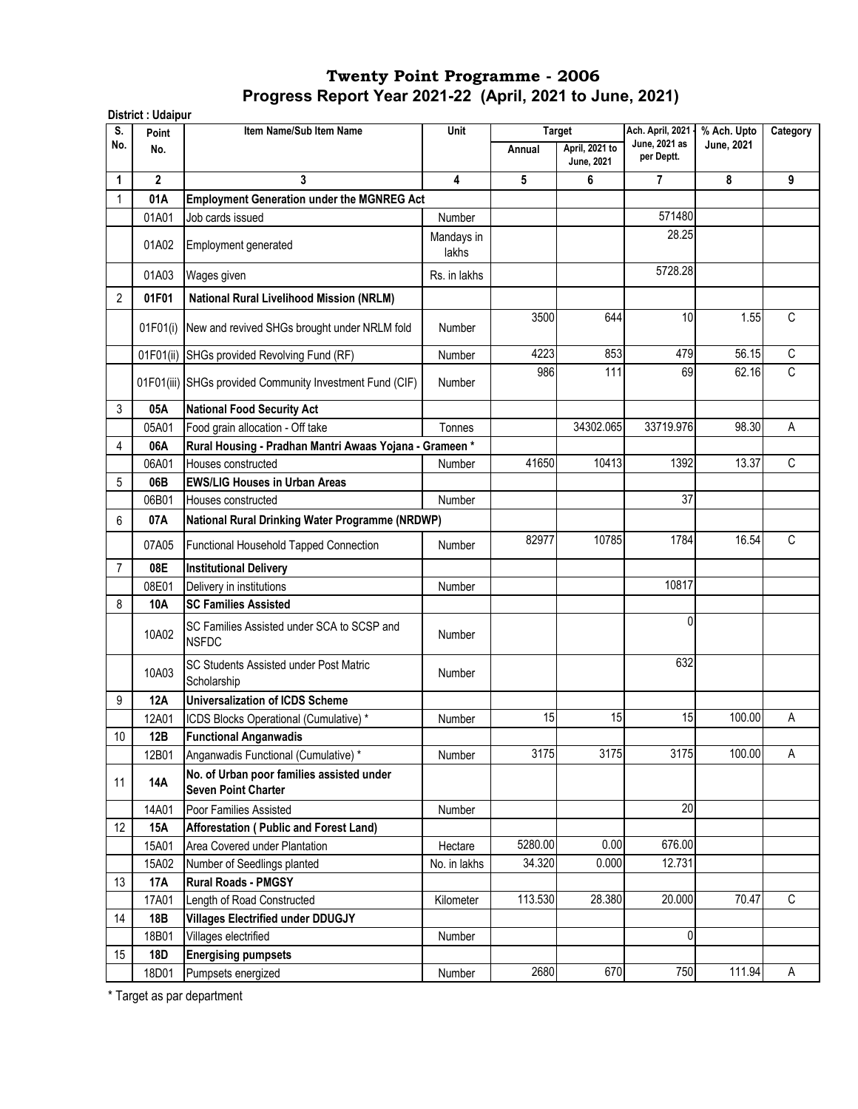| S.             | Point        | Item Name/Sub Item Name                                                 | Unit                    |         | <b>Target</b>                       | Ach. April, 2021 -          | % Ach. Upto | Category    |
|----------------|--------------|-------------------------------------------------------------------------|-------------------------|---------|-------------------------------------|-----------------------------|-------------|-------------|
| No.            | No.          |                                                                         |                         | Annual  | April, 2021 to<br><b>June, 2021</b> | June, 2021 as<br>per Deptt. | June, 2021  |             |
| 1              | $\mathbf{2}$ | 3                                                                       | $\overline{\mathbf{4}}$ | 5       | 6                                   | 7                           | 8           | 9           |
| 1              | 01A          | <b>Employment Generation under the MGNREG Act</b>                       |                         |         |                                     |                             |             |             |
|                | 01A01        | Job cards issued                                                        | Number                  |         |                                     | 571480                      |             |             |
|                | 01A02        | Employment generated                                                    | Mandays in<br>lakhs     |         |                                     | 28.25                       |             |             |
|                | 01A03        | Wages given                                                             | Rs. in lakhs            |         |                                     | 5728.28                     |             |             |
| $\overline{2}$ | 01F01        | National Rural Livelihood Mission (NRLM)                                |                         |         |                                     |                             |             |             |
|                | 01F01(i)     | New and revived SHGs brought under NRLM fold                            | <b>Number</b>           | 3500    | 644                                 | 10                          | 1.55        | C           |
|                | 01F01(ii)    | SHGs provided Revolving Fund (RF)                                       | Number                  | 4223    | 853                                 | 479                         | 56.15       | C           |
|                |              | 01F01(iii) SHGs provided Community Investment Fund (CIF)                | <b>Number</b>           | 986     | 111                                 | 69                          | 62.16       | C           |
| 3              | 05A          | <b>National Food Security Act</b>                                       |                         |         |                                     |                             |             |             |
|                | 05A01        | Food grain allocation - Off take                                        | Tonnes                  |         | 34302.065                           | 33719.976                   | 98.30       | Α           |
| 4              | 06A          | Rural Housing - Pradhan Mantri Awaas Yojana - Grameen *                 |                         |         |                                     |                             |             |             |
|                | 06A01        | Houses constructed                                                      | Number                  | 41650   | 10413                               | 1392                        | 13.37       | C           |
| 5              | 06B          | <b>EWS/LIG Houses in Urban Areas</b>                                    |                         |         |                                     |                             |             |             |
|                | 06B01        | Houses constructed                                                      | Number                  |         |                                     | 37                          |             |             |
| 6              | 07A          | National Rural Drinking Water Programme (NRDWP)                         |                         |         |                                     |                             |             |             |
|                | 07A05        | <b>Functional Household Tapped Connection</b>                           | <b>Number</b>           | 82977   | 10785                               | 1784                        | 16.54       | $\mathbb C$ |
| 7              | 08E          | <b>Institutional Delivery</b>                                           |                         |         |                                     |                             |             |             |
|                | 08E01        | Delivery in institutions                                                | Number                  |         |                                     | 10817                       |             |             |
| 8              | 10A          | <b>SC Families Assisted</b>                                             |                         |         |                                     |                             |             |             |
|                | 10A02        | SC Families Assisted under SCA to SCSP and<br><b>NSFDC</b>              | <b>Number</b>           |         |                                     | 0                           |             |             |
|                | 10A03        | SC Students Assisted under Post Matric<br>Scholarship                   | <b>Number</b>           |         |                                     | 632                         |             |             |
| 9              | 12A          | <b>Universalization of ICDS Scheme</b>                                  |                         |         |                                     |                             |             |             |
|                | 12A01        | ICDS Blocks Operational (Cumulative) *                                  | Number                  | 15      | 15                                  | 15                          | 100.00      | Α           |
| 10             | 12B          | <b>Functional Anganwadis</b>                                            |                         |         |                                     |                             |             |             |
|                | 12B01        | Anganwadis Functional (Cumulative) *                                    | Number                  | 3175    | 3175                                | 3175                        | 100.00      | A           |
| 11             | <b>14A</b>   | No. of Urban poor families assisted under<br><b>Seven Point Charter</b> |                         |         |                                     |                             |             |             |
|                | 14A01        | Poor Families Assisted                                                  | Number                  |         |                                     | 20                          |             |             |
| 12             | 15A          | Afforestation (Public and Forest Land)                                  |                         |         |                                     |                             |             |             |
|                | 15A01        | Area Covered under Plantation                                           | Hectare                 | 5280.00 | 0.00                                | 676.00                      |             |             |
|                | 15A02        | Number of Seedlings planted                                             | No. in lakhs            | 34.320  | 0.000                               | 12.731                      |             |             |
| 13             | <b>17A</b>   | <b>Rural Roads - PMGSY</b>                                              |                         |         |                                     |                             |             |             |
|                | 17A01        | Length of Road Constructed                                              | Kilometer               | 113.530 | 28.380                              | 20.000                      | 70.47       | $\mathsf C$ |
| 14             | 18B          | <b>Villages Electrified under DDUGJY</b>                                |                         |         |                                     |                             |             |             |
|                | 18B01        | Villages electrified                                                    | Number                  |         |                                     | 0                           |             |             |
| 15             | 18D          | <b>Energising pumpsets</b>                                              |                         |         |                                     |                             |             |             |
|                | 18D01        | Pumpsets energized                                                      | Number                  | 2680    | 670                                 | 750                         | 111.94      | A           |